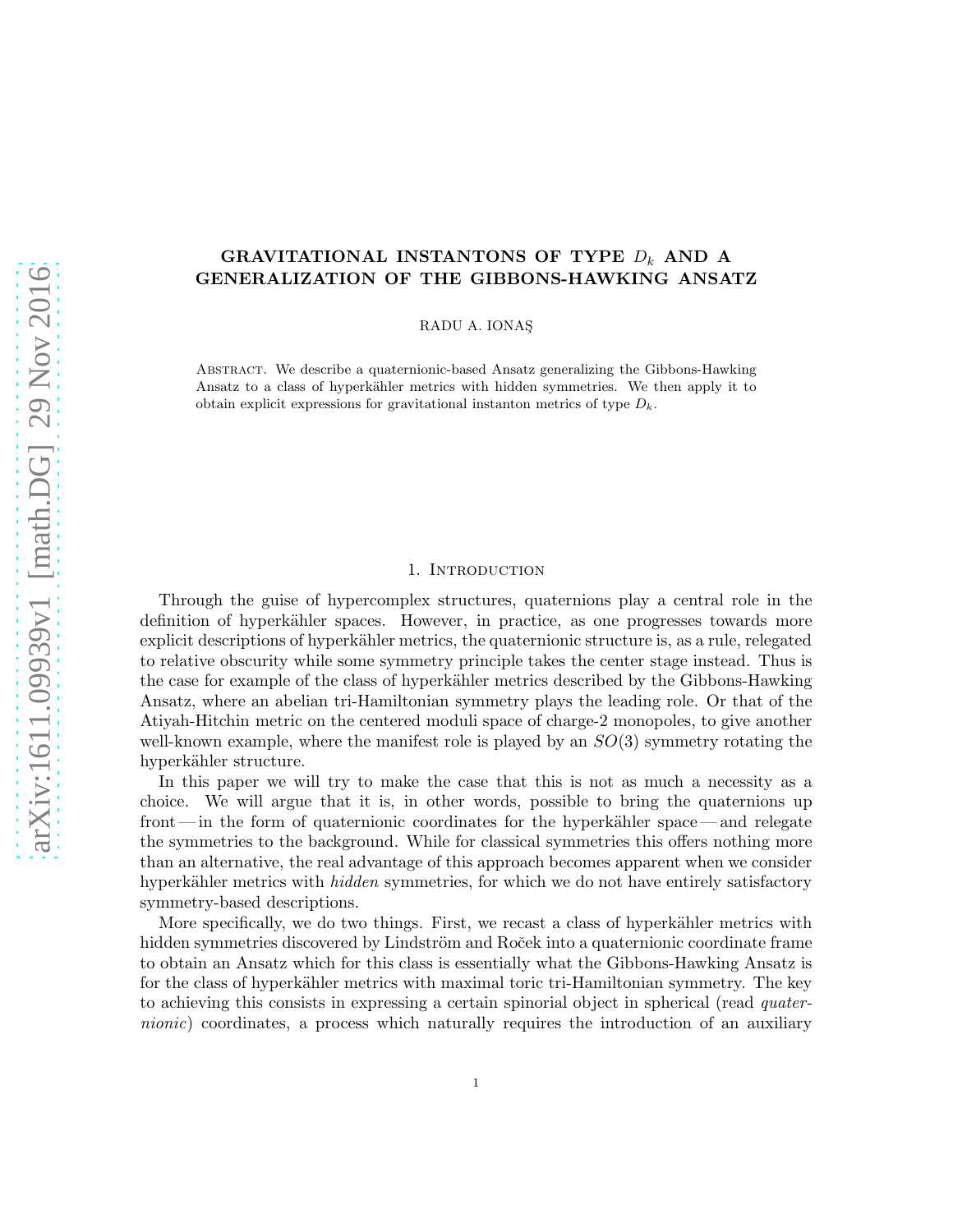# GRAVITATIONAL INSTANTONS OF TYPE  $D_k$  AND A GENERALIZATION OF THE GIBBONS-HAWKING ANSATZ

RADU A. IONAS¸

Abstract. We describe a quaternionic-based Ansatz generalizing the Gibbons-Hawking Ansatz to a class of hyperkähler metrics with hidden symmetries. We then apply it to obtain explicit expressions for gravitational instanton metrics of type  $D_k$ .

#### 1. Introduction

Through the guise of hypercomplex structures, quaternions play a central role in the definition of hyperkähler spaces. However, in practice, as one progresses towards more explicit descriptions of hyperkähler metrics, the quaternionic structure is, as a rule, relegated to relative obscurity while some symmetry principle takes the center stage instead. Thus is the case for example of the class of hyperkähler metrics described by the Gibbons-Hawking Ansatz, where an abelian tri-Hamiltonian symmetry plays the leading role. Or that of the Atiyah-Hitchin metric on the centered moduli space of charge-2 monopoles, to give another well-known example, where the manifest role is played by an  $SO(3)$  symmetry rotating the hyperkähler structure.

In this paper we will try to make the case that this is not as much a necessity as a choice. We will argue that it is, in other words, possible to bring the quaternions up front—in the form of quaternionic coordinates for the hyperkähler space—and relegate the symmetries to the background. While for classical symmetries this offers nothing more than an alternative, the real advantage of this approach becomes apparent when we consider hyperkähler metrics with *hidden* symmetries, for which we do not have entirely satisfactory symmetry-based descriptions.

More specifically, we do two things. First, we recast a class of hyperkähler metrics with hidden symmetries discovered by Lindström and Roček into a quaternionic coordinate frame to obtain an Ansatz which for this class is essentially what the Gibbons-Hawking Ansatz is for the class of hyperkähler metrics with maximal toric tri-Hamiltonian symmetry. The key to achieving this consists in expressing a certain spinorial object in spherical (read *quater*nionic) coordinates, a process which naturally requires the introduction of an auxiliary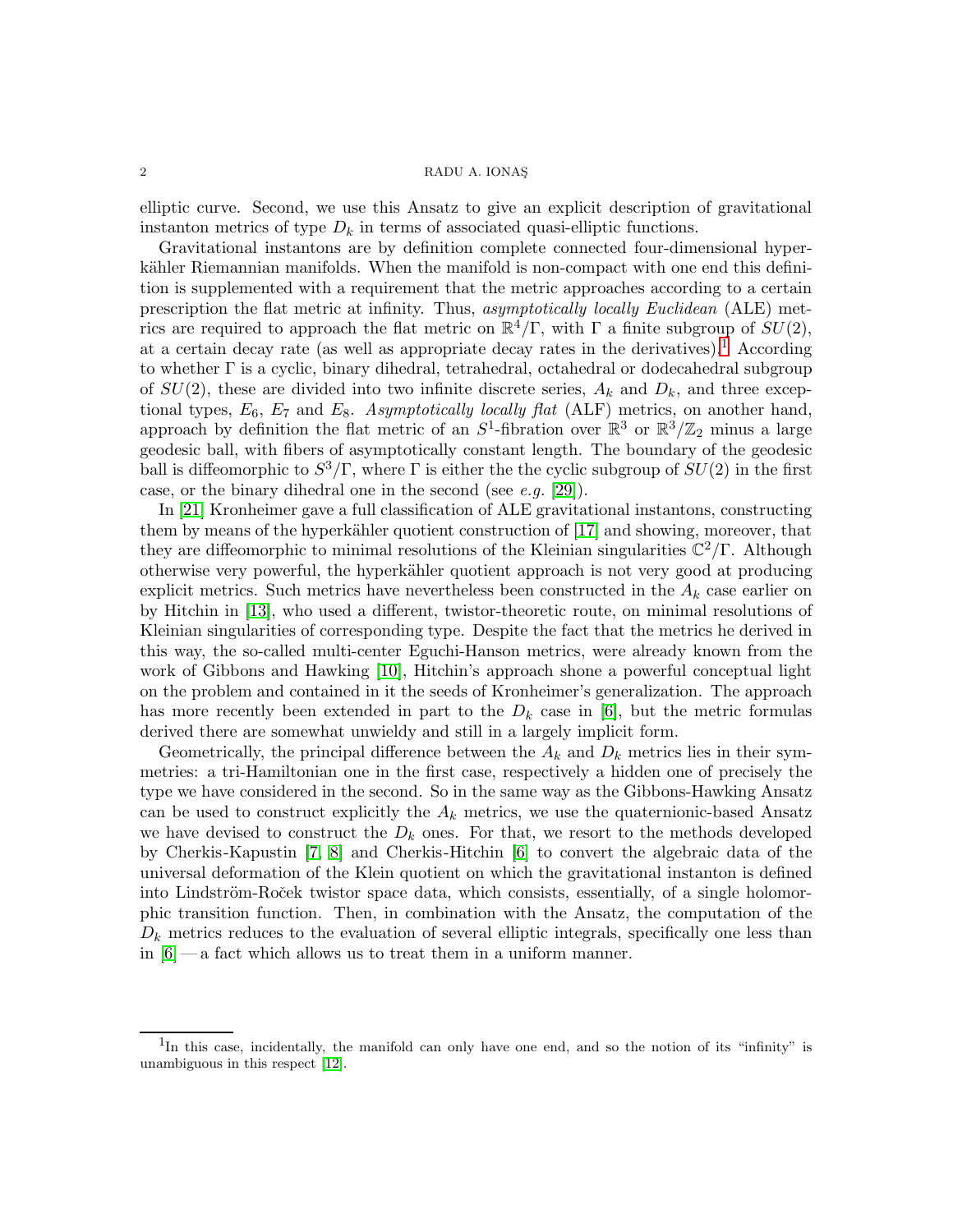elliptic curve. Second, we use this Ansatz to give an explicit description of gravitational instanton metrics of type  $D_k$  in terms of associated quasi-elliptic functions.

Gravitational instantons are by definition complete connected four-dimensional hyperkähler Riemannian manifolds. When the manifold is non-compact with one end this definition is supplemented with a requirement that the metric approaches according to a certain prescription the flat metric at infinity. Thus, asymptotically locally Euclidean (ALE) metrics are required to approach the flat metric on  $\mathbb{R}^4/\Gamma$ , with  $\Gamma$  a finite subgroup of  $SU(2)$ , at a certain decay rate (as well as appropriate decay rates in the derivatives).<sup>[1](#page-1-0)</sup> According to whether Γ is a cyclic, binary dihedral, tetrahedral, octahedral or dodecahedral subgroup of  $SU(2)$ , these are divided into two infinite discrete series,  $A_k$  and  $D_k$ , and three exceptional types,  $E_6$ ,  $E_7$  and  $E_8$ . Asymptotically locally flat (ALF) metrics, on another hand, approach by definition the flat metric of an  $S^1$ -fibration over  $\mathbb{R}^3$  or  $\mathbb{R}^3/\mathbb{Z}_2$  minus a large geodesic ball, with fibers of asymptotically constant length. The boundary of the geodesic ball is diffeomorphic to  $S^3/\Gamma$ , where  $\Gamma$  is either the the cyclic subgroup of  $SU(2)$  in the first case, or the binary dihedral one in the second (see  $e.g.$  [\[29\]](#page-50-0)).

In [\[21\]](#page-49-0) Kronheimer gave a full classification of ALE gravitational instantons, constructing them by means of the hyperkähler quotient construction of [\[17\]](#page-49-1) and showing, moreover, that they are diffeomorphic to minimal resolutions of the Kleinian singularities  $\mathbb{C}^2/\Gamma$ . Although otherwise very powerful, the hyperkähler quotient approach is not very good at producing explicit metrics. Such metrics have nevertheless been constructed in the  $A_k$  case earlier on by Hitchin in [\[13\]](#page-49-2), who used a different, twistor-theoretic route, on minimal resolutions of Kleinian singularities of corresponding type. Despite the fact that the metrics he derived in this way, the so-called multi-center Eguchi-Hanson metrics, were already known from the work of Gibbons and Hawking [\[10\]](#page-49-3), Hitchin's approach shone a powerful conceptual light on the problem and contained in it the seeds of Kronheimer's generalization. The approach has more recently been extended in part to the  $D_k$  case in [\[6\]](#page-49-4), but the metric formulas derived there are somewhat unwieldy and still in a largely implicit form.

Geometrically, the principal difference between the  $A_k$  and  $D_k$  metrics lies in their symmetries: a tri-Hamiltonian one in the first case, respectively a hidden one of precisely the type we have considered in the second. So in the same way as the Gibbons-Hawking Ansatz can be used to construct explicitly the  $A_k$  metrics, we use the quaternionic-based Ansatz we have devised to construct the  $D_k$  ones. For that, we resort to the methods developed by Cherkis -Kapustin [\[7,](#page-49-5) [8\]](#page-49-6) and Cherkis -Hitchin [\[6\]](#page-49-4) to convert the algebraic data of the universal deformation of the Klein quotient on which the gravitational instanton is defined into Lindström-Roček twistor space data, which consists, essentially, of a single holomorphic transition function. Then, in combination with the Ansatz, the computation of the  $D_k$  metrics reduces to the evaluation of several elliptic integrals, specifically one less than in  $[6]$  — a fact which allows us to treat them in a uniform manner.

<span id="page-1-0"></span><sup>&</sup>lt;sup>1</sup>In this case, incidentally, the manifold can only have one end, and so the notion of its "infinity" is unambiguous in this respect [\[12\]](#page-49-7).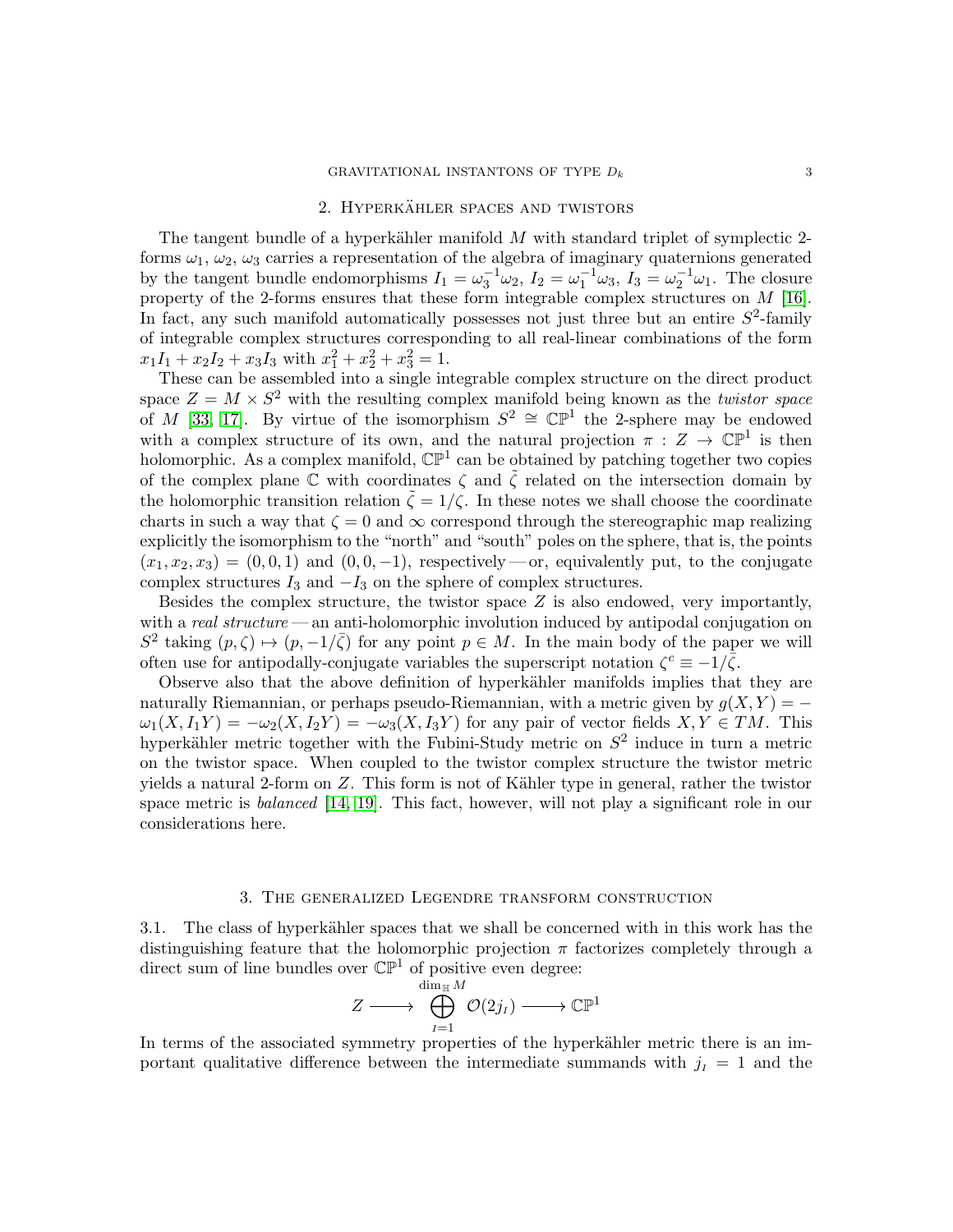# 2. HYPERKÄHLER SPACES AND TWISTORS

The tangent bundle of a hyperkähler manifold  $M$  with standard triplet of symplectic 2forms  $\omega_1, \omega_2, \omega_3$  carries a representation of the algebra of imaginary quaternions generated by the tangent bundle endomorphisms  $I_1 = \omega_3^{-1} \omega_2$ ,  $I_2 = \omega_1^{-1} \omega_3$ ,  $I_3 = \omega_2^{-1} \omega_1$ . The closure property of the 2-forms ensures that these form integrable complex structures on M [\[16\]](#page-49-8). In fact, any such manifold automatically possesses not just three but an entire  $S^2$ -family of integrable complex structures corresponding to all real-linear combinations of the form  $x_1I_1 + x_2I_2 + x_3I_3$  with  $x_1^2 + x_2^2 + x_3^2 = 1$ .

These can be assembled into a single integrable complex structure on the direct product space  $Z = M \times S^2$  with the resulting complex manifold being known as the *twistor space* of M [\[33,](#page-50-1) [17\]](#page-49-1). By virtue of the isomorphism  $S^2 \cong \mathbb{CP}^1$  the 2-sphere may be endowed with a complex structure of its own, and the natural projection  $\pi : Z \to \mathbb{CP}^1$  is then holomorphic. As a complex manifold,  $\mathbb{CP}^1$  can be obtained by patching together two copies of the complex plane C with coordinates  $\zeta$  and  $\tilde{\zeta}$  related on the intersection domain by the holomorphic transition relation  $\tilde{\zeta} = 1/\zeta$ . In these notes we shall choose the coordinate charts in such a way that  $\zeta = 0$  and  $\infty$  correspond through the stereographic map realizing explicitly the isomorphism to the "north" and "south" poles on the sphere, that is, the points  $(x_1, x_2, x_3) = (0, 0, 1)$  and  $(0, 0, -1)$ , respectively — or, equivalently put, to the conjugate complex structures  $I_3$  and  $-I_3$  on the sphere of complex structures.

Besides the complex structure, the twistor space  $Z$  is also endowed, very importantly, with a real structure — an anti-holomorphic involution induced by antipodal conjugation on  $S^2$  taking  $(p,\zeta) \mapsto (p,-1/\overline{\zeta})$  for any point  $p \in M$ . In the main body of the paper we will often use for antipodally-conjugate variables the superscript notation  $\zeta^c \equiv -1/\overline{\zeta}$ .

Observe also that the above definition of hyperkähler manifolds implies that they are naturally Riemannian, or perhaps pseudo-Riemannian, with a metric given by  $q(X, Y) = \omega_1(X, I_1Y) = -\omega_2(X, I_2Y) = -\omega_3(X, I_3Y)$  for any pair of vector fields  $X, Y \in TM$ . This hyperkähler metric together with the Fubini-Study metric on  $S^2$  induce in turn a metric on the twistor space. When coupled to the twistor complex structure the twistor metric yields a natural 2-form on  $Z$ . This form is not of Kähler type in general, rather the twistor space metric is *balanced* [\[14,](#page-49-9) [19\]](#page-49-10). This fact, however, will not play a significant role in our considerations here.

# 3. The generalized Legendre transform construction

3.1. The class of hyperkähler spaces that we shall be concerned with in this work has the distinguishing feature that the holomorphic projection  $\pi$  factorizes completely through a direct sum of line bundles over  $\mathbb{CP}^1$  of positive even degree:

$$
Z \longrightarrow \bigoplus_{I=1}^{\dim_{\mathbb{H}} M} \mathcal{O}(2j_I) \longrightarrow \mathbb{CP}^1
$$

In terms of the associated symmetry properties of the hyperkähler metric there is an important qualitative difference between the intermediate summands with  $j_I = 1$  and the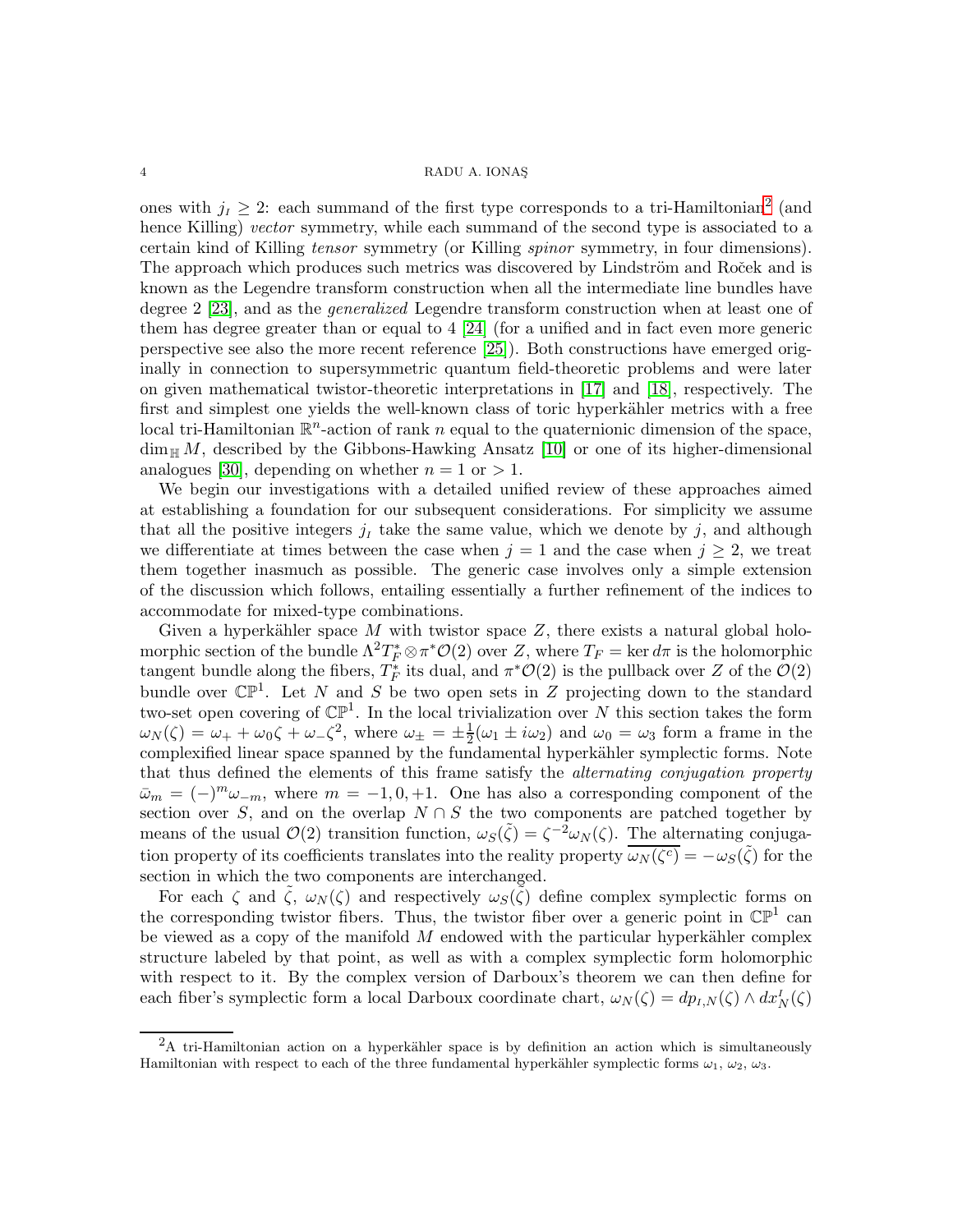ones with  $j_I \geq 2$  $j_I \geq 2$ : each summand of the first type corresponds to a tri-Hamiltonian<sup>2</sup> (and hence Killing) vector symmetry, while each summand of the second type is associated to a certain kind of Killing tensor symmetry (or Killing spinor symmetry, in four dimensions). The approach which produces such metrics was discovered by Lindström and Roček and is known as the Legendre transform construction when all the intermediate line bundles have degree 2 [\[23\]](#page-49-11), and as the generalized Legendre transform construction when at least one of them has degree greater than or equal to 4 [\[24\]](#page-50-2) (for a unified and in fact even more generic perspective see also the more recent reference [\[25\]](#page-50-3)). Both constructions have emerged originally in connection to supersymmetric quantum field-theoretic problems and were later on given mathematical twistor-theoretic interpretations in [\[17\]](#page-49-1) and [\[18\]](#page-49-12), respectively. The first and simplest one yields the well-known class of toric hyperkähler metrics with a free local tri-Hamiltonian  $\mathbb{R}^n$ -action of rank n equal to the quaternionic dimension of the space,  $\dim_{\mathbb{H}} M$ , described by the Gibbons-Hawking Ansatz [\[10\]](#page-49-3) or one of its higher-dimensional analogues [\[30\]](#page-50-4), depending on whether  $n = 1$  or  $> 1$ .

We begin our investigations with a detailed unified review of these approaches aimed at establishing a foundation for our subsequent considerations. For simplicity we assume that all the positive integers  $j_I$  take the same value, which we denote by  $j$ , and although we differentiate at times between the case when  $j = 1$  and the case when  $j \geq 2$ , we treat them together inasmuch as possible. The generic case involves only a simple extension of the discussion which follows, entailing essentially a further refinement of the indices to accommodate for mixed-type combinations.

Given a hyperkähler space M with twistor space  $Z$ , there exists a natural global holomorphic section of the bundle  $\Lambda^2 T_F^* \otimes \pi^* \mathcal{O}(2)$  over Z, where  $T_F = \ker d\pi$  is the holomorphic tangent bundle along the fibers,  $T_F^*$  its dual, and  $\pi^* \mathcal{O}(2)$  is the pullback over Z of the  $\mathcal{O}(2)$ bundle over  $\mathbb{CP}^1$ . Let N and S be two open sets in Z projecting down to the standard two-set open covering of  $\mathbb{CP}^1$ . In the local trivialization over N this section takes the form  $\omega_N(\zeta) = \omega_+ + \omega_0 \zeta + \omega_-\zeta^2$ , where  $\omega_\pm = \pm \frac{1}{2}$  $\frac{1}{2}(\omega_1 \pm i\omega_2)$  and  $\omega_0 = \omega_3$  form a frame in the complexified linear space spanned by the fundamental hyperkähler symplectic forms. Note that thus defined the elements of this frame satisfy the *alternating conjugation property*  $\bar{\omega}_m = (-)^m \omega_{-m}$ , where  $m = -1, 0, +1$ . One has also a corresponding component of the section over S, and on the overlap  $N \cap S$  the two components are patched together by means of the usual  $\mathcal{O}(2)$  transition function,  $\omega_S(\tilde{\zeta}) = \zeta^{-2} \omega_N(\zeta)$ . The alternating conjugation property of its coefficients translates into the reality property  $\overline{\omega_N(\zeta^c)} = -\omega_S(\tilde{\zeta})$  for the section in which the two components are interchanged.

For each  $\zeta$  and  $\tilde{\zeta}$ ,  $\omega_N(\zeta)$  and respectively  $\omega_S(\tilde{\zeta})$  define complex symplectic forms on the corresponding twistor fibers. Thus, the twistor fiber over a generic point in  $\mathbb{CP}^1$  can be viewed as a copy of the manifold  $M$  endowed with the particular hyperkähler complex structure labeled by that point, as well as with a complex symplectic form holomorphic with respect to it. By the complex version of Darboux's theorem we can then define for each fiber's symplectic form a local Darboux coordinate chart,  $\omega_N(\zeta) = dp_{I,N}(\zeta) \wedge dx_N^I(\zeta)$ 

<span id="page-3-0"></span> ${}^{2}$ A tri-Hamiltonian action on a hyperkähler space is by definition an action which is simultaneously Hamiltonian with respect to each of the three fundamental hyperkähler symplectic forms  $\omega_1, \omega_2, \omega_3$ .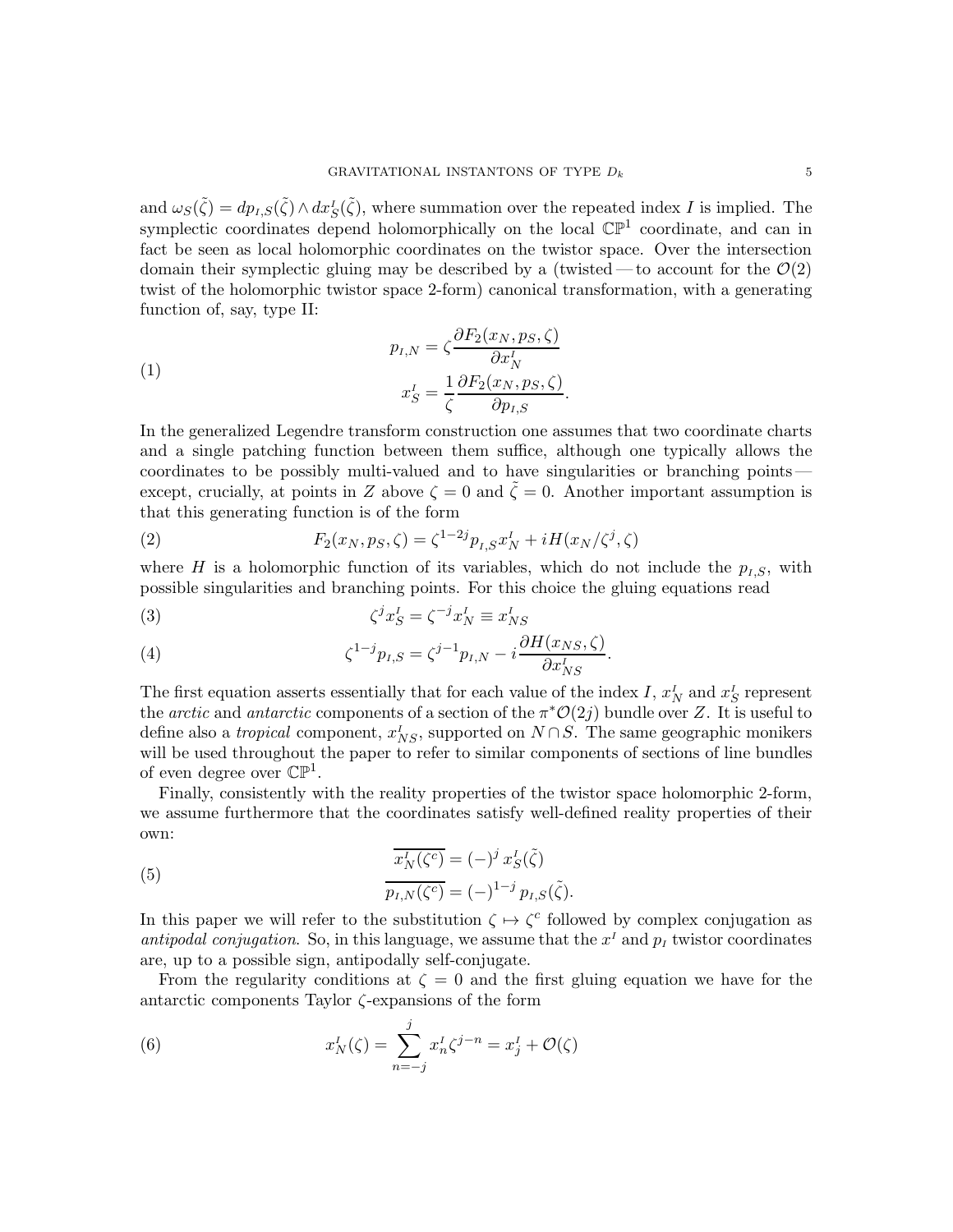and  $\omega_S(\tilde{\zeta}) = dp_{I,S}(\tilde{\zeta}) \wedge dx_S^I(\tilde{\zeta})$ , where summation over the repeated index I is implied. The symplectic coordinates depend holomorphically on the local  $\mathbb{CP}^1$  coordinate, and can in fact be seen as local holomorphic coordinates on the twistor space. Over the intersection domain their symplectic gluing may be described by a (twisted — to account for the  $\mathcal{O}(2)$ ) twist of the holomorphic twistor space 2-form) canonical transformation, with a generating function of, say, type II:

(1)  

$$
p_{I,N} = \zeta \frac{\partial F_2(x_N, p_S, \zeta)}{\partial x_N^I}
$$

$$
x_S^I = \frac{1}{\zeta} \frac{\partial F_2(x_N, p_S, \zeta)}{\partial p_{I,S}}.
$$

In the generalized Legendre transform construction one assumes that two coordinate charts and a single patching function between them suffice, although one typically allows the coordinates to be possibly multi-valued and to have singularities or branching points except, crucially, at points in Z above  $\zeta = 0$  and  $\tilde{\zeta} = 0$ . Another important assumption is that this generating function is of the form

(2) 
$$
F_2(x_N, p_S, \zeta) = \zeta^{1-2j} p_{I,S} x_N^I + i H(x_N/\zeta^j, \zeta)
$$

where H is a holomorphic function of its variables, which do not include the  $p_{I,S}$ , with possible singularities and branching points. For this choice the gluing equations read

<span id="page-4-0"></span>(3) 
$$
\zeta^j x_S^I = \zeta^{-j} x_N^I \equiv x_{NS}^I
$$

<span id="page-4-1"></span>(4) 
$$
\zeta^{1-j} p_{I,S} = \zeta^{j-1} p_{I,N} - i \frac{\partial H(x_{NS}, \zeta)}{\partial x_{NS}^I}.
$$

The first equation asserts essentially that for each value of the index I,  $x_N^I$  and  $x_S^I$  represent the *arctic* and *antarctic* components of a section of the  $\pi^*{\mathcal{O}}(2j)$  bundle over Z. It is useful to define also a *tropical* component,  $x_{NS}^I$ , supported on  $N \cap S$ . The same geographic monikers will be used throughout the paper to refer to similar components of sections of line bundles of even degree over  $\mathbb{CP}^1$ .

Finally, consistently with the reality properties of the twistor space holomorphic 2-form, we assume furthermore that the coordinates satisfy well-defined reality properties of their own:

<span id="page-4-2"></span>(5) 
$$
\overline{x_N^I(\zeta^c)} = (-)^j x_S^I(\tilde{\zeta}) \n\overline{p_{I,N}(\zeta^c)} = (-)^{1-j} p_{I,S}(\tilde{\zeta}).
$$

In this paper we will refer to the substitution  $\zeta \mapsto \zeta^c$  followed by complex conjugation as antipodal conjugation. So, in this language, we assume that the  $x<sup>I</sup>$  and  $p<sub>I</sub>$  twistor coordinates are, up to a possible sign, antipodally self-conjugate.

From the regularity conditions at  $\zeta = 0$  and the first gluing equation we have for the antarctic components Taylor  $\zeta$ -expansions of the form

(6) 
$$
x_N^I(\zeta) = \sum_{n=-j}^j x_n^I \zeta^{j-n} = x_j^I + \mathcal{O}(\zeta)
$$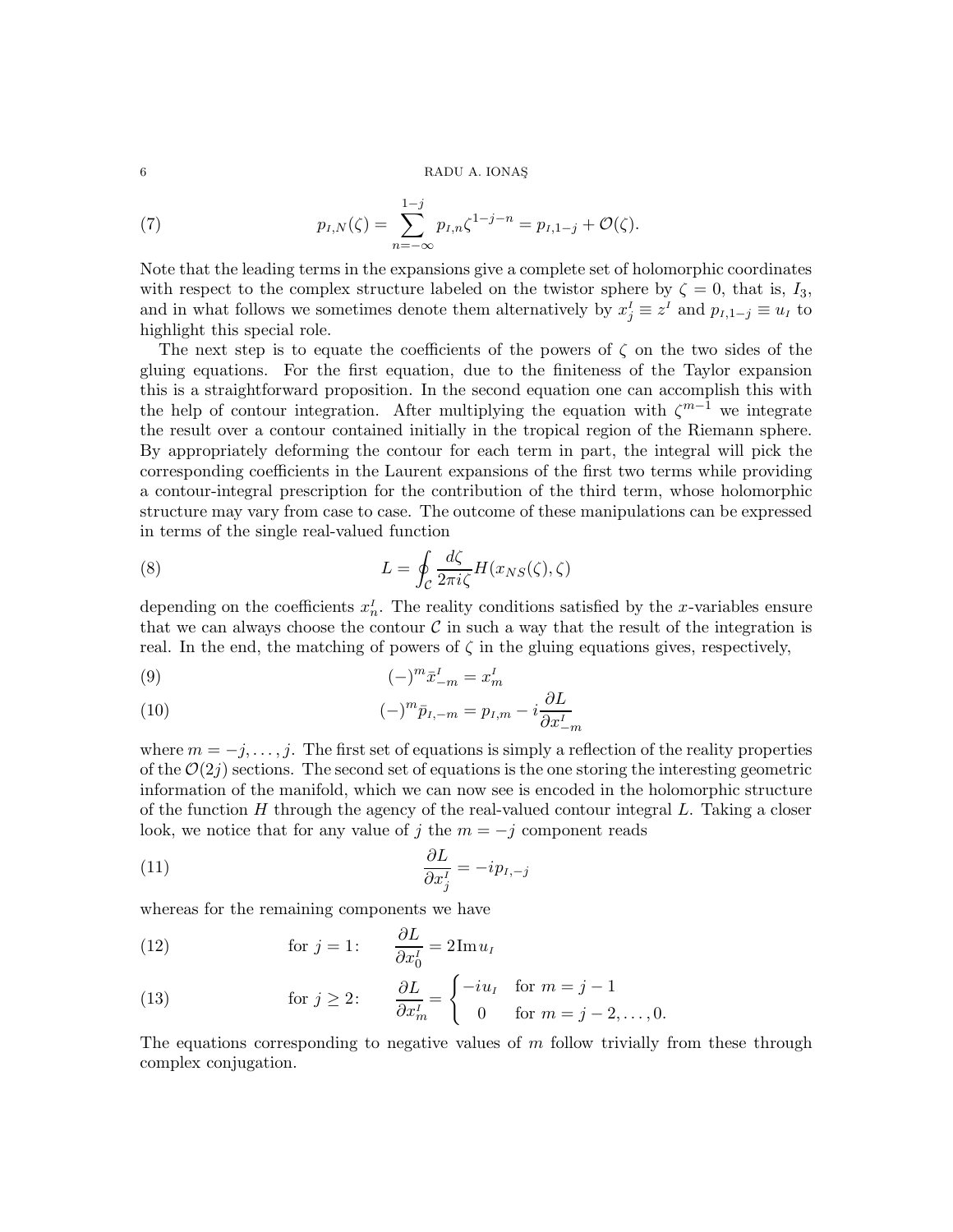(7) 
$$
p_{I,N}(\zeta) = \sum_{n=-\infty}^{1-j} p_{I,n} \zeta^{1-j-n} = p_{I,1-j} + \mathcal{O}(\zeta).
$$

Note that the leading terms in the expansions give a complete set of holomorphic coordinates with respect to the complex structure labeled on the twistor sphere by  $\zeta = 0$ , that is,  $I_3$ , and in what follows we sometimes denote them alternatively by  $x_j^I \equiv z^I$  and  $p_{I,1-j} \equiv u_I$  to highlight this special role.

The next step is to equate the coefficients of the powers of  $\zeta$  on the two sides of the gluing equations. For the first equation, due to the finiteness of the Taylor expansion this is a straightforward proposition. In the second equation one can accomplish this with the help of contour integration. After multiplying the equation with  $\zeta^{m-1}$  we integrate the result over a contour contained initially in the tropical region of the Riemann sphere. By appropriately deforming the contour for each term in part, the integral will pick the corresponding coefficients in the Laurent expansions of the first two terms while providing a contour-integral prescription for the contribution of the third term, whose holomorphic structure may vary from case to case. The outcome of these manipulations can be expressed in terms of the single real-valued function

<span id="page-5-2"></span>(8) 
$$
L = \oint_C \frac{d\zeta}{2\pi i \zeta} H(x_{NS}(\zeta), \zeta)
$$

depending on the coefficients  $x_n^I$ . The reality conditions satisfied by the x-variables ensure that we can always choose the contour  $\mathcal C$  in such a way that the result of the integration is real. In the end, the matching of powers of  $\zeta$  in the gluing equations gives, respectively,

<span id="page-5-3"></span>
$$
(9) \qquad \qquad (-)^m \bar{x}_{-m}^I = x_m^I
$$

(10) 
$$
(-)^{m} \bar{p}_{I,-m} = p_{I,m} - i \frac{\partial L}{\partial x_{-m}^{I}}
$$

where  $m = -j, \ldots, j$ . The first set of equations is simply a reflection of the reality properties of the  $\mathcal{O}(2j)$  sections. The second set of equations is the one storing the interesting geometric information of the manifold, which we can now see is encoded in the holomorphic structure of the function  $H$  through the agency of the real-valued contour integral  $L$ . Taking a closer look, we notice that for any value of j the  $m = -j$  component reads

$$
\frac{\partial L}{\partial x_j^I} = -ip_{I,-j}
$$

whereas for the remaining components we have

<span id="page-5-0"></span>(12) for 
$$
j = 1
$$
:  $\frac{\partial L}{\partial x_0^I} = 2 \text{Im} \, u_I$ 

<span id="page-5-1"></span>(13) 
$$
\text{for } j \geq 2: \qquad \frac{\partial L}{\partial x_m^j} = \begin{cases} -iu_I & \text{for } m = j - 1 \\ 0 & \text{for } m = j - 2, \dots, 0. \end{cases}
$$

The equations corresponding to negative values of  $m$  follow trivially from these through complex conjugation.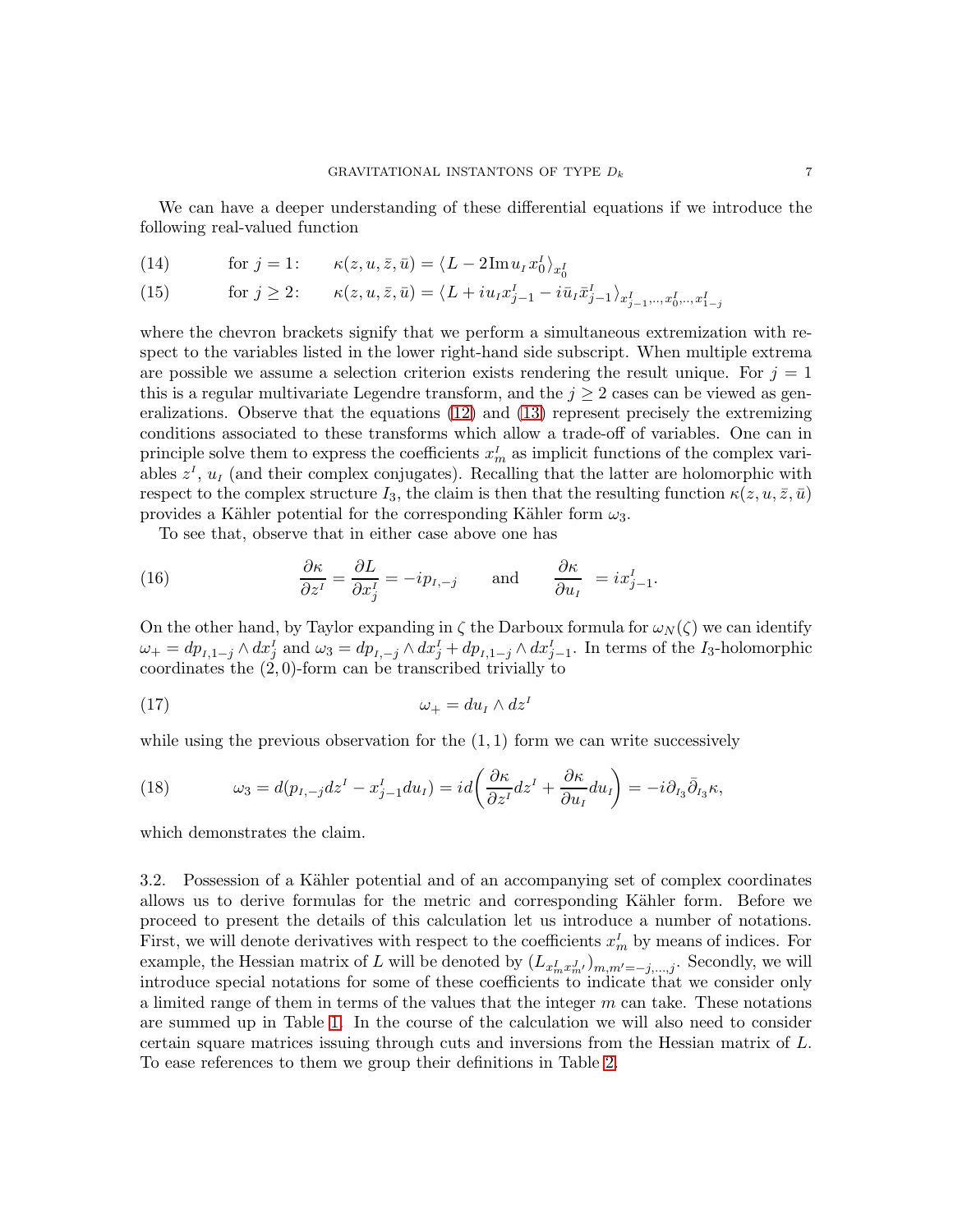We can have a deeper understanding of these differential equations if we introduce the following real-valued function

(14) for 
$$
j = 1
$$
:  $\kappa(z, u, \bar{z}, \bar{u}) = \langle L - 2\mathrm{Im} u_I x_0^I \rangle_{x_0^I}$ 

(15) for 
$$
j \ge 2
$$
:  $\kappa(z, u, \bar{z}, \bar{u}) = \langle L + i u_I x_{j-1}^I - i \bar{u}_I \bar{x}_{j-1}^I \rangle_{x_{j-1}^I, \dots, x_0^I, \dots, x_{1-j}^I}$ 

where the chevron brackets signify that we perform a simultaneous extremization with respect to the variables listed in the lower right-hand side subscript. When multiple extrema are possible we assume a selection criterion exists rendering the result unique. For  $j = 1$ this is a regular multivariate Legendre transform, and the  $j \geq 2$  cases can be viewed as generalizations. Observe that the equations [\(12\)](#page-5-0) and [\(13\)](#page-5-1) represent precisely the extremizing conditions associated to these transforms which allow a trade-off of variables. One can in principle solve them to express the coefficients  $x_m^I$  as implicit functions of the complex variables  $z<sup>I</sup>$ ,  $u<sub>I</sub>$  (and their complex conjugates). Recalling that the latter are holomorphic with respect to the complex structure I<sub>3</sub>, the claim is then that the resulting function  $\kappa(z, u, \bar{z}, \bar{u})$ provides a Kähler potential for the corresponding Kähler form  $\omega_3$ .

<span id="page-6-0"></span>To see that, observe that in either case above one has

(16) 
$$
\frac{\partial \kappa}{\partial z^I} = \frac{\partial L}{\partial x^I_j} = -ip_{I,-j} \quad \text{and} \quad \frac{\partial \kappa}{\partial u_I} = ix^I_{j-1}.
$$

On the other hand, by Taylor expanding in  $\zeta$  the Darboux formula for  $\omega_N(\zeta)$  we can identify  $\omega_+ = dp_{I,1-j} \wedge dx_j^I$  and  $\omega_3 = dp_{I,-j} \wedge dx_j^I + dp_{I,1-j} \wedge dx_{j-1}^I$ . In terms of the I<sub>3</sub>-holomorphic coordinates the (2, 0)-form can be transcribed trivially to

$$
\omega_+ = du_I \wedge dz^I
$$

while using the previous observation for the  $(1, 1)$  form we can write successively

(18) 
$$
\omega_3 = d(p_{I, -j}dz^I - x_{j-1}^I du_I) = id \left( \frac{\partial \kappa}{\partial z^I} dz^I + \frac{\partial \kappa}{\partial u_I} du_I \right) = -i \partial_{I_3} \bar{\partial}_{I_3} \kappa,
$$

which demonstrates the claim.

3.2. Possession of a Kähler potential and of an accompanying set of complex coordinates allows us to derive formulas for the metric and corresponding K¨ahler form. Before we proceed to present the details of this calculation let us introduce a number of notations. First, we will denote derivatives with respect to the coefficients  $x_m^I$  by means of indices. For example, the Hessian matrix of L will be denoted by  $(L_{x_m^I x_m^J})_{m,m'=-j,\dots,j}$ . Secondly, we will introduce special notations for some of these coefficients to indicate that we consider only a limited range of them in terms of the values that the integer  $m$  can take. These notations are summed up in Table [1.](#page-7-0) In the course of the calculation we will also need to consider certain square matrices issuing through cuts and inversions from the Hessian matrix of L. To ease references to them we group their definitions in Table [2.](#page-7-1)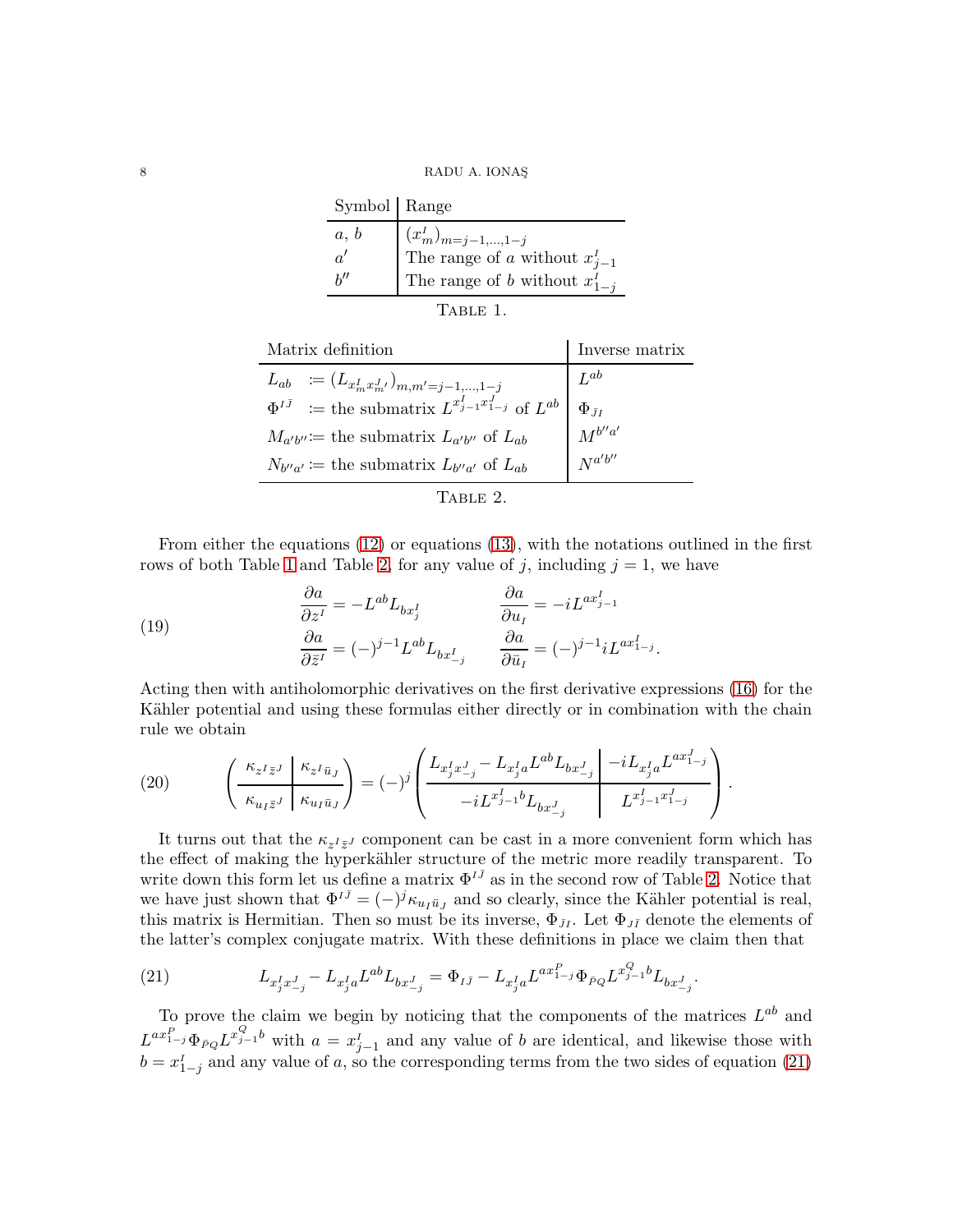8 RADU A. IONAŞ

| Symbol   Range |                                                                                                            |
|----------------|------------------------------------------------------------------------------------------------------------|
| a, b           | $\begin{cases} (x_m^I)_{m=j-1,\dots,1-j} \\ \text{The range of } a \text{ without } x_{j-1}^I \end{cases}$ |
| a!             |                                                                                                            |
| h''            | The range of b without $x_{1-i}^r$                                                                         |

<span id="page-7-1"></span><span id="page-7-0"></span>

| nı, |
|-----|
|-----|

| Matrix definition                                                       | Inverse matrix    |
|-------------------------------------------------------------------------|-------------------|
| $L_{ab} := (L_{x_m^I x_m^J})_{m,m'=j-1,\ldots,1-j}$                     | $L^{ab}$          |
| $\Phi^{I\bar{J}}$ = the submatrix $L^{x_{j-1}^I x_{1-j}^J}$ of $L^{ab}$ | $\Phi_{\bar{J}I}$ |
| $M_{a'b''}$ := the submatrix $L_{a'b''}$ of $L_{ab}$                    | $M^{b''a'}$       |
| $N_{b''a'} \coloneqq$ the submatrix $L_{b''a'}$ of $L_{ab}$             | $N^{a'b''}$       |
|                                                                         |                   |

From either the equations [\(12\)](#page-5-0) or equations [\(13\)](#page-5-1), with the notations outlined in the first rows of both Table [1](#page-7-0) and Table [2,](#page-7-1) for any value of j, including  $j = 1$ , we have

(19) 
$$
\begin{aligned}\n\frac{\partial a}{\partial z^I} &= -L^{ab} L_{bx_j^I} & \frac{\partial a}{\partial u_I} &= -iL^{ax_{j-1}^I} \\
\frac{\partial a}{\partial \bar{z}^I} &= (-)^{j-1} L^{ab} L_{bx_{-j}^I} & \frac{\partial a}{\partial \bar{u}_I} &= (-)^{j-1} iL^{ax_{1-j}^I}.\n\end{aligned}
$$

Acting then with antiholomorphic derivatives on the first derivative expressions [\(16\)](#page-6-0) for the Kähler potential and using these formulas either directly or in combination with the chain rule we obtain

(20) 
$$
\left(\frac{\kappa_{z^I\bar{z}^J}|\kappa_{z^I\bar{u}_J}}{\kappa_{u_I\bar{z}^J}|\kappa_{u_I\bar{u}_J}}\right) = (-)^j \left(\frac{L_{x_j^I x_{-j}^J} - L_{x_j^I a} L^{ab} L_{bx_{-j}^J}|\n-i L_{x_j^I a} L^{ax_{1-j}^I}}{-i L^{x_{j-1}^I b} L_{bx_{-j}^J}\n-i L_{x_{j-1}^I x_{1-j}^J}}\right).
$$

It turns out that the  $\kappa_{z^I \bar{z}^J}$  component can be cast in a more convenient form which has the effect of making the hyperkähler structure of the metric more readily transparent. To write down this form let us define a matrix  $\Phi^{I\bar{J}}$  as in the second row of Table [2.](#page-7-1) Notice that we have just shown that  $\Phi^{I\bar{J}} = (-)^j \kappa_{u_I \bar{u}_J}$  and so clearly, since the Kähler potential is real, this matrix is Hermitian. Then so must be its inverse,  $\Phi_{JI}$ . Let  $\Phi_{J\bar{I}}$  denote the elements of the latter's complex conjugate matrix. With these definitions in place we claim then that

<span id="page-7-2"></span>(21) 
$$
L_{x_j^I x_{-j}^J} - L_{x_j^I a} L^{ab} L_{bx_{-j}^J} = \Phi_{I\bar{J}} - L_{x_j^I a} L^{ax_{1-j}^P} \Phi_{\bar{P}Q} L^{x_{j-1}^Q b} L_{bx_{-j}^J}.
$$

To prove the claim we begin by noticing that the components of the matrices  $L^{ab}$  and  $L^{ax_1^p} \Phi_{PQ} L^{x_1^Q}$  with  $a = x_{j-1}^I$  and any value of b are identical, and likewise those with  $b = x_{1-j}^I$  and any value of a, so the corresponding terms from the two sides of equation [\(21\)](#page-7-2)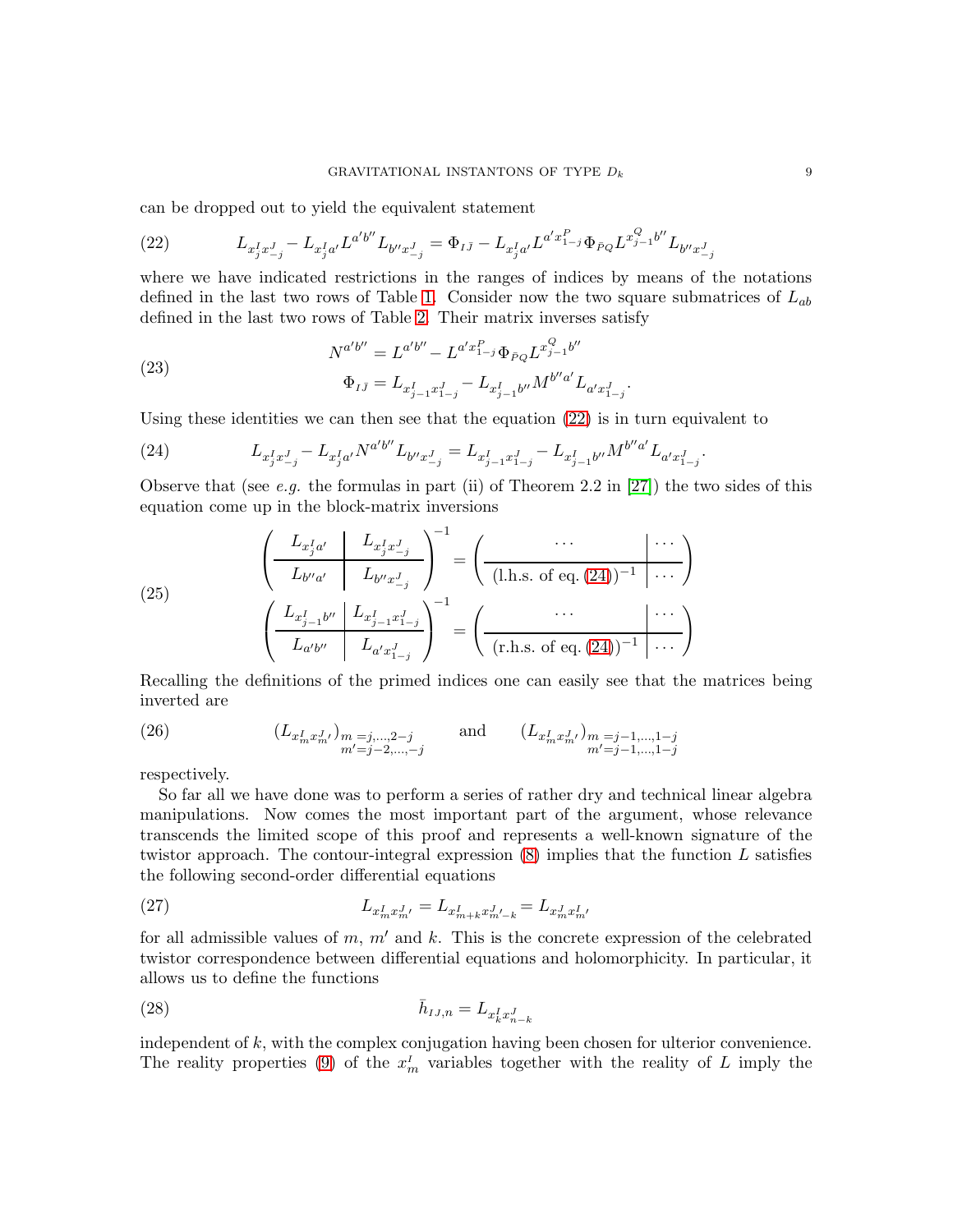can be dropped out to yield the equivalent statement

<span id="page-8-0"></span>(22) 
$$
L_{x_j^I x_{-j}^J} - L_{x_j^I a'} L^{a'b''} L_{b'' x_{-j}^J} = \Phi_{I\bar{J}} - L_{x_j^I a'} L^{a' x_{1-j}^P} \Phi_{\bar{P}Q} L^{x_{j-1}^Q b''} L_{b'' x_{-j}^J}
$$

where we have indicated restrictions in the ranges of indices by means of the notations defined in the last two rows of Table [1.](#page-7-0) Consider now the two square submatrices of  $L_{ab}$ defined in the last two rows of Table [2.](#page-7-1) Their matrix inverses satisfy

(23) 
$$
N^{a'b''} = L^{a'b''} - L^{a'x_{1-j}^{p}} \Phi_{\bar{P}Q} L^{x_{j-1}^{Q}b''}
$$

$$
\Phi_{I\bar{J}} = L_{x_{j-1}^{I}x_{1-j}^{I}} - L_{x_{j-1}^{I}b''} M^{b''a'} L_{a'x_{1-j}^{I}}.
$$

Using these identities we can then see that the equation [\(22\)](#page-8-0) is in turn equivalent to

<span id="page-8-1"></span>(24) 
$$
L_{x_j^I x_{-j}^J} - L_{x_j^I a'} N^{a'b''} L_{b'' x_{-j}^J} = L_{x_{j-1}^I x_{1-j}^J} - L_{x_{j-1}^I b''} M^{b'' a'} L_{a' x_{1-j}^J}
$$

Observe that (see e.g. the formulas in part (ii) of Theorem 2.2 in  $[27]$ ) the two sides of this equation come up in the block-matrix inversions

<span id="page-8-3"></span>(25)
$$
\left(\begin{array}{c|c} L_{x_j^I a'} & L_{x_j^I x_{-j}^J} \\ \hline L_{b'' a'} & L_{b'' x_{-j}^J} \end{array}\right)^{-1} = \left(\begin{array}{c|c} \cdots & \cdots \\ \hline (\text{l.h.s. of eq. (24))^{-1}} & \cdots \\ \hline (\text{l.h.s. of eq. (24))^{-1}} & \cdots \\ \hline L_{a'b''} & L_{a' x_{1-j}^J} \end{array}\right)^{-1} = \left(\begin{array}{c|c} \cdots & \cdots \\ \hline (\text{r.h.s. of eq. (24))^{-1}} & \cdots \\ \hline (\text{r.h.s. of eq. (24))^{-1}} & \cdots \end{array}\right)
$$

Recalling the definitions of the primed indices one can easily see that the matrices being inverted are

<span id="page-8-2"></span>(26) 
$$
(L_{x_m^I x_m^{J}})_{m=j,\dots,2-j} = \text{and} \qquad (L_{x_m^I x_m^{J}})_{m=j-1,\dots,1-j} = \prod_{m'=j-1,\dots,1-j}^{n} (L_{x_m^I x_m^{J}})_{m=j-1,\dots,1-j}
$$

respectively.

So far all we have done was to perform a series of rather dry and technical linear algebra manipulations. Now comes the most important part of the argument, whose relevance transcends the limited scope of this proof and represents a well-known signature of the twistor approach. The contour-integral expression  $(8)$  implies that the function L satisfies the following second-order differential equations

<span id="page-8-4"></span>(27) 
$$
L_{x_m^I x_m^J} = L_{x_{m+k}^I x_{m'-k}^J} = L_{x_m^J x_{m'}^I}
$$

for all admissible values of  $m$ ,  $m'$  and  $k$ . This is the concrete expression of the celebrated twistor correspondence between differential equations and holomorphicity. In particular, it allows us to define the functions

<span id="page-8-5"></span>
$$
\bar{h}_{IJ,n} = L_{x_k^I x_{n-k}^J}
$$

independent of k, with the complex conjugation having been chosen for ulterior convenience. The reality properties [\(9\)](#page-5-3) of the  $x_m^I$  variables together with the reality of L imply the

.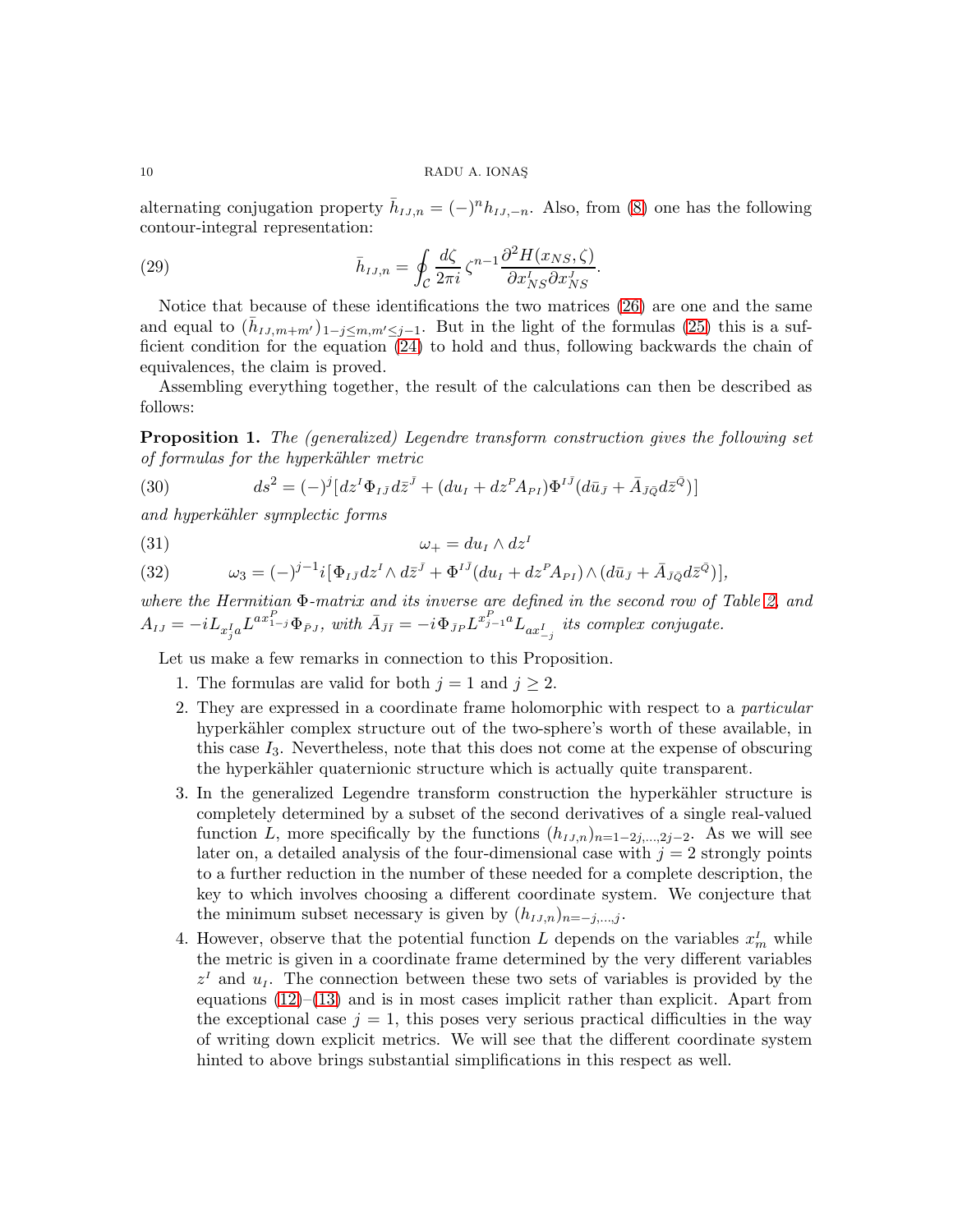alternating conjugation property  $\bar{h}_{IJ,n} = (-)^n h_{IJ,-n}$ . Also, from [\(8\)](#page-5-2) one has the following contour-integral representation:

<span id="page-9-1"></span>(29) 
$$
\bar{h}_{IJ,n} = \oint_C \frac{d\zeta}{2\pi i} \zeta^{n-1} \frac{\partial^2 H(x_{NS}, \zeta)}{\partial x_{NS}^I \partial x_{NS}^J}.
$$

Notice that because of these identifications the two matrices [\(26\)](#page-8-2) are one and the same and equal to  $(\bar{h}_{IJ,m+m'})_{1-j\leq m,m'\leq j-1}$ . But in the light of the formulas [\(25\)](#page-8-3) this is a sufficient condition for the equation [\(24\)](#page-8-1) to hold and thus, following backwards the chain of equivalences, the claim is proved.

Assembling everything together, the result of the calculations can then be described as follows:

<span id="page-9-0"></span>Proposition 1. The (generalized) Legendre transform construction gives the following set of formulas for the hyperkähler metric

(30) 
$$
ds^{2} = (-)^{j} [dz^{I} \Phi_{I\bar{J}} d\bar{z}^{\bar{J}} + (du_{I} + dz^{P} A_{PI}) \Phi^{I\bar{J}} (d\bar{u}_{\bar{J}} + \bar{A}_{\bar{J}\bar{Q}} d\bar{z}^{\bar{Q}})]
$$

and hyperkähler symplectic forms

$$
\omega_+ = du_I \wedge dz^I
$$

(32) 
$$
\omega_3 = (-)^{j-1} i [\Phi_{I\bar{J}} dz^I \wedge d\bar{z}^{\bar{J}} + \Phi^{I\bar{J}} (du_I + dz^P A_{PI}) \wedge (d\bar{u}_{\bar{J}} + \bar{A}_{\bar{J}\bar{Q}} d\bar{z}^{\bar{Q}})],
$$

where the Hermitian Φ-matrix and its inverse are defined in the second row of Table [2,](#page-7-1) and  $A_{IJ}=-iL_{x^I_ja}L^{ax^P_{1-j}}\Phi_{\bar{P}J}, \text{ with } \bar{A}_{\bar{J}\bar{I}}=-i\Phi_{\bar{J}P}L^{x^P_{j-1}a}L_{ax^I_{-j}} \text{ its complex conjugate}.$ 

Let us make a few remarks in connection to this Proposition.

- 1. The formulas are valid for both  $j = 1$  and  $j \geq 2$ .
- 2. They are expressed in a coordinate frame holomorphic with respect to a particular hyperkähler complex structure out of the two-sphere's worth of these available, in this case  $I_3$ . Nevertheless, note that this does not come at the expense of obscuring the hyperkähler quaternionic structure which is actually quite transparent.
- 3. In the generalized Legendre transform construction the hyperkähler structure is completely determined by a subset of the second derivatives of a single real-valued function L, more specifically by the functions  $(h_{IJ,n})_{n=1-2}$ , As we will see later on, a detailed analysis of the four-dimensional case with  $j = 2$  strongly points to a further reduction in the number of these needed for a complete description, the key to which involves choosing a different coordinate system. We conjecture that the minimum subset necessary is given by  $(h_{IJ,n})_{n=-j,\dots,j}$ .
- 4. However, observe that the potential function L depends on the variables  $x_m^I$  while the metric is given in a coordinate frame determined by the very different variables  $z<sup>I</sup>$  and  $u<sub>I</sub>$ . The connection between these two sets of variables is provided by the equations  $(12)$ – $(13)$  and is in most cases implicit rather than explicit. Apart from the exceptional case  $j = 1$ , this poses very serious practical difficulties in the way of writing down explicit metrics. We will see that the different coordinate system hinted to above brings substantial simplifications in this respect as well.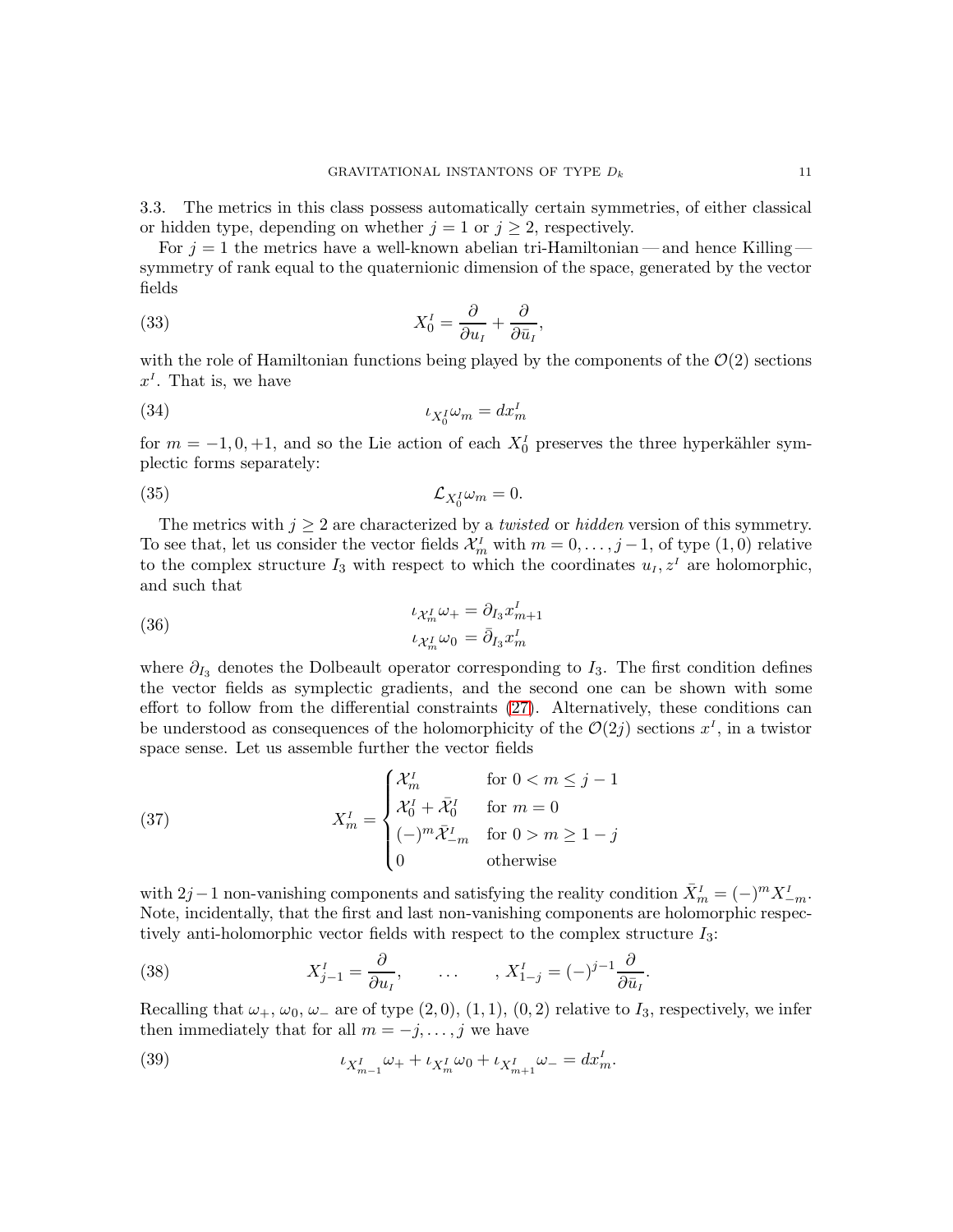3.3. The metrics in this class possess automatically certain symmetries, of either classical or hidden type, depending on whether  $j = 1$  or  $j \geq 2$ , respectively.

For  $j = 1$  the metrics have a well-known abelian tri-Hamiltonian — and hence Killing symmetry of rank equal to the quaternionic dimension of the space, generated by the vector fields

(33) 
$$
X_0^I = \frac{\partial}{\partial u_I} + \frac{\partial}{\partial \bar{u}_I},
$$

with the role of Hamiltonian functions being played by the components of the  $\mathcal{O}(2)$  sections  $x<sup>I</sup>$ . That is, we have

$$
i_{X_0^I} \omega_m = dx_m^I
$$

for  $m = -1, 0, +1$ , and so the Lie action of each  $X_0^I$  preserves the three hyperkähler symplectic forms separately:

(35) 
$$
\mathcal{L}_{X_0^I} \omega_m = 0.
$$

The metrics with  $j \geq 2$  are characterized by a *twisted* or *hidden* version of this symmetry. To see that, let us consider the vector fields  $\mathcal{X}_m^I$  with  $m = 0, \ldots, j-1$ , of type  $(1,0)$  relative to the complex structure  $I_3$  with respect to which the coordinates  $u_I, z^I$  are holomorphic, and such that

(36) 
$$
\iota_{\mathcal{X}_m^I} \omega_+ = \partial_{I_3} x_{m+1}^I
$$

$$
\iota_{\mathcal{X}_m^I} \omega_0 = \bar{\partial}_{I_3} x_m^I
$$

where  $\partial_{I_3}$  denotes the Dolbeault operator corresponding to  $I_3$ . The first condition defines the vector fields as symplectic gradients, and the second one can be shown with some effort to follow from the differential constraints [\(27\)](#page-8-4). Alternatively, these conditions can be understood as consequences of the holomorphicity of the  $\mathcal{O}(2j)$  sections  $x^I$ , in a twistor space sense. Let us assemble further the vector fields

(37) 
$$
X_m^I = \begin{cases} \mathcal{X}_m^I & \text{for } 0 < m \leq j - 1 \\ \mathcal{X}_0^I + \bar{\mathcal{X}}_0^I & \text{for } m = 0 \\ (-)^m \bar{\mathcal{X}}_{-m}^I & \text{for } 0 > m \geq 1 - j \\ 0 & \text{otherwise} \end{cases}
$$

with 2j – 1 non-vanishing components and satisfying the reality condition  $\bar{X}_m^I = (-)^m X_{-m}^I$ . Note, incidentally, that the first and last non-vanishing components are holomorphic respectively anti-holomorphic vector fields with respect to the complex structure I3:

(38) 
$$
X_{j-1}^I = \frac{\partial}{\partial u_I}, \qquad \dots \qquad , X_{1-j}^I = (-)^{j-1} \frac{\partial}{\partial \bar{u}_I}.
$$

Recalling that  $\omega_+$ ,  $\omega_0$ ,  $\omega_-$  are of type  $(2, 0), (1, 1), (0, 2)$  relative to  $I_3$ , respectively, we infer then immediately that for all  $m = -j, \ldots, j$  we have

(39) 
$$
\iota_{X_{m-1}^I}\omega_+ + \iota_{X_m^I}\omega_0 + \iota_{X_{m+1}^I}\omega_- = dx_m^I.
$$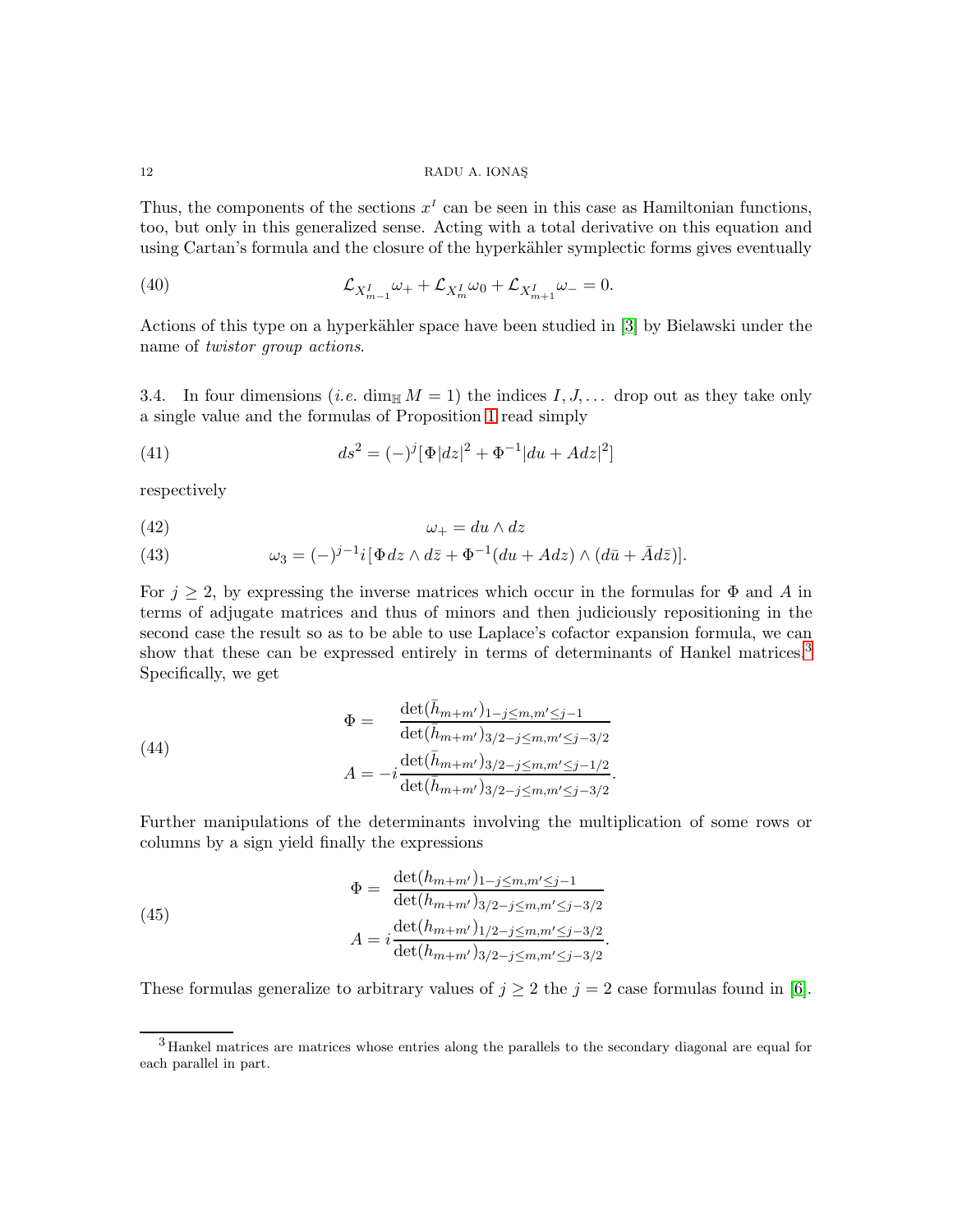Thus, the components of the sections  $x<sup>I</sup>$  can be seen in this case as Hamiltonian functions, too, but only in this generalized sense. Acting with a total derivative on this equation and using Cartan's formula and the closure of the hyperkähler symplectic forms gives eventually

(40) 
$$
\mathcal{L}_{X_{m-1}^I}\omega_{+} + \mathcal{L}_{X_m^I}\omega_0 + \mathcal{L}_{X_{m+1}^I}\omega_{-} = 0.
$$

Actions of this type on a hyperkähler space have been studied in [\[3\]](#page-49-13) by Bielawski under the name of twistor group actions.

3.4. In four dimensions (*i.e.* dim<sub>H</sub>  $M = 1$ ) the indices I, J,... drop out as they take only a single value and the formulas of Proposition [1](#page-9-0) read simply

<span id="page-11-1"></span>(41) 
$$
ds^{2} = (-)^{j} [\Phi |dz|^{2} + \Phi^{-1} |du + Adz|^{2}]
$$

respectively

$$
\omega_+ = du \wedge dz
$$

<span id="page-11-2"></span>(43) 
$$
\omega_3 = (-)^{j-1} i [\Phi dz \wedge d\overline{z} + \Phi^{-1}(du + Adz) \wedge (d\overline{u} + \overline{A}d\overline{z})].
$$

For  $j \geq 2$ , by expressing the inverse matrices which occur in the formulas for  $\Phi$  and A in terms of adjugate matrices and thus of minors and then judiciously repositioning in the second case the result so as to be able to use Laplace's cofactor expansion formula, we can show that these can be expressed entirely in terms of determinants of Hankel matrices.<sup>[3](#page-11-0)</sup> Specifically, we get

(44)  
\n
$$
\Phi = \frac{\det(\bar{h}_{m+m'})_{1-j \leq m,m' \leq j-1}}{\det(\bar{h}_{m+m'})_{3/2-j \leq m,m' \leq j-3/2}}
$$
\n
$$
A = -i \frac{\det(\bar{h}_{m+m'})_{3/2-j \leq m,m' \leq j-1/2}}{\det(\bar{h}_{m+m'})_{3/2-j \leq m,m' \leq j-3/2}}.
$$

Further manipulations of the determinants involving the multiplication of some rows or columns by a sign yield finally the expressions

<span id="page-11-3"></span>(45)  
\n
$$
\Phi = \frac{\det(h_{m+m'})_{1-j \leq m,m' \leq j-1}}{\det(h_{m+m'})_{3/2-j \leq m,m' \leq j-3/2}}
$$
\n
$$
A = i \frac{\det(h_{m+m'})_{1/2-j \leq m,m' \leq j-3/2}}{\det(h_{m+m'})_{3/2-j \leq m,m' \leq j-3/2}}.
$$

These formulas generalize to arbitrary values of  $j \geq 2$  the  $j = 2$  case formulas found in [\[6\]](#page-49-4).

<span id="page-11-0"></span><sup>&</sup>lt;sup>3</sup> Hankel matrices are matrices whose entries along the parallels to the secondary diagonal are equal for each parallel in part.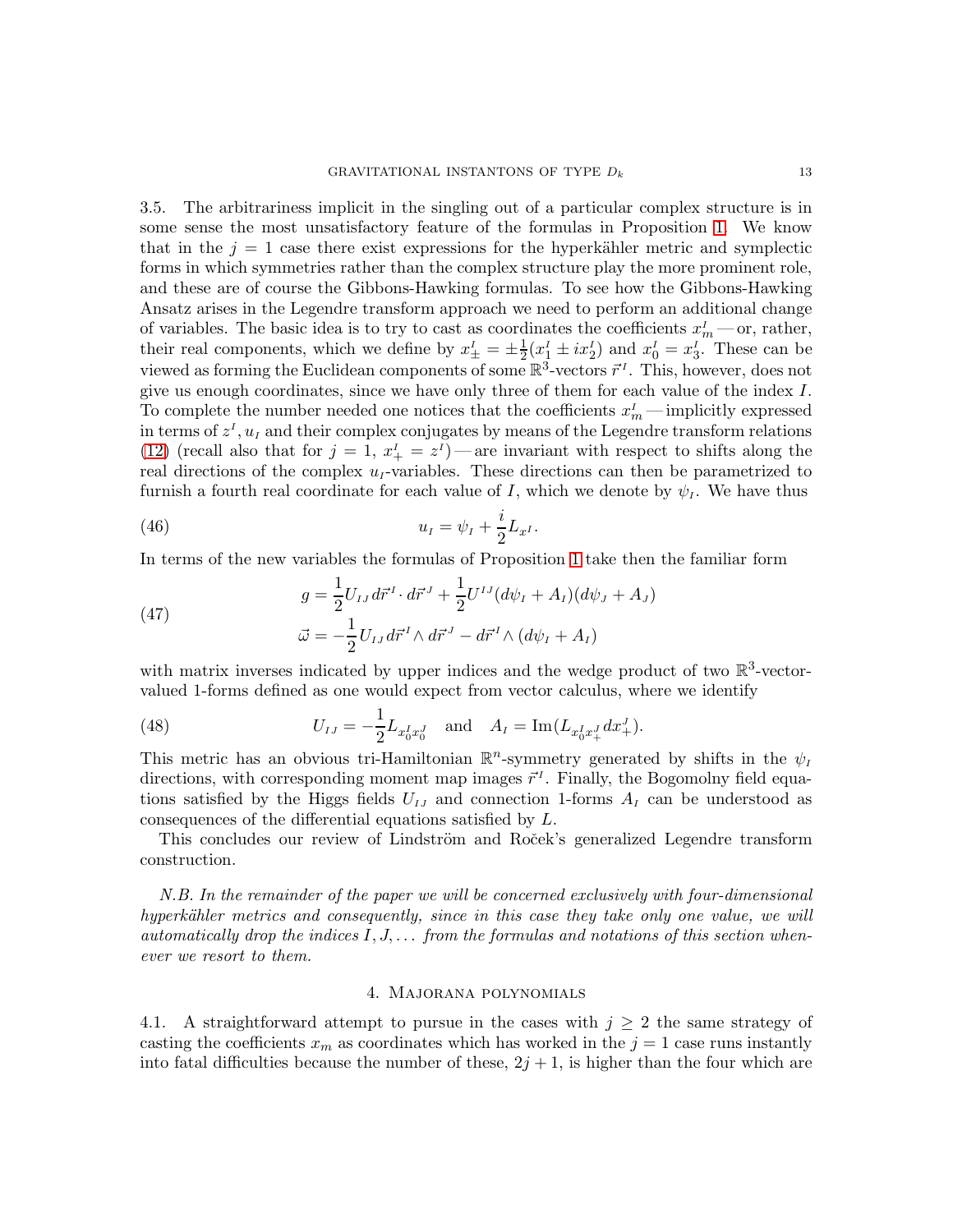3.5. The arbitrariness implicit in the singling out of a particular complex structure is in some sense the most unsatisfactory feature of the formulas in Proposition [1.](#page-9-0) We know that in the  $j = 1$  case there exist expressions for the hyperkähler metric and symplectic forms in which symmetries rather than the complex structure play the more prominent role, and these are of course the Gibbons-Hawking formulas. To see how the Gibbons-Hawking Ansatz arises in the Legendre transform approach we need to perform an additional change of variables. The basic idea is to try to cast as coordinates the coefficients  $x_m^I$  — or, rather, their real components, which we define by  $x_{\pm}^I = \pm \frac{1}{2} (x_1^I \pm ix_2^I)$  and  $x_0^I = x_3^I$ . These can be viewed as forming the Euclidean components of some  $\mathbb{R}^3$ -vectors  $\vec{r}^I$ . This, however, does not give us enough coordinates, since we have only three of them for each value of the index I. To complete the number needed one notices that the coefficients  $x_m^I$ —implicitly expressed in terms of  $z<sup>I</sup>$ ,  $u<sub>I</sub>$  and their complex conjugates by means of the Legendre transform relations [\(12\)](#page-5-0) (recall also that for  $j = 1, x'_{+} = z^{I}$ ) — are invariant with respect to shifts along the real directions of the complex  $u<sub>I</sub>$ -variables. These directions can then be parametrized to furnish a fourth real coordinate for each value of I, which we denote by  $\psi_I$ . We have thus

(46) 
$$
u_{I} = \psi_{I} + \frac{i}{2}L_{x^{I}}.
$$

In terms of the new variables the formulas of Proposition [1](#page-9-0) take then the familiar form

(47) 
$$
g = \frac{1}{2} U_{IJ} d\vec{r}^I \cdot d\vec{r}^J + \frac{1}{2} U^{IJ} (d\psi_I + A_I) (d\psi_J + A_J) \n\vec{\omega} = -\frac{1}{2} U_{IJ} d\vec{r}^I \wedge d\vec{r}^J - d\vec{r}^I \wedge (d\psi_I + A_I)
$$

with matrix inverses indicated by upper indices and the wedge product of two  $\mathbb{R}^3$ -vectorvalued 1-forms defined as one would expect from vector calculus, where we identify

<span id="page-12-0"></span>(48) 
$$
U_{IJ} = -\frac{1}{2} L_{x_0^I x_0^J} \text{ and } A_I = \text{Im}(L_{x_0^I x_+^J} dx_+^J).
$$

This metric has an obvious tri-Hamiltonian  $\mathbb{R}^n$ -symmetry generated by shifts in the  $\psi_I$ directions, with corresponding moment map images  $\vec{r}^I$ . Finally, the Bogomolny field equations satisfied by the Higgs fields  $U_{IJ}$  and connection 1-forms  $A_I$  can be understood as consequences of the differential equations satisfied by L.

This concludes our review of Lindström and Roček's generalized Legendre transform construction.

N.B. In the remainder of the paper we will be concerned exclusively with four-dimensional hyperkähler metrics and consequently, since in this case they take only one value, we will automatically drop the indices  $I, J, \ldots$  from the formulas and notations of this section whenever we resort to them.

# 4. Majorana polynomials

<span id="page-12-1"></span>4.1. A straightforward attempt to pursue in the cases with  $j \geq 2$  the same strategy of casting the coefficients  $x_m$  as coordinates which has worked in the  $j = 1$  case runs instantly into fatal difficulties because the number of these,  $2j + 1$ , is higher than the four which are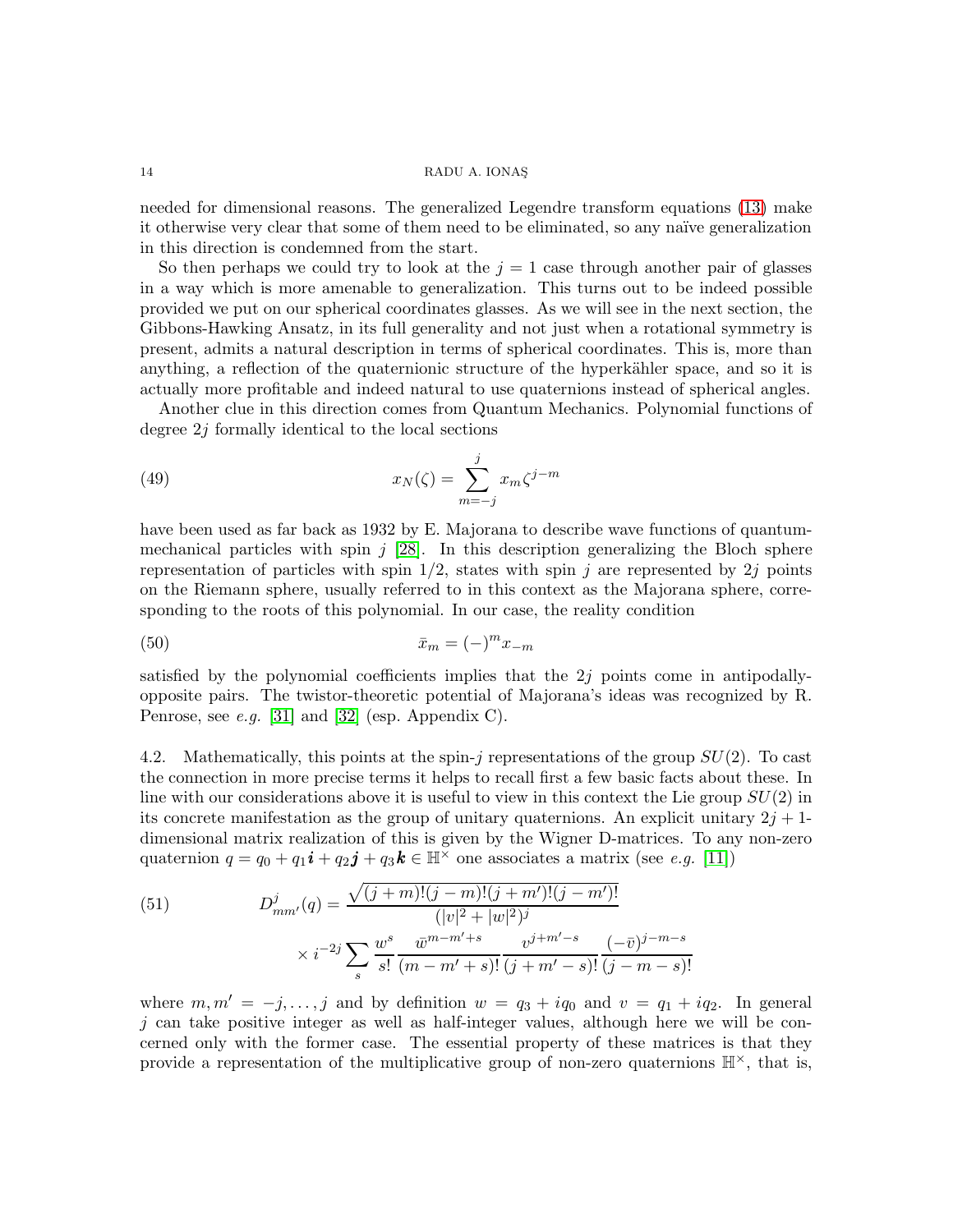needed for dimensional reasons. The generalized Legendre transform equations [\(13\)](#page-5-1) make it otherwise very clear that some of them need to be eliminated, so any naïve generalization in this direction is condemned from the start.

So then perhaps we could try to look at the  $j = 1$  case through another pair of glasses in a way which is more amenable to generalization. This turns out to be indeed possible provided we put on our spherical coordinates glasses. As we will see in the next section, the Gibbons-Hawking Ansatz, in its full generality and not just when a rotational symmetry is present, admits a natural description in terms of spherical coordinates. This is, more than anything, a reflection of the quaternionic structure of the hyperkähler space, and so it is actually more profitable and indeed natural to use quaternions instead of spherical angles.

Another clue in this direction comes from Quantum Mechanics. Polynomial functions of degree 2j formally identical to the local sections

<span id="page-13-1"></span>(49) 
$$
x_N(\zeta) = \sum_{m=-j}^j x_m \zeta^{j-m}
$$

have been used as far back as 1932 by E. Majorana to describe wave functions of quantummechanical particles with spin  $j$  [\[28\]](#page-50-6). In this description generalizing the Bloch sphere representation of particles with spin  $1/2$ , states with spin j are represented by 2j points on the Riemann sphere, usually referred to in this context as the Majorana sphere, corresponding to the roots of this polynomial. In our case, the reality condition

<span id="page-13-0"></span>
$$
\bar{x}_m = (-)^m x_{-m}
$$

satisfied by the polynomial coefficients implies that the  $2j$  points come in antipodallyopposite pairs. The twistor-theoretic potential of Majorana's ideas was recognized by R. Penrose, see e.g. [\[31\]](#page-50-7) and [\[32\]](#page-50-8) (esp. Appendix C).

4.2. Mathematically, this points at the spin-j representations of the group  $SU(2)$ . To cast the connection in more precise terms it helps to recall first a few basic facts about these. In line with our considerations above it is useful to view in this context the Lie group  $SU(2)$  in its concrete manifestation as the group of unitary quaternions. An explicit unitary  $2j + 1$ dimensional matrix realization of this is given by the Wigner D-matrices. To any non-zero quaternion  $q = q_0 + q_1 i + q_2 j + q_3 k \in \mathbb{H}^\times$  one associates a matrix (see *e.g.* [\[11\]](#page-49-14))

(51) 
$$
D_{mm'}^j(q) = \frac{\sqrt{(j+m)!(j-m)!(j+m')!(j-m')!}}{(|v|^2 + |w|^2)^j} \times i^{-2j} \sum_s \frac{w^s}{s!} \frac{\overline{w}^{m-m'+s}}{(m-m'+s)!} \frac{v^{j+m'-s}}{(j+m'-s)!} \frac{(-\overline{v})^{j-m-s}}{(j-m-s)!}
$$

where  $m, m' = -j, \ldots, j$  and by definition  $w = q_3 + iq_0$  and  $v = q_1 + iq_2$ . In general  $j$  can take positive integer as well as half-integer values, although here we will be concerned only with the former case. The essential property of these matrices is that they provide a representation of the multiplicative group of non-zero quaternions  $\mathbb{H}^{\times}$ , that is,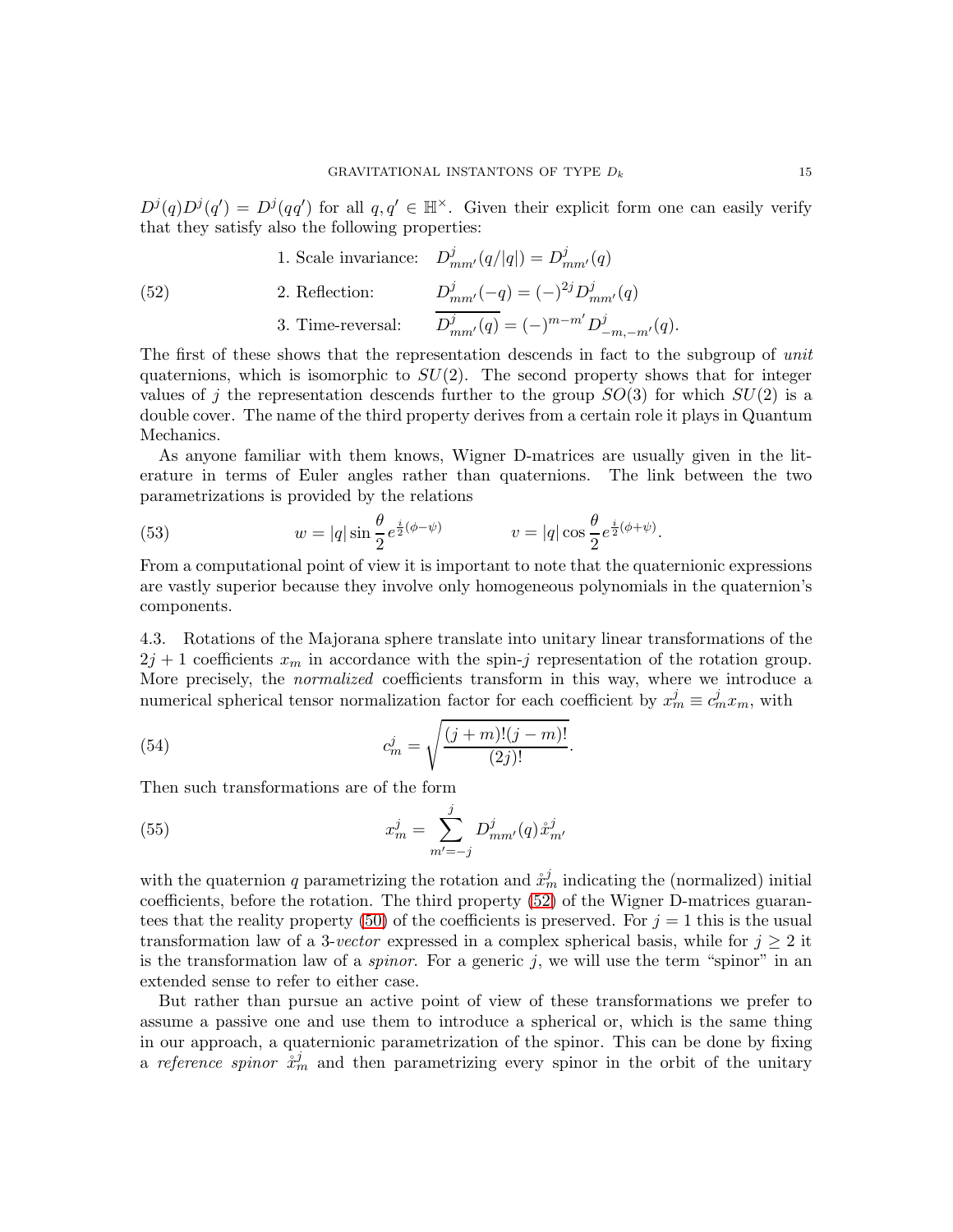$D^{j}(q)D^{j}(q') = D^{j}(qq')$  for all  $q, q' \in \mathbb{H}^{\times}$ . Given their explicit form one can easily verify that they satisfy also the following properties:

<span id="page-14-0"></span>(52) 1. Scale invariance: 
$$
D_{mm'}^{j}(q/|q|) = D_{mm'}^{j}(q)
$$
  
\n2. Reflection:  $D_{mm'}^{j}(-q) = (-)^{2j} D_{mm'}^{j}(q)$   
\n3. Time-reversal:  $\overline{D_{mm'}^{j}(q)} = (-)^{m-m'} D_{-m,-m'}^{j}(q)$ .

The first of these shows that the representation descends in fact to the subgroup of unit quaternions, which is isomorphic to  $SU(2)$ . The second property shows that for integer values of j the representation descends further to the group  $SO(3)$  for which  $SU(2)$  is a double cover. The name of the third property derives from a certain role it plays in Quantum Mechanics.

As anyone familiar with them knows, Wigner D-matrices are usually given in the literature in terms of Euler angles rather than quaternions. The link between the two parametrizations is provided by the relations

(53) 
$$
w = |q| \sin \frac{\theta}{2} e^{\frac{i}{2}(\phi - \psi)} \qquad v = |q| \cos \frac{\theta}{2} e^{\frac{i}{2}(\phi + \psi)}.
$$

From a computational point of view it is important to note that the quaternionic expressions are vastly superior because they involve only homogeneous polynomials in the quaternion's components.

4.3. Rotations of the Majorana sphere translate into unitary linear transformations of the  $2j + 1$  coefficients  $x_m$  in accordance with the spin-j representation of the rotation group. More precisely, the *normalized* coefficients transform in this way, where we introduce a numerical spherical tensor normalization factor for each coefficient by  $x_m^j \equiv c_m^j x_m$ , with

<span id="page-14-2"></span>(54) 
$$
c_m^j = \sqrt{\frac{(j+m)!(j-m)!}{(2j)!}}.
$$

Then such transformations are of the form

<span id="page-14-1"></span>(55) 
$$
x_m^j = \sum_{m'=-j}^j D_{mm'}^j(q) \dot{x}_{m'}^j
$$

with the quaternion q parametrizing the rotation and  $\mathring{x}_m^j$  indicating the (normalized) initial coefficients, before the rotation. The third property [\(52\)](#page-14-0) of the Wigner D-matrices guaran-tees that the reality property [\(50\)](#page-13-0) of the coefficients is preserved. For  $j = 1$  this is the usual transformation law of a 3-vector expressed in a complex spherical basis, while for  $j \geq 2$  it is the transformation law of a *spinor*. For a generic  $j$ , we will use the term "spinor" in an extended sense to refer to either case.

But rather than pursue an active point of view of these transformations we prefer to assume a passive one and use them to introduce a spherical or, which is the same thing in our approach, a quaternionic parametrization of the spinor. This can be done by fixing a reference spinor  $\dot{x}_m^j$  and then parametrizing every spinor in the orbit of the unitary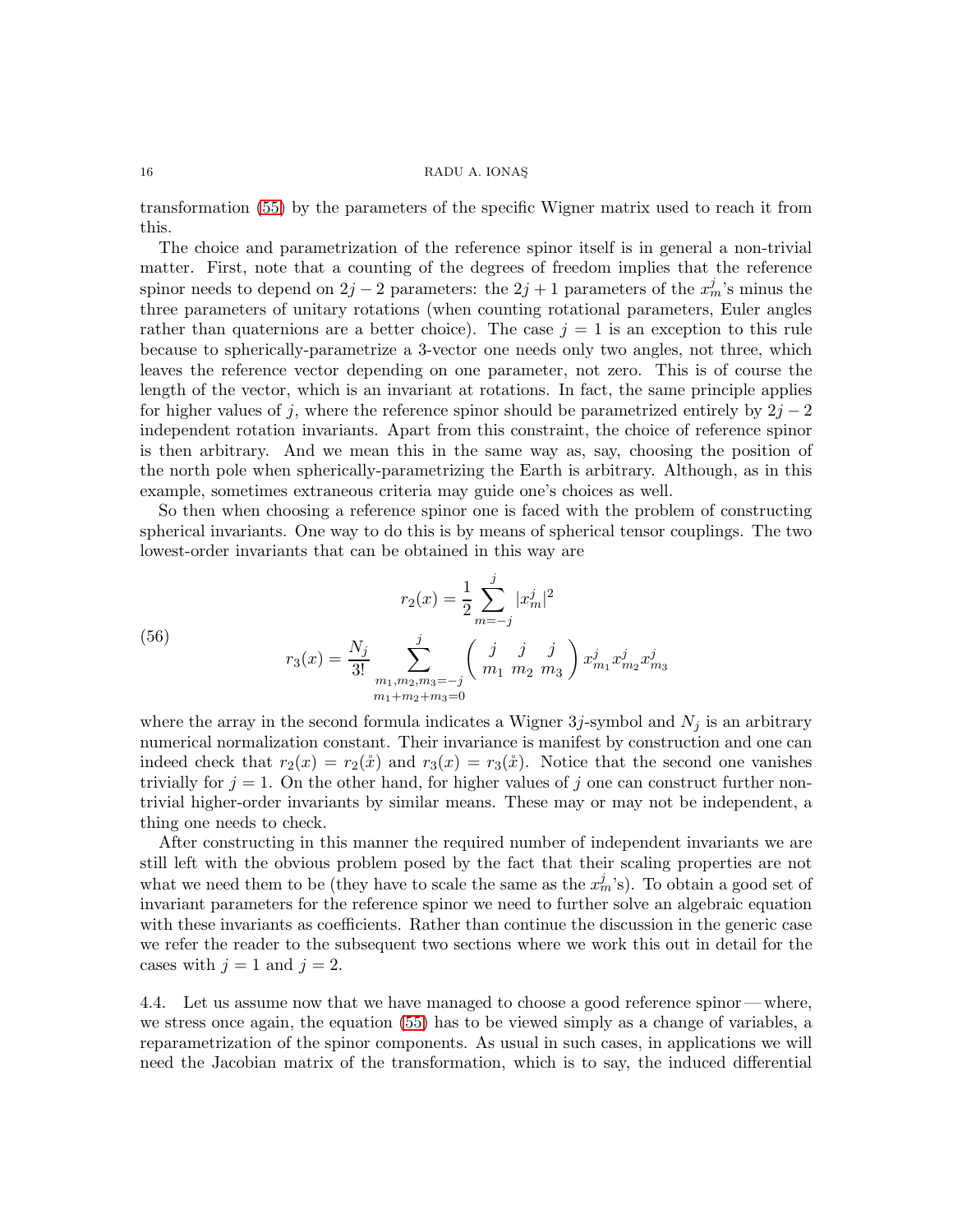transformation [\(55\)](#page-14-1) by the parameters of the specific Wigner matrix used to reach it from this.

The choice and parametrization of the reference spinor itself is in general a non-trivial matter. First, note that a counting of the degrees of freedom implies that the reference spinor needs to depend on  $2j - 2$  parameters: the  $2j + 1$  parameters of the  $x_m^j$ 's minus the three parameters of unitary rotations (when counting rotational parameters, Euler angles rather than quaternions are a better choice). The case  $j = 1$  is an exception to this rule because to spherically-parametrize a 3-vector one needs only two angles, not three, which leaves the reference vector depending on one parameter, not zero. This is of course the length of the vector, which is an invariant at rotations. In fact, the same principle applies for higher values of j, where the reference spinor should be parametrized entirely by  $2j - 2$ independent rotation invariants. Apart from this constraint, the choice of reference spinor is then arbitrary. And we mean this in the same way as, say, choosing the position of the north pole when spherically-parametrizing the Earth is arbitrary. Although, as in this example, sometimes extraneous criteria may guide one's choices as well.

So then when choosing a reference spinor one is faced with the problem of constructing spherical invariants. One way to do this is by means of spherical tensor couplings. The two lowest-order invariants that can be obtained in this way are

<span id="page-15-0"></span>(56) 
$$
r_2(x) = \frac{1}{2} \sum_{m=-j}^{j} |x_m^j|^2
$$

$$
r_3(x) = \frac{N_j}{3!} \sum_{\substack{m_1, m_2, m_3 = -j \\ m_1 + m_2 + m_3 = 0}}^{j} \left(\begin{array}{cc} j & j & j \\ m_1 & m_2 & m_3 \end{array}\right) x_{m_1}^j x_{m_2}^j x_{m_3}^j
$$

where the array in the second formula indicates a Wigner  $3j$ -symbol and  $N_j$  is an arbitrary numerical normalization constant. Their invariance is manifest by construction and one can indeed check that  $r_2(x) = r_2(\mathring{x})$  and  $r_3(x) = r_3(\mathring{x})$ . Notice that the second one vanishes trivially for  $j = 1$ . On the other hand, for higher values of j one can construct further nontrivial higher-order invariants by similar means. These may or may not be independent, a thing one needs to check.

After constructing in this manner the required number of independent invariants we are still left with the obvious problem posed by the fact that their scaling properties are not what we need them to be (they have to scale the same as the  $x_m^j$ 's). To obtain a good set of invariant parameters for the reference spinor we need to further solve an algebraic equation with these invariants as coefficients. Rather than continue the discussion in the generic case we refer the reader to the subsequent two sections where we work this out in detail for the cases with  $j = 1$  and  $j = 2$ .

4.4. Let us assume now that we have managed to choose a good reference spinor— where, we stress once again, the equation [\(55\)](#page-14-1) has to be viewed simply as a change of variables, a reparametrization of the spinor components. As usual in such cases, in applications we will need the Jacobian matrix of the transformation, which is to say, the induced differential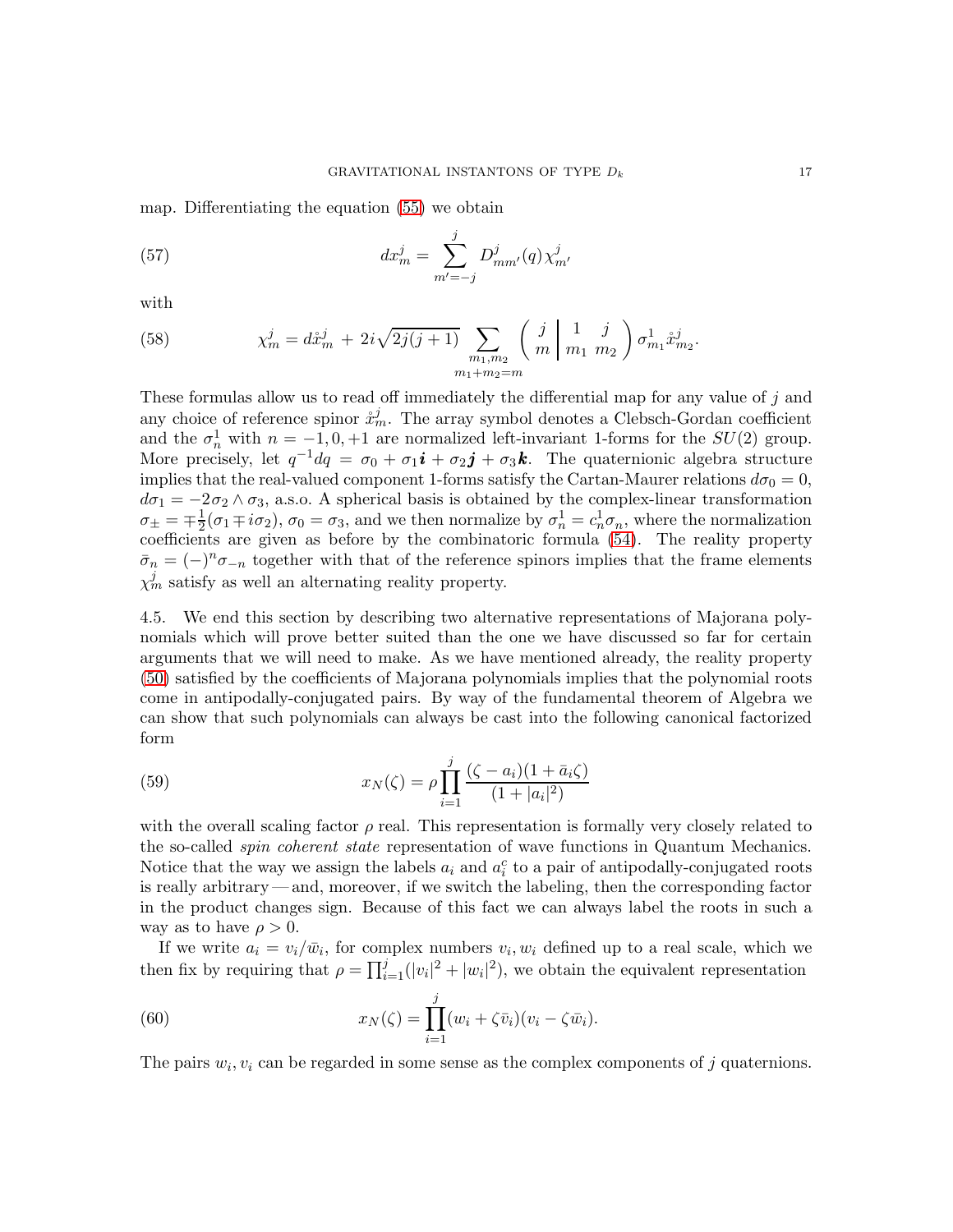map. Differentiating the equation [\(55\)](#page-14-1) we obtain

<span id="page-16-1"></span>(57) 
$$
dx_m^j = \sum_{m'=-j}^j D_{mm'}^j(q) \chi_{m'}^j
$$

with

<span id="page-16-3"></span>(58) 
$$
\chi_m^j = d\mathring{x}_m^j + 2i\sqrt{2j(j+1)} \sum_{\substack{m_1,m_2 \\ m_1+m_2=m}} \left( \begin{array}{c} j \\ m \end{array} \middle| \begin{array}{c} 1 & j \\ m_1 & m_2 \end{array} \right) \sigma_{m_1}^1 \mathring{x}_{m_2}^j.
$$

These formulas allow us to read off immediately the differential map for any value of j and any choice of reference spinor  $\mathring{x}_m^j$ . The array symbol denotes a Clebsch-Gordan coefficient and the  $\sigma_n^1$  with  $n = -1, 0, +1$  are normalized left-invariant 1-forms for the  $SU(2)$  group. More precisely, let  $q^{-1}dq = \sigma_0 + \sigma_1 \mathbf{i} + \sigma_2 \mathbf{j} + \sigma_3 \mathbf{k}$ . The quaternionic algebra structure implies that the real-valued component 1-forms satisfy the Cartan-Maurer relations  $d\sigma_0 = 0$ ,  $d\sigma_1 = -2\sigma_2 \wedge \sigma_3$ , a.s.o. A spherical basis is obtained by the complex-linear transformation  $\sigma_{\pm} = \mp \frac{1}{2}$  $\frac{1}{2}(\sigma_1 \mp i \sigma_2), \sigma_0 = \sigma_3$ , and we then normalize by  $\sigma_n^1 = c_n^1 \sigma_n$ , where the normalization coefficients are given as before by the combinatoric formula [\(54\)](#page-14-2). The reality property  $\bar{\sigma}_n = (-)^n \sigma_{-n}$  together with that of the reference spinors implies that the frame elements  $\chi_m^j$  satisfy as well an alternating reality property.

4.5. We end this section by describing two alternative representations of Majorana polynomials which will prove better suited than the one we have discussed so far for certain arguments that we will need to make. As we have mentioned already, the reality property [\(50\)](#page-13-0) satisfied by the coefficients of Majorana polynomials implies that the polynomial roots come in antipodally-conjugated pairs. By way of the fundamental theorem of Algebra we can show that such polynomials can always be cast into the following canonical factorized form

<span id="page-16-0"></span>(59) 
$$
x_N(\zeta) = \rho \prod_{i=1}^j \frac{(\zeta - a_i)(1 + \bar{a}_i \zeta)}{(1 + |a_i|^2)}
$$

with the overall scaling factor  $\rho$  real. This representation is formally very closely related to the so-called *spin coherent state* representation of wave functions in Quantum Mechanics. Notice that the way we assign the labels  $a_i$  and  $a_i^c$  to a pair of antipodally-conjugated roots is really arbitrary— and, moreover, if we switch the labeling, then the corresponding factor in the product changes sign. Because of this fact we can always label the roots in such a way as to have  $\rho > 0$ .

If we write  $a_i = v_i/\bar{w}_i$ , for complex numbers  $v_i, w_i$  defined up to a real scale, which we then fix by requiring that  $\rho = \prod_{i=1}^{j} (|v_i|^2 + |w_i|^2)$ , we obtain the equivalent representation

<span id="page-16-2"></span>(60) 
$$
x_N(\zeta) = \prod_{i=1}^j (w_i + \zeta \overline{v}_i)(v_i - \zeta \overline{w}_i).
$$

The pairs  $w_i, v_i$  can be regarded in some sense as the complex components of j quaternions.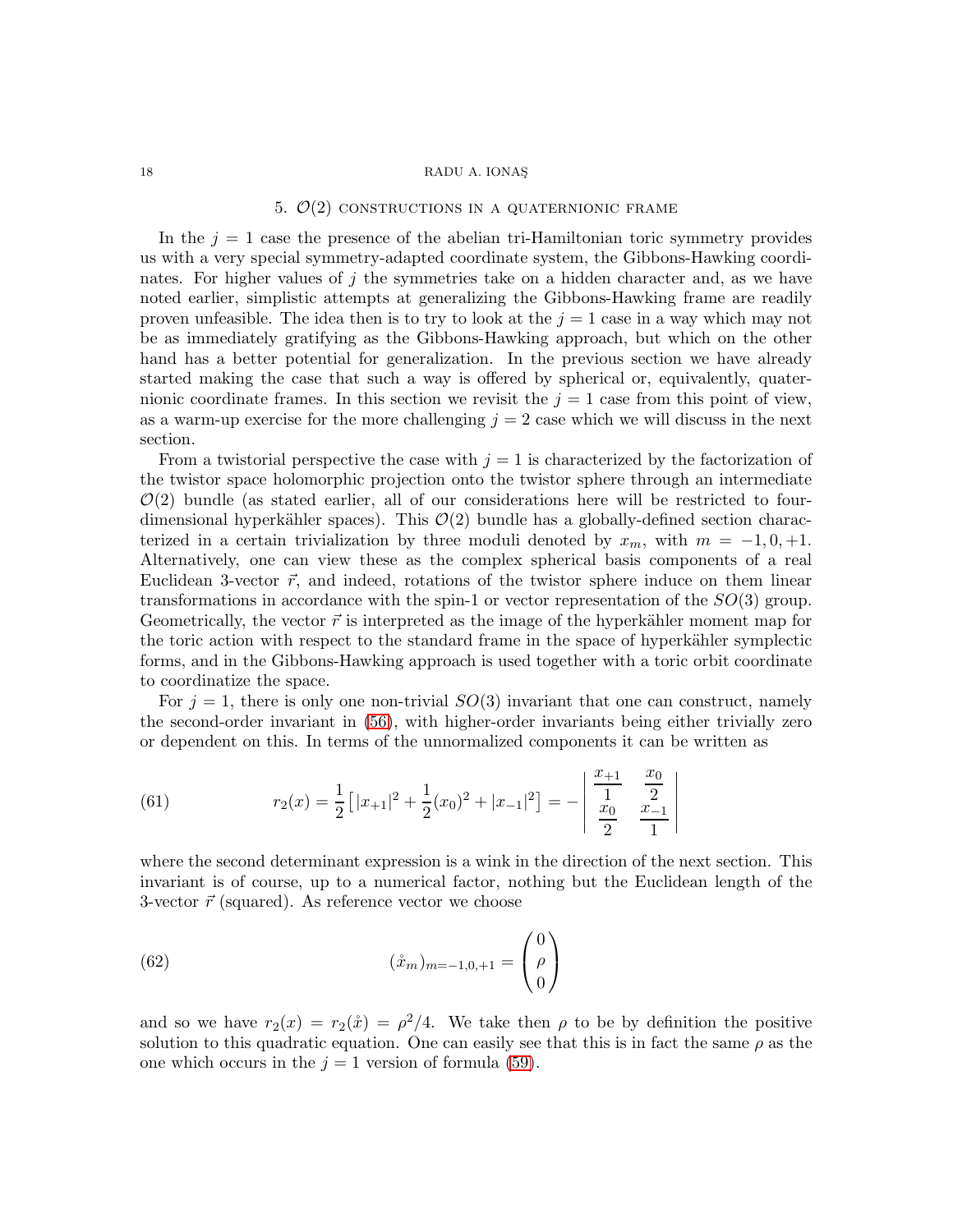### 5.  $\mathcal{O}(2)$  constructions in a quaternionic frame

In the  $j = 1$  case the presence of the abelian tri-Hamiltonian toric symmetry provides us with a very special symmetry-adapted coordinate system, the Gibbons-Hawking coordinates. For higher values of  $j$  the symmetries take on a hidden character and, as we have noted earlier, simplistic attempts at generalizing the Gibbons-Hawking frame are readily proven unfeasible. The idea then is to try to look at the  $j = 1$  case in a way which may not be as immediately gratifying as the Gibbons-Hawking approach, but which on the other hand has a better potential for generalization. In the previous section we have already started making the case that such a way is offered by spherical or, equivalently, quaternionic coordinate frames. In this section we revisit the  $j = 1$  case from this point of view, as a warm-up exercise for the more challenging  $j = 2$  case which we will discuss in the next section.

From a twistorial perspective the case with  $j = 1$  is characterized by the factorization of the twistor space holomorphic projection onto the twistor sphere through an intermediate  $\mathcal{O}(2)$  bundle (as stated earlier, all of our considerations here will be restricted to fourdimensional hyperkähler spaces). This  $\mathcal{O}(2)$  bundle has a globally-defined section characterized in a certain trivialization by three moduli denoted by  $x_m$ , with  $m = -1, 0, +1$ . Alternatively, one can view these as the complex spherical basis components of a real Euclidean 3-vector  $\vec{r}$ , and indeed, rotations of the twistor sphere induce on them linear transformations in accordance with the spin-1 or vector representation of the  $SO(3)$  group. Geometrically, the vector  $\vec{r}$  is interpreted as the image of the hyperkähler moment map for the toric action with respect to the standard frame in the space of hyperkähler symplectic forms, and in the Gibbons-Hawking approach is used together with a toric orbit coordinate to coordinatize the space.

For  $j = 1$ , there is only one non-trivial  $SO(3)$  invariant that one can construct, namely the second-order invariant in [\(56\)](#page-15-0), with higher-order invariants being either trivially zero or dependent on this. In terms of the unnormalized components it can be written as

(61) 
$$
r_2(x) = \frac{1}{2} \left[ |x_{+1}|^2 + \frac{1}{2} (x_0)^2 + |x_{-1}|^2 \right] = - \left| \begin{array}{cc} \frac{x_{+1}}{1} & \frac{x_0}{2} \\ \frac{x_0}{2} & \frac{x_{-1}}{1} \end{array} \right|
$$

where the second determinant expression is a wink in the direction of the next section. This invariant is of course, up to a numerical factor, nothing but the Euclidean length of the 3-vector  $\vec{r}$  (squared). As reference vector we choose

(62) 
$$
(\mathring{x}_m)_{m=-1,0,+1} = \begin{pmatrix} 0 \\ \rho \\ 0 \end{pmatrix}
$$

and so we have  $r_2(x) = r_2(\mathbf{x}) = \rho^2/4$ . We take then  $\rho$  to be by definition the positive solution to this quadratic equation. One can easily see that this is in fact the same  $\rho$  as the one which occurs in the  $j = 1$  version of formula [\(59\)](#page-16-0).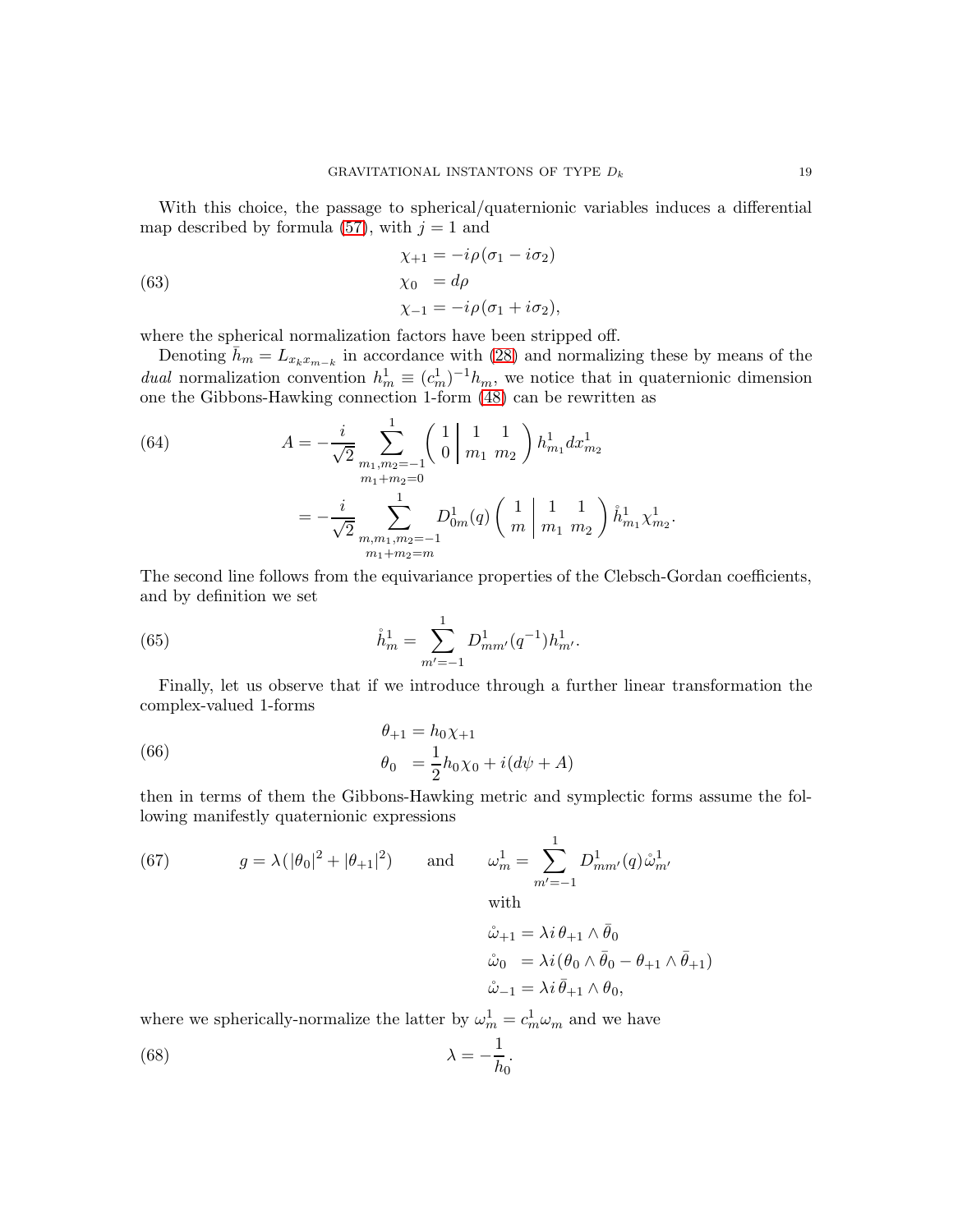With this choice, the passage to spherical/quaternionic variables induces a differential map described by formula [\(57\)](#page-16-1), with  $j = 1$  and

<span id="page-18-0"></span>(63)  
\n
$$
\chi_{+1} = -i\rho(\sigma_1 - i\sigma_2)
$$
\n
$$
\chi_0 = d\rho
$$
\n
$$
\chi_{-1} = -i\rho(\sigma_1 + i\sigma_2),
$$

where the spherical normalization factors have been stripped off.

Denoting  $\bar{h}_m = L_{x_k x_{m-k}}$  in accordance with [\(28\)](#page-8-5) and normalizing these by means of the *dual* normalization convention  $h_m^1 \equiv (c_m^1)^{-1}h_m$ , we notice that in quaternionic dimension one the Gibbons-Hawking connection 1-form [\(48\)](#page-12-0) can be rewritten as

(64) 
$$
A = -\frac{i}{\sqrt{2}} \sum_{\substack{m_1, m_2 = -1 \\ m_1 + m_2 = 0}}^{\infty} \left( \begin{array}{c} 1 & 1 & 1 \\ 0 & m_1 & m_2 \end{array} \right) h_{m_1}^1 dx_{m_2}^1
$$

$$
= -\frac{i}{\sqrt{2}} \sum_{\substack{m_1, m_1, m_2 = -1 \\ m_1 + m_2 = m}}^{\infty} D_{0m}^1(q) \left( \begin{array}{c} 1 & 1 & 1 \\ m & m_1 & m_2 \end{array} \right) \mathring{h}_{m_1}^1 \chi_{m_2}^1.
$$

The second line follows from the equivariance properties of the Clebsch-Gordan coefficients, and by definition we set

(65) 
$$
\mathring{h}_m^1 = \sum_{m'=-1}^1 D_{mm'}^1(q^{-1}) h_{m'}^1.
$$

Finally, let us observe that if we introduce through a further linear transformation the complex-valued 1-forms

<span id="page-18-1"></span>(66) 
$$
\begin{aligned}\n\theta_{+1} &= h_0 \chi_{+1} \\
\theta_0 &= \frac{1}{2} h_0 \chi_0 + i (d\psi + A)\n\end{aligned}
$$

then in terms of them the Gibbons-Hawking metric and symplectic forms assume the following manifestly quaternionic expressions

<span id="page-18-2"></span>(67) 
$$
g = \lambda (|\theta_0|^2 + |\theta_{+1}|^2) \quad \text{and} \quad \omega_m^1 = \sum_{m'=-1}^1 D_{mm'}^1(q) \mathring{\omega}_{m'}^{1}
$$
  
with  

$$
\mathring{\omega}_{+1} = \lambda i \theta_{+1} \wedge \bar{\theta}_0
$$

$$
\mathring{\omega}_0 = \lambda i (\theta_0 \wedge \bar{\theta}_0 - \theta_{+1} \wedge \bar{\theta}_{+1})
$$

$$
\mathring{\omega}_{-1} = \lambda i \bar{\theta}_{+1} \wedge \theta_0,
$$

where we spherically-normalize the latter by  $\omega_m^1 = c_m^1 \omega_m$  and we have

(68) 
$$
\lambda = -\frac{1}{h_0}.
$$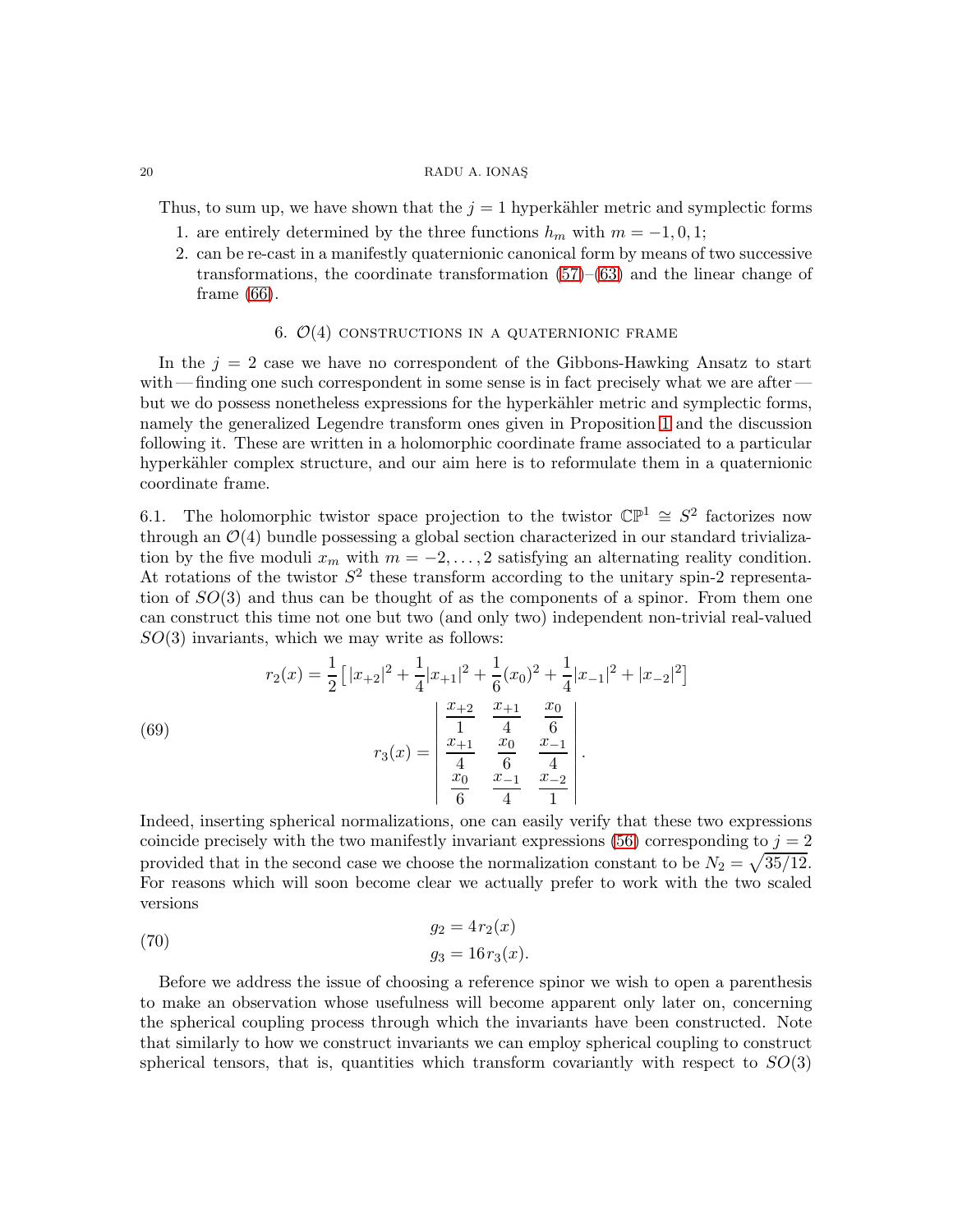Thus, to sum up, we have shown that the  $j = 1$  hyperkähler metric and symplectic forms

- 1. are entirely determined by the three functions  $h_m$  with  $m = -1, 0, 1;$
- 2. can be re-cast in a manifestly quaternionic canonical form by means of two successive transformations, the coordinate transformation [\(57\)](#page-16-1)–[\(63\)](#page-18-0) and the linear change of frame [\(66\)](#page-18-1).

# 6.  $\mathcal{O}(4)$  constructions in a quaternionic frame

<span id="page-19-1"></span>In the  $j = 2$  case we have no correspondent of the Gibbons-Hawking Ansatz to start with — finding one such correspondent in some sense is in fact precisely what we are after but we do possess nonetheless expressions for the hyperkähler metric and symplectic forms, namely the generalized Legendre transform ones given in Proposition [1](#page-9-0) and the discussion following it. These are written in a holomorphic coordinate frame associated to a particular hyperkähler complex structure, and our aim here is to reformulate them in a quaternionic coordinate frame.

6.1. The holomorphic twistor space projection to the twistor  $\mathbb{CP}^1 \cong S^2$  factorizes now through an  $\mathcal{O}(4)$  bundle possessing a global section characterized in our standard trivialization by the five moduli  $x_m$  with  $m = -2, \ldots, 2$  satisfying an alternating reality condition. At rotations of the twistor  $S^2$  these transform according to the unitary spin-2 representation of  $SO(3)$  and thus can be thought of as the components of a spinor. From them one can construct this time not one but two (and only two) independent non-trivial real-valued  $SO(3)$  invariants, which we may write as follows:

<span id="page-19-2"></span>(69)  

$$
r_2(x) = \frac{1}{2} \left[ |x_{+2}|^2 + \frac{1}{4} |x_{+1}|^2 + \frac{1}{6} (x_0)^2 + \frac{1}{4} |x_{-1}|^2 + |x_{-2}|^2 \right]
$$

$$
r_3(x) = \begin{vmatrix} \frac{x_{+2}}{1} & \frac{x_{+1}}{4} & \frac{x_0}{6} \\ \frac{x_{+1}}{4} & \frac{x_0}{6} & \frac{x_{-1}}{4} \\ \frac{x_0}{6} & \frac{x_{-1}}{4} & \frac{x_{-2}}{1} \end{vmatrix}.
$$

Indeed, inserting spherical normalizations, one can easily verify that these two expressions coincide precisely with the two manifestly invariant expressions [\(56\)](#page-15-0) corresponding to  $j = 2$ provided that in the second case we choose the normalization constant to be  $N_2 = \sqrt{35/12}$ . For reasons which will soon become clear we actually prefer to work with the two scaled versions

<span id="page-19-0"></span>
$$
g_2 = 4r_2(x)
$$
  
\n
$$
g_3 = 16r_3(x).
$$

Before we address the issue of choosing a reference spinor we wish to open a parenthesis to make an observation whose usefulness will become apparent only later on, concerning the spherical coupling process through which the invariants have been constructed. Note that similarly to how we construct invariants we can employ spherical coupling to construct spherical tensors, that is, quantities which transform covariantly with respect to  $SO(3)$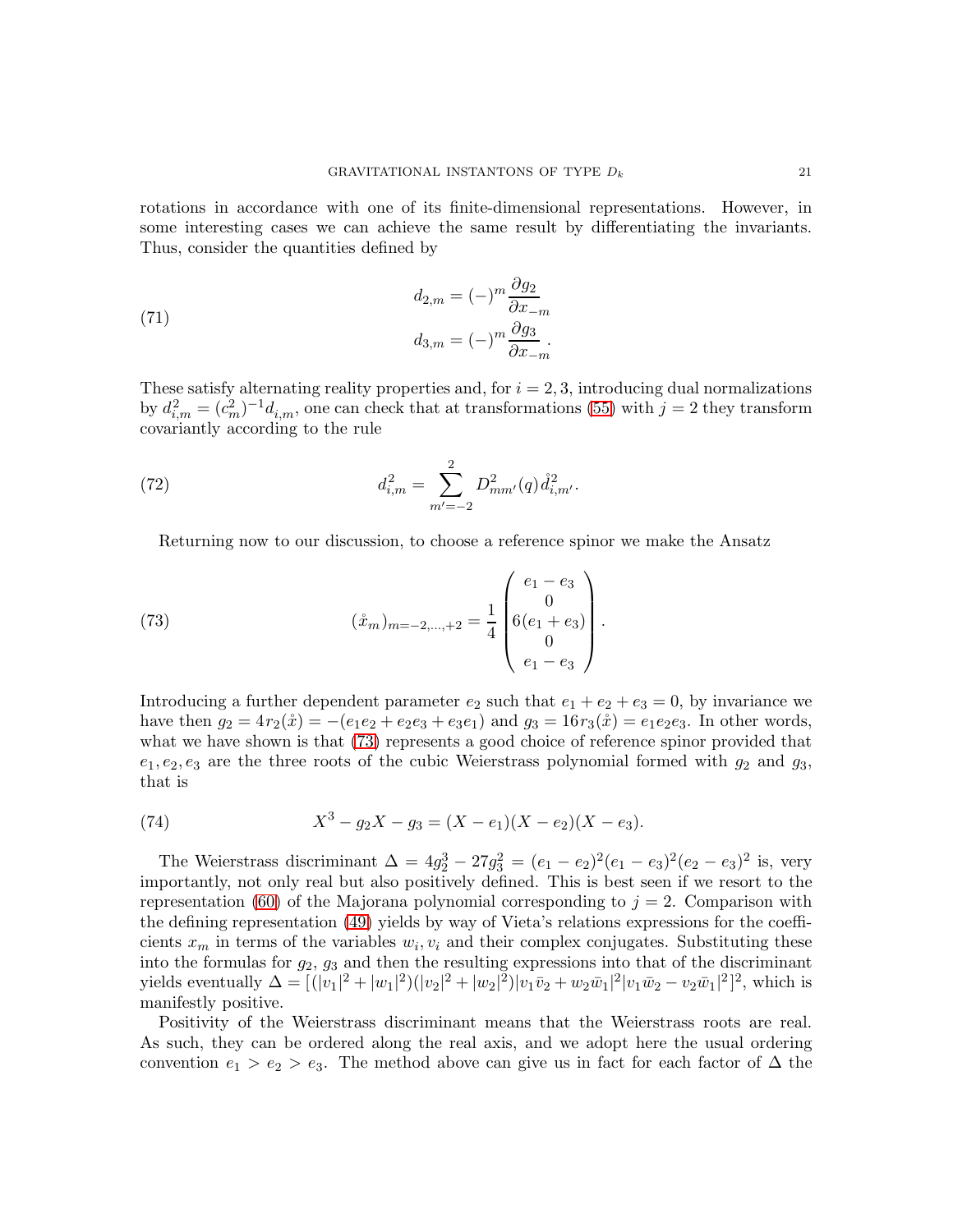rotations in accordance with one of its finite-dimensional representations. However, in some interesting cases we can achieve the same result by differentiating the invariants. Thus, consider the quantities defined by

<span id="page-20-1"></span>(71)  

$$
d_{2,m} = (-)^m \frac{\partial g_2}{\partial x_{-m}}
$$

$$
d_{3,m} = (-)^m \frac{\partial g_3}{\partial x_{-m}}.
$$

These satisfy alternating reality properties and, for  $i = 2, 3$ , introducing dual normalizations by  $d_{i,m}^2 = (c_m^2)^{-1} d_{i,m}$ , one can check that at transformations [\(55\)](#page-14-1) with  $j = 2$  they transform covariantly according to the rule

(72) 
$$
d_{i,m}^2 = \sum_{m'=-2}^2 D_{mm'}^2(q) \dot{d}_{i,m'}^2.
$$

<span id="page-20-0"></span>Returning now to our discussion, to choose a reference spinor we make the Ansatz

(73) 
$$
(\mathring{x}_m)_{m=-2,\dots,+2} = \frac{1}{4} \begin{pmatrix} e_1 - e_3 \\ 0 \\ 6(e_1 + e_3) \\ 0 \\ e_1 - e_3 \end{pmatrix}.
$$

Introducing a further dependent parameter  $e_2$  such that  $e_1 + e_2 + e_3 = 0$ , by invariance we have then  $g_2 = 4r_2(\mathring{x}) = -(e_1e_2 + e_2e_3 + e_3e_1)$  and  $g_3 = 16r_3(\mathring{x}) = e_1e_2e_3$ . In other words, what we have shown is that [\(73\)](#page-20-0) represents a good choice of reference spinor provided that  $e_1, e_2, e_3$  are the three roots of the cubic Weierstrass polynomial formed with  $g_2$  and  $g_3$ , that is

(74) 
$$
X^3 - g_2 X - g_3 = (X - e_1)(X - e_2)(X - e_3).
$$

The Weierstrass discriminant  $\Delta = 4g_2^3 - 27g_3^2 = (e_1 - e_2)^2 (e_1 - e_3)^2 (e_2 - e_3)^2$  is, very importantly, not only real but also positively defined. This is best seen if we resort to the representation [\(60\)](#page-16-2) of the Majorana polynomial corresponding to  $j = 2$ . Comparison with the defining representation [\(49\)](#page-13-1) yields by way of Vieta's relations expressions for the coefficients  $x_m$  in terms of the variables  $w_i, v_i$  and their complex conjugates. Substituting these into the formulas for  $g_2$ ,  $g_3$  and then the resulting expressions into that of the discriminant yields eventually  $\Delta = [(|v_1|^2 + |w_1|^2)(|v_2|^2 + |w_2|^2)|v_1\bar{v}_2 + w_2\bar{w}_1|^2|v_1\bar{w}_2 - v_2\bar{w}_1|^2]^2$ , which is manifestly positive.

Positivity of the Weierstrass discriminant means that the Weierstrass roots are real. As such, they can be ordered along the real axis, and we adopt here the usual ordering convention  $e_1 > e_2 > e_3$ . The method above can give us in fact for each factor of  $\Delta$  the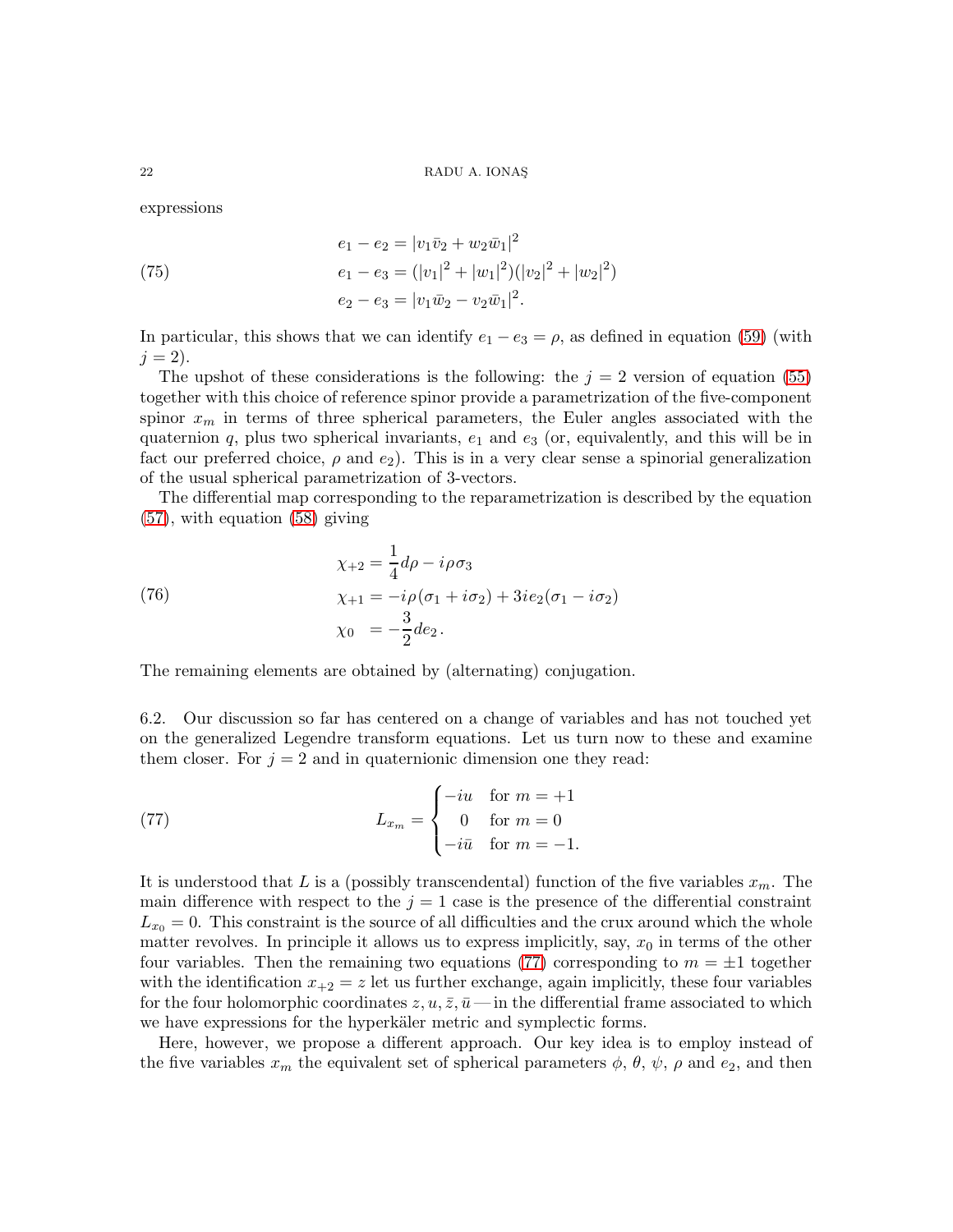expressions

(75)  
\n
$$
e_1 - e_2 = |v_1\bar{v}_2 + w_2\bar{w}_1|^2
$$
\n
$$
e_1 - e_3 = (|v_1|^2 + |w_1|^2)(|v_2|^2 + |w_2|^2)
$$
\n
$$
e_2 - e_3 = |v_1\bar{w}_2 - v_2\bar{w}_1|^2.
$$

In particular, this shows that we can identify  $e_1 - e_3 = \rho$ , as defined in equation [\(59\)](#page-16-0) (with  $j = 2$ ).

The upshot of these considerations is the following: the  $j = 2$  version of equation [\(55\)](#page-14-1) together with this choice of reference spinor provide a parametrization of the five-component spinor  $x_m$  in terms of three spherical parameters, the Euler angles associated with the quaternion  $q$ , plus two spherical invariants,  $e_1$  and  $e_3$  (or, equivalently, and this will be in fact our preferred choice,  $\rho$  and  $e_2$ ). This is in a very clear sense a spinorial generalization of the usual spherical parametrization of 3-vectors.

The differential map corresponding to the reparametrization is described by the equation [\(57\)](#page-16-1), with equation [\(58\)](#page-16-3) giving

<span id="page-21-1"></span>(76) 
$$
\chi_{+2} = \frac{1}{4} d\rho - i\rho \sigma_3
$$

$$
\chi_{+1} = -i\rho (\sigma_1 + i\sigma_2) + 3ie_2(\sigma_1 - i\sigma_2)
$$

$$
\chi_0 = -\frac{3}{2} de_2.
$$

The remaining elements are obtained by (alternating) conjugation.

6.2. Our discussion so far has centered on a change of variables and has not touched yet on the generalized Legendre transform equations. Let us turn now to these and examine them closer. For  $j = 2$  and in quaternionic dimension one they read:

<span id="page-21-0"></span>(77) 
$$
L_{x_m} = \begin{cases} -iu & \text{for } m = +1 \\ 0 & \text{for } m = 0 \\ -i\bar{u} & \text{for } m = -1. \end{cases}
$$

It is understood that L is a (possibly transcendental) function of the five variables  $x_m$ . The main difference with respect to the  $j = 1$  case is the presence of the differential constraint  $L_{x0} = 0$ . This constraint is the source of all difficulties and the crux around which the whole matter revolves. In principle it allows us to express implicitly, say,  $x_0$  in terms of the other four variables. Then the remaining two equations [\(77\)](#page-21-0) corresponding to  $m = \pm 1$  together with the identification  $x_{+2} = z$  let us further exchange, again implicitly, these four variables for the four holomorphic coordinates  $z, u, \overline{z}, \overline{u}$ — in the differential frame associated to which we have expressions for the hyperkäler metric and symplectic forms.

Here, however, we propose a different approach. Our key idea is to employ instead of the five variables  $x_m$  the equivalent set of spherical parameters  $\phi$ ,  $\theta$ ,  $\psi$ ,  $\rho$  and e<sub>2</sub>, and then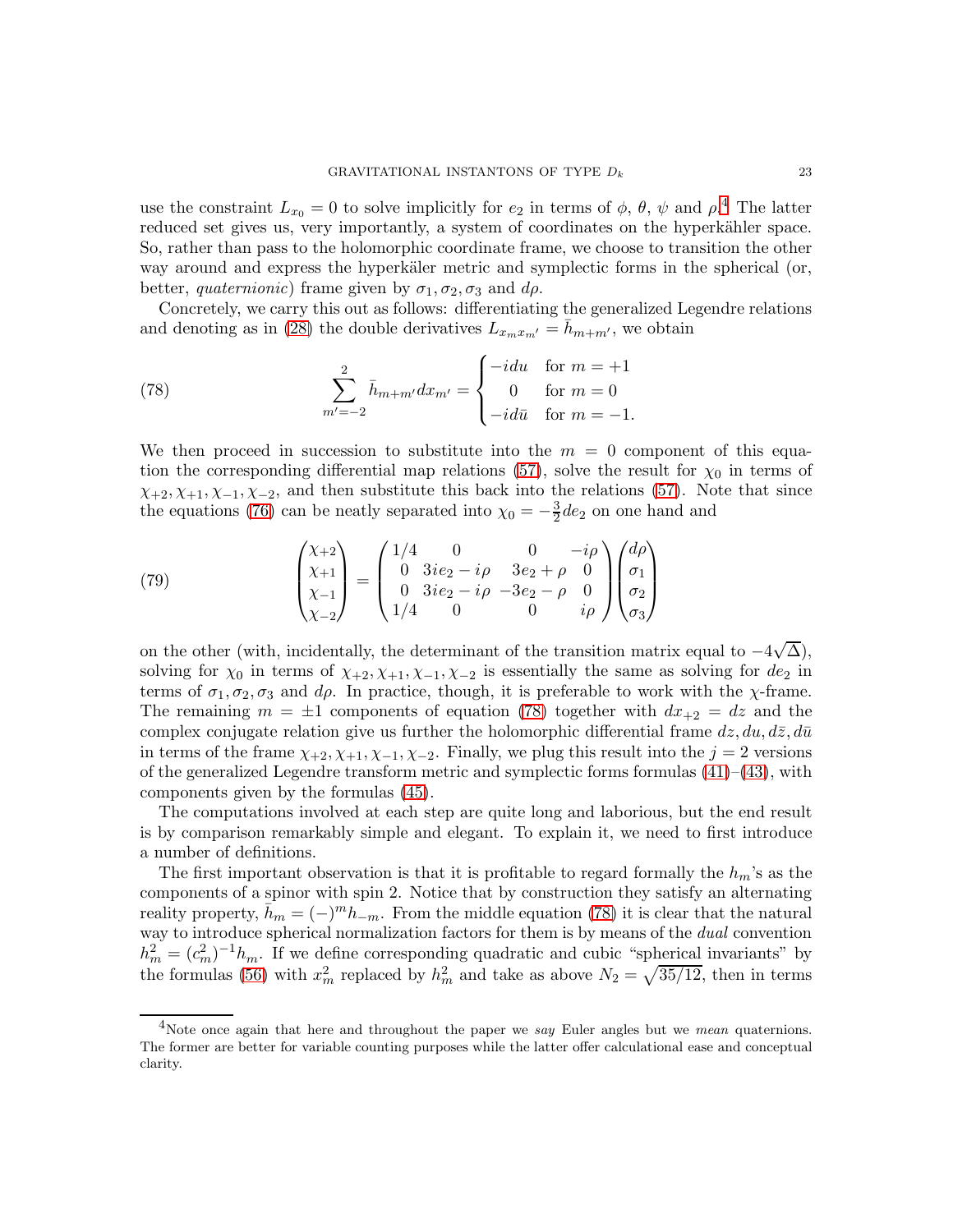use the constraint  $L_{x_0} = 0$  to solve implicitly for  $e_2$  in terms of  $\phi$ ,  $\theta$ ,  $\psi$  and  $\rho$ .<sup>[4](#page-22-0)</sup> The latter reduced set gives us, very importantly, a system of coordinates on the hyperkähler space. So, rather than pass to the holomorphic coordinate frame, we choose to transition the other way around and express the hyperkäler metric and symplectic forms in the spherical (or, better, *quaternionic*) frame given by  $\sigma_1, \sigma_2, \sigma_3$  and  $d\rho$ .

Concretely, we carry this out as follows: differentiating the generalized Legendre relations and denoting as in [\(28\)](#page-8-5) the double derivatives  $L_{x_mx_{m'}} = h_{m+m'}$ , we obtain

<span id="page-22-1"></span>(78) 
$$
\sum_{m'=-2}^{2} \bar{h}_{m+m'} dx_{m'} = \begin{cases} -idu & \text{for } m = +1 \\ 0 & \text{for } m = 0 \\ -id\bar{u} & \text{for } m = -1. \end{cases}
$$

We then proceed in succession to substitute into the  $m = 0$  component of this equa-tion the corresponding differential map relations [\(57\)](#page-16-1), solve the result for  $\chi_0$  in terms of  $\chi_{+2}, \chi_{+1}, \chi_{-1}, \chi_{-2}$ , and then substitute this back into the relations [\(57\)](#page-16-1). Note that since the equations [\(76\)](#page-21-1) can be neatly separated into  $\chi_0 = -\frac{3}{2}$  $\frac{3}{2}$  de<sub>2</sub> on one hand and

<span id="page-22-2"></span>(79) 
$$
\begin{pmatrix} \chi_{+2} \\ \chi_{+1} \\ \chi_{-1} \\ \chi_{-2} \end{pmatrix} = \begin{pmatrix} 1/4 & 0 & 0 & -i\rho \\ 0 & 3ie_2 - i\rho & 3e_2 + \rho & 0 \\ 0 & 3ie_2 - i\rho & -3e_2 - \rho & 0 \\ 1/4 & 0 & 0 & i\rho \end{pmatrix} \begin{pmatrix} d\rho \\ \sigma_1 \\ \sigma_2 \\ \sigma_3 \end{pmatrix}
$$

on the other (with, incidentally, the determinant of the transition matrix equal to  $-4\sqrt{\Delta}$ ), solving for  $\chi_0$  in terms of  $\chi_{+2}, \chi_{+1}, \chi_{-1}, \chi_{-2}$  is essentially the same as solving for  $de_2$  in terms of  $\sigma_1, \sigma_2, \sigma_3$  and  $d\rho$ . In practice, though, it is preferable to work with the  $\chi$ -frame. The remaining  $m = \pm 1$  components of equation [\(78\)](#page-22-1) together with  $dx_{+2} = dz$  and the complex conjugate relation give us further the holomorphic differential frame  $dz, du, d\bar{z}, d\bar{u}$ in terms of the frame  $\chi_{+2}, \chi_{+1}, \chi_{-1}, \chi_{-2}$ . Finally, we plug this result into the  $j = 2$  versions of the generalized Legendre transform metric and symplectic forms formulas  $(41)$ – $(43)$ , with components given by the formulas [\(45\)](#page-11-3).

The computations involved at each step are quite long and laborious, but the end result is by comparison remarkably simple and elegant. To explain it, we need to first introduce a number of definitions.

The first important observation is that it is profitable to regard formally the  $h_m$ 's as the components of a spinor with spin 2. Notice that by construction they satisfy an alternating reality property,  $\bar{h}_m = (-)^m h_{-m}$ . From the middle equation [\(78\)](#page-22-1) it is clear that the natural way to introduce spherical normalization factors for them is by means of the *dual* convention  $h_m^2 = (c_m^2)^{-1} h_m$ . If we define corresponding quadratic and cubic "spherical invariants" by the formulas [\(56\)](#page-15-0) with  $x_m^2$  replaced by  $h_m^2$  and take as above  $N_2 = \sqrt{35/12}$ , then in terms

<span id="page-22-0"></span><sup>&</sup>lt;sup>4</sup>Note once again that here and throughout the paper we say Euler angles but we *mean* quaternions. The former are better for variable counting purposes while the latter offer calculational ease and conceptual clarity.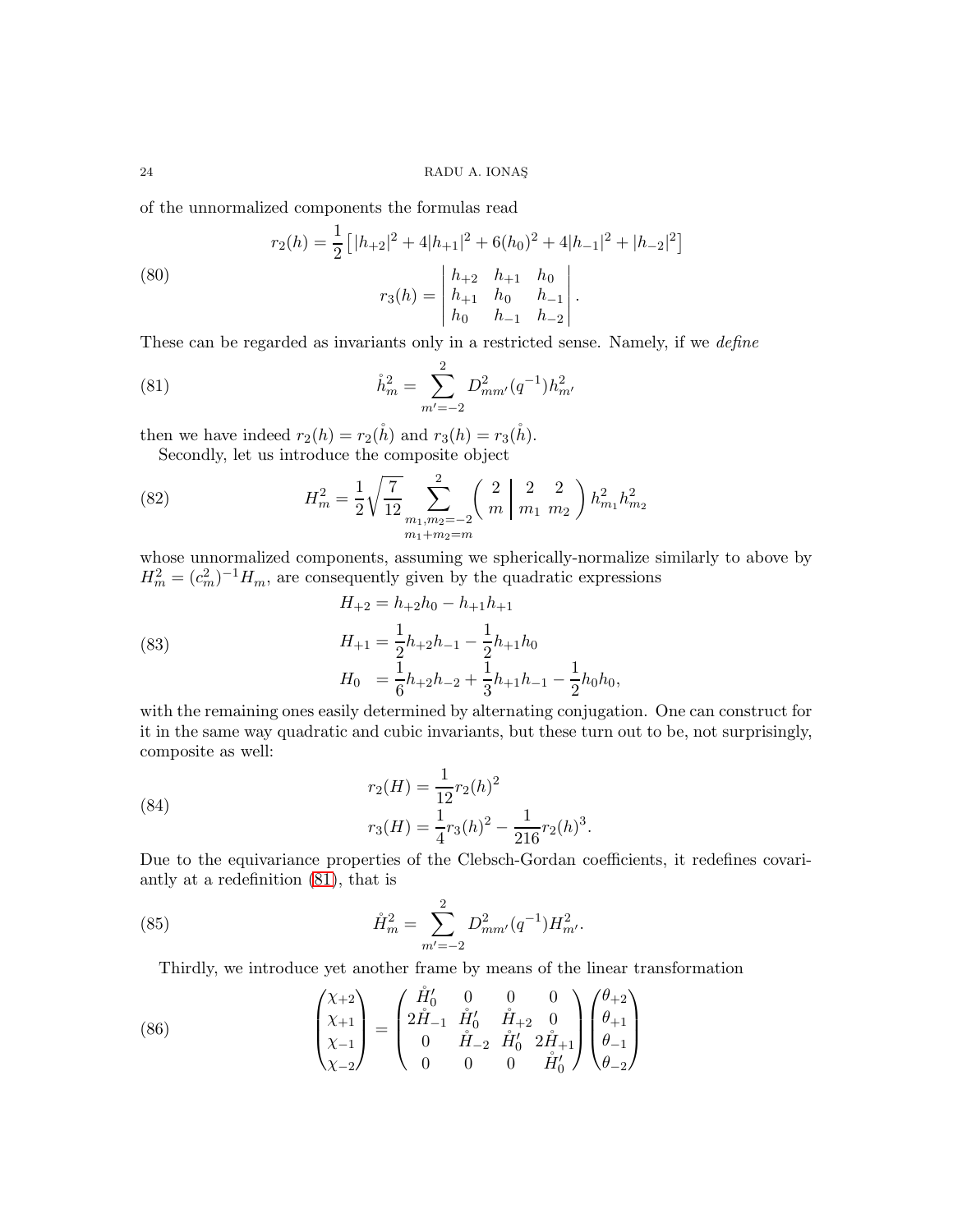of the unnormalized components the formulas read

<span id="page-23-1"></span>(80)  

$$
r_2(h) = \frac{1}{2} \left[ |h_{+2}|^2 + 4|h_{+1}|^2 + 6(h_0)^2 + 4|h_{-1}|^2 + |h_{-2}|^2 \right]
$$

$$
r_3(h) = \begin{vmatrix} h_{+2} & h_{+1} & h_0 \\ h_{+1} & h_0 & h_{-1} \\ h_0 & h_{-1} & h_{-2} \end{vmatrix}.
$$

These can be regarded as invariants only in a restricted sense. Namely, if we *define* 

<span id="page-23-0"></span>(81) 
$$
\mathring{h}_m^2 = \sum_{m'=-2}^2 D_{mm'}^2(q^{-1}) h_{m'}^2
$$

then we have indeed  $r_2(h) = r_2(\mathring{h})$  and  $r_3(h) = r_3(\mathring{h})$ . Secondly, let us introduce the composite object

(82) 
$$
H_m^2 = \frac{1}{2} \sqrt{\frac{7}{12}} \sum_{\substack{m_1, m_2 = -2 \\ m_1 + m_2 = m}}^2 \binom{2}{m} \frac{2}{m_1} \frac{2}{m_2} \frac{2}{m_1} h_{m_2}^2
$$

whose unnormalized components, assuming we spherically-normalize similarly to above by  $H_m^2 = (c_m^2)^{-1} H_m$ , are consequently given by the quadratic expressions

(83) 
$$
H_{+2} = h_{+2}h_0 - h_{+1}h_{+1}
$$

$$
H_{+1} = \frac{1}{2}h_{+2}h_{-1} - \frac{1}{2}h_{+1}h_0
$$

$$
H_0 = \frac{1}{6}h_{+2}h_{-2} + \frac{1}{3}h_{+1}h_{-1} - \frac{1}{2}h_0h_0,
$$

with the remaining ones easily determined by alternating conjugation. One can construct for it in the same way quadratic and cubic invariants, but these turn out to be, not surprisingly, composite as well:

(84) 
$$
r_2(H) = \frac{1}{12}r_2(h)^2
$$

$$
r_3(H) = \frac{1}{4}r_3(h)^2 - \frac{1}{216}r_2(h)^3
$$

Due to the equivariance properties of the Clebsch-Gordan coefficients, it redefines covariantly at a redefinition [\(81\)](#page-23-0), that is

<span id="page-23-2"></span>.

(85) 
$$
\mathring{H}_m^2 = \sum_{m'=-2}^2 D_{mm'}^2 (q^{-1}) H_{m'}^2.
$$

<span id="page-23-3"></span>Thirdly, we introduce yet another frame by means of the linear transformation

(86) 
$$
\begin{pmatrix} \chi_{+2} \\ \chi_{+1} \\ \chi_{-1} \\ \chi_{-2} \end{pmatrix} = \begin{pmatrix} \mathring{H}'_0 & 0 & 0 & 0 \\ 2\mathring{H}_{-1} & \mathring{H}'_0 & \mathring{H}_{+2} & 0 \\ 0 & \mathring{H}_{-2} & \mathring{H}'_0 & 2\mathring{H}_{+1} \\ 0 & 0 & 0 & \mathring{H}'_0 \end{pmatrix} \begin{pmatrix} \theta_{+2} \\ \theta_{+1} \\ \theta_{-1} \\ \theta_{-2} \end{pmatrix}
$$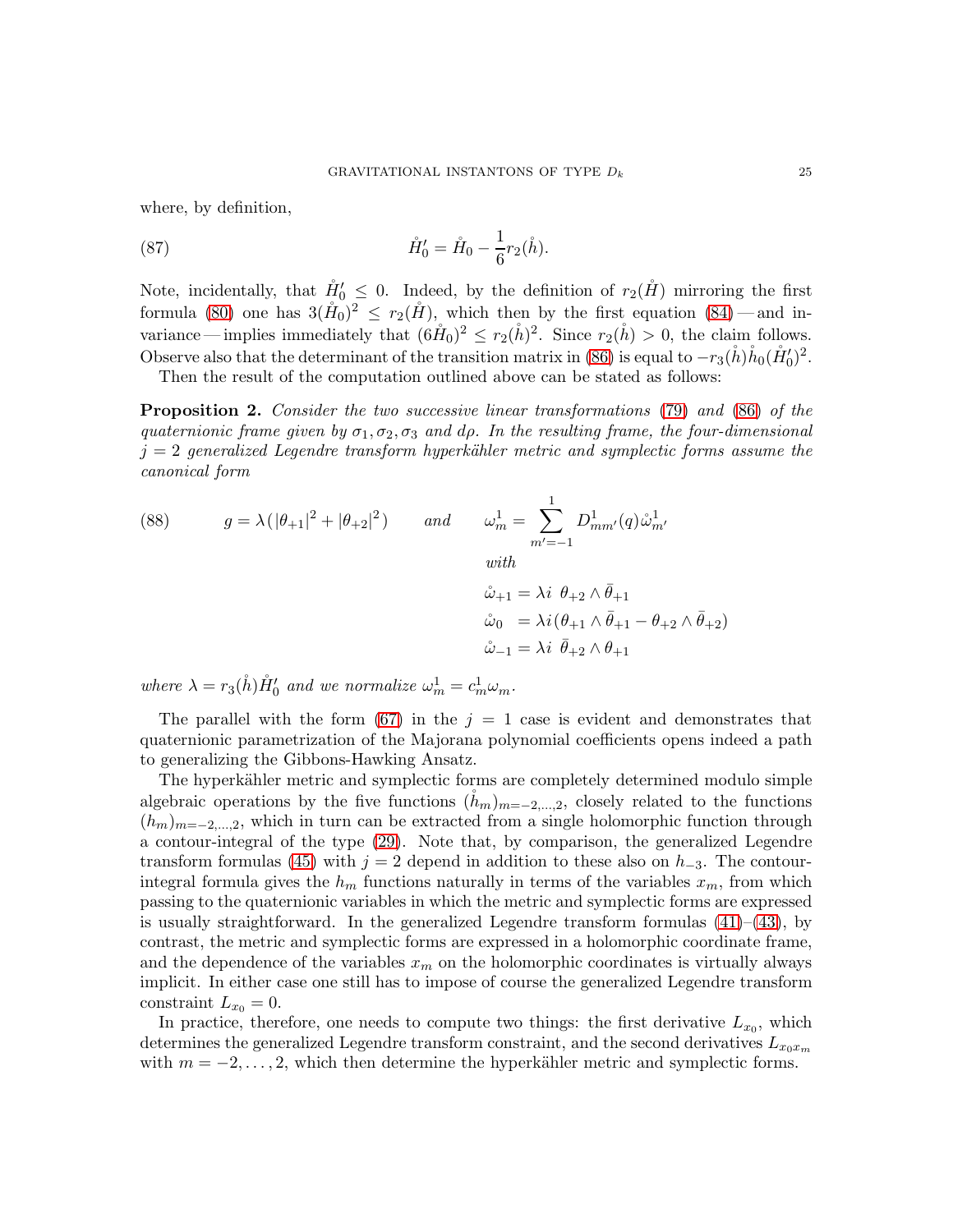where, by definition,

(87) 
$$
\mathring{H}'_0 = \mathring{H}_0 - \frac{1}{6} r_2(\mathring{h}).
$$

Note, incidentally, that  $\mathring{H}'_0 \leq 0$ . Indeed, by the definition of  $r_2(\mathring{H})$  mirroring the first formula [\(80\)](#page-23-1) one has  $3(\mathring{H}_0)^2 \leq r_2(\mathring{H})$ , which then by the first equation [\(84\)](#page-23-2) — and invariance — implies immediately that  $(6\mathring{H}_0)^2 \le r_2(\mathring{h})^2$ . Since  $r_2(\mathring{h}) > 0$ , the claim follows. Observe also that the determinant of the transition matrix in [\(86\)](#page-23-3) is equal to  $-r_3(\mathring{h})\mathring{h}_0(\mathring{H}'_0)^2$ .

Then the result of the computation outlined above can be stated as follows:

<span id="page-24-0"></span>**Proposition 2.** Consider the two successive linear transformations [\(79\)](#page-22-2) and [\(86\)](#page-23-3) of the quaternionic frame given by  $\sigma_1, \sigma_2, \sigma_3$  and dp. In the resulting frame, the four-dimensional  $j = 2$  generalized Legendre transform hyperkähler metric and symplectic forms assume the canonical form

(88) 
$$
g = \lambda (|\theta_{+1}|^2 + |\theta_{+2}|^2) \quad and \quad \omega_m^1 = \sum_{m'=-1}^1 D_{mm'}^1(q) \mathring{\omega}_{m'}^1
$$

$$
\begin{aligned}\n\dot{\omega}_{+1} &= \lambda i \ \theta_{+2} \wedge \bar{\theta}_{+1} \\
\dot{\omega}_0 &= \lambda i (\theta_{+1} \wedge \bar{\theta}_{+1} - \theta_{+2} \wedge \bar{\theta}_{+2}) \\
\dot{\omega}_{-1} &= \lambda i \ \bar{\theta}_{+2} \wedge \theta_{+1}\n\end{aligned}
$$

where  $\lambda = r_3(\mathring{h}) \mathring{H}'_0$  and we normalize  $\omega_m^1 = c_m^1 \omega_m^2$ .

The parallel with the form [\(67\)](#page-18-2) in the  $j = 1$  case is evident and demonstrates that quaternionic parametrization of the Majorana polynomial coefficients opens indeed a path to generalizing the Gibbons-Hawking Ansatz.

The hyperkähler metric and symplectic forms are completely determined modulo simple algebraic operations by the five functions  $(h_m)_{m=-2,\dots,2}$ , closely related to the functions  $(h_m)_{m=-2,\dots,2}$ , which in turn can be extracted from a single holomorphic function through a contour-integral of the type [\(29\)](#page-9-1). Note that, by comparison, the generalized Legendre transform formulas [\(45\)](#page-11-3) with  $j = 2$  depend in addition to these also on  $h_{-3}$ . The contourintegral formula gives the  $h_m$  functions naturally in terms of the variables  $x_m$ , from which passing to the quaternionic variables in which the metric and symplectic forms are expressed is usually straightforward. In the generalized Legendre transform formulas  $(41)$ – $(43)$ , by contrast, the metric and symplectic forms are expressed in a holomorphic coordinate frame, and the dependence of the variables  $x_m$  on the holomorphic coordinates is virtually always implicit. In either case one still has to impose of course the generalized Legendre transform constraint  $L_{x_0} = 0$ .

In practice, therefore, one needs to compute two things: the first derivative  $L_{x_0}$ , which determines the generalized Legendre transform constraint, and the second derivatives  $L_{x_0x_m}$ with  $m = -2, \ldots, 2$ , which then determine the hyperkähler metric and symplectic forms.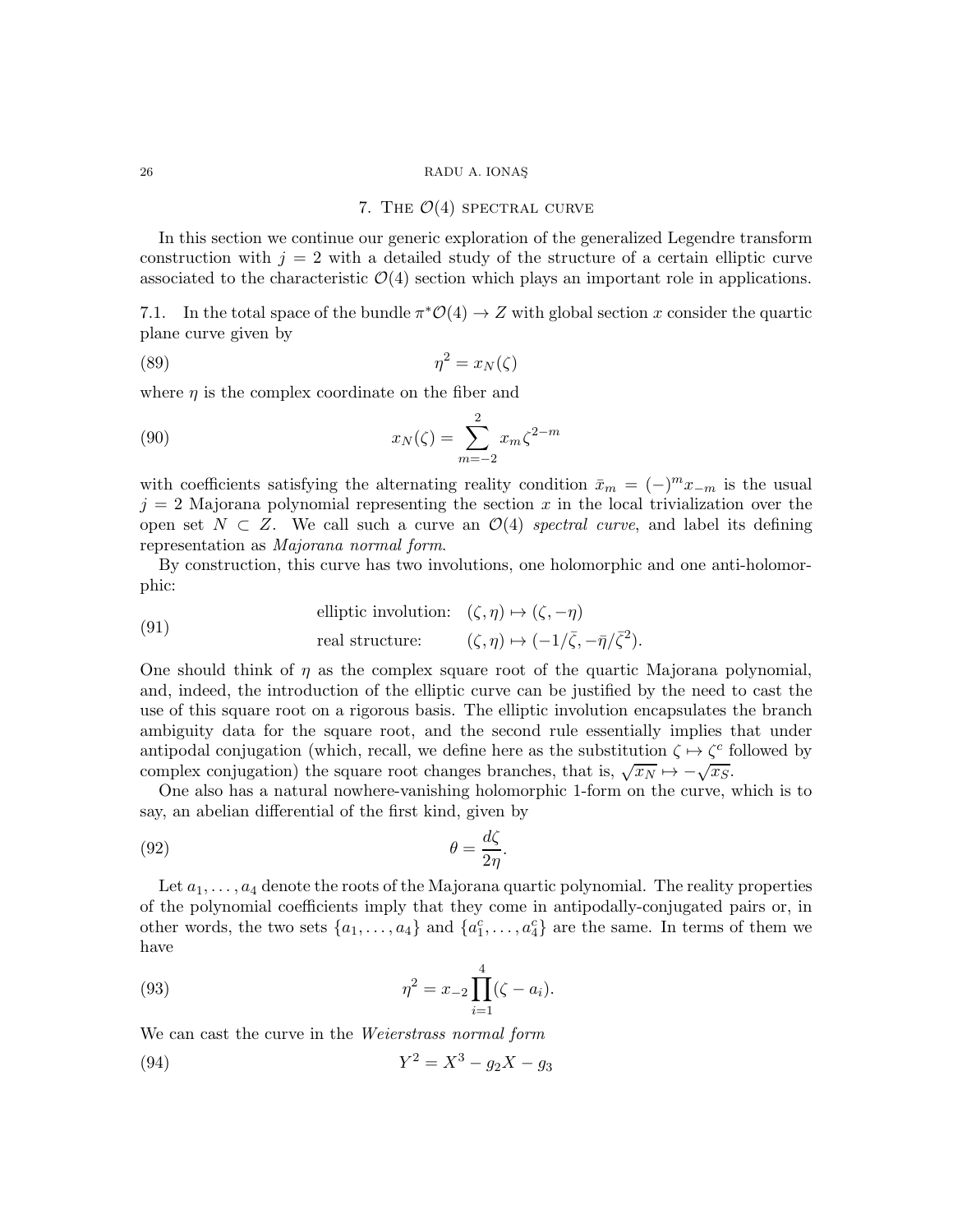#### <span id="page-25-3"></span>7. THE  $\mathcal{O}(4)$  SPECTRAL CURVE

<span id="page-25-2"></span>In this section we continue our generic exploration of the generalized Legendre transform construction with  $j = 2$  with a detailed study of the structure of a certain elliptic curve associated to the characteristic  $\mathcal{O}(4)$  section which plays an important role in applications.

7.1. In the total space of the bundle  $\pi^* \mathcal{O}(4) \to Z$  with global section x consider the quartic plane curve given by

$$
(89) \t\t \eta^2 = x_N(\zeta)
$$

where  $\eta$  is the complex coordinate on the fiber and

(90) 
$$
x_N(\zeta) = \sum_{m=-2}^{2} x_m \zeta^{2-m}
$$

with coefficients satisfying the alternating reality condition  $\bar{x}_m = (-)^m x_{-m}$  is the usual  $j = 2$  Majorana polynomial representing the section x in the local trivialization over the open set  $N \subset Z$ . We call such a curve an  $\mathcal{O}(4)$  spectral curve, and label its defining representation as Majorana normal form.

By construction, this curve has two involutions, one holomorphic and one anti-holomorphic:

<span id="page-25-0"></span>(91) elliptic involution: 
$$
(\zeta, \eta) \mapsto (\zeta, -\eta)
$$
  
real structure:  $(\zeta, \eta) \mapsto (-1/\overline{\zeta}, -\overline{\eta}/\overline{\zeta}^2)$ .

One should think of  $\eta$  as the complex square root of the quartic Majorana polynomial, and, indeed, the introduction of the elliptic curve can be justified by the need to cast the use of this square root on a rigorous basis. The elliptic involution encapsulates the branch ambiguity data for the square root, and the second rule essentially implies that under antipodal conjugation (which, recall, we define here as the substitution  $\zeta \mapsto \zeta_c^c$  followed by complex conjugation) the square root changes branches, that is,  $\sqrt{x_N} \mapsto -\sqrt{x_S}$ .

One also has a natural nowhere-vanishing holomorphic 1-form on the curve, which is to say, an abelian differential of the first kind, given by

(92) 
$$
\theta = \frac{d\zeta}{2\eta}.
$$

Let  $a_1, \ldots, a_4$  denote the roots of the Majorana quartic polynomial. The reality properties of the polynomial coefficients imply that they come in antipodally-conjugated pairs or, in other words, the two sets  $\{a_1, \ldots, a_4\}$  and  $\{a_1^c, \ldots, a_4^c\}$  are the same. In terms of them we have

(93) 
$$
\eta^2 = x_{-2} \prod_{i=1}^4 (\zeta - a_i).
$$

We can cast the curve in the *Weierstrass normal form* 

<span id="page-25-1"></span>(94) 
$$
Y^2 = X^3 - g_2 X - g_3
$$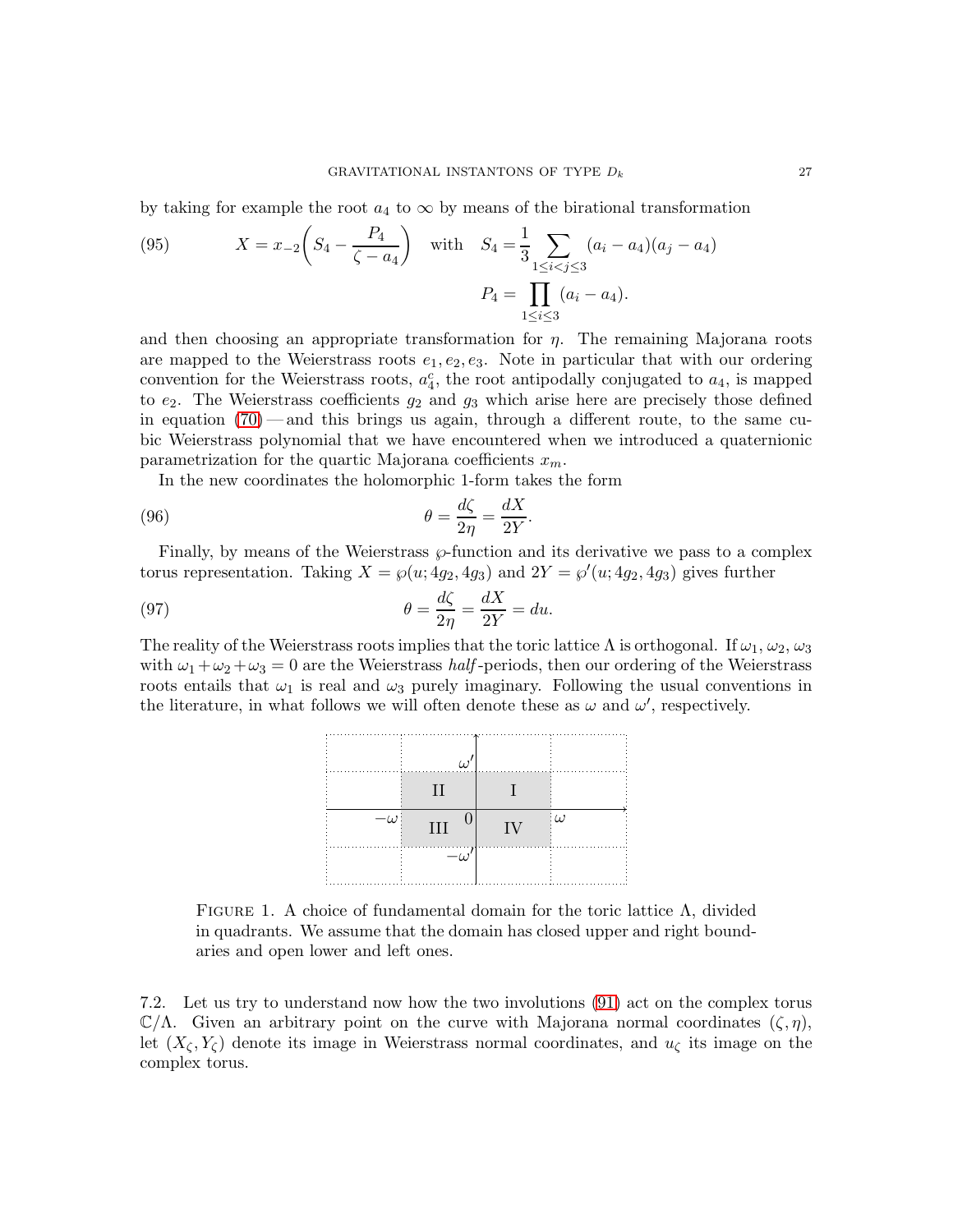by taking for example the root  $a_4$  to  $\infty$  by means of the birational transformation

(95) 
$$
X = x_{-2} \left( S_4 - \frac{P_4}{\zeta - a_4} \right) \text{ with } S_4 = \frac{1}{3} \sum_{1 \le i < j \le 3} (a_i - a_4)(a_j - a_4)
$$

$$
P_4 = \prod_{1 \le i \le 3} (a_i - a_4).
$$

and then choosing an appropriate transformation for  $\eta$ . The remaining Majorana roots are mapped to the Weierstrass roots  $e_1, e_2, e_3$ . Note in particular that with our ordering convention for the Weierstrass roots,  $a_4^c$ , the root antipodally conjugated to  $a_4$ , is mapped to  $e_2$ . The Weierstrass coefficients  $g_2$  and  $g_3$  which arise here are precisely those defined in equation  $(70)$  — and this brings us again, through a different route, to the same cubic Weierstrass polynomial that we have encountered when we introduced a quaternionic parametrization for the quartic Majorana coefficients  $x_m$ .

In the new coordinates the holomorphic 1-form takes the form

(96) 
$$
\theta = \frac{d\zeta}{2\eta} = \frac{dX}{2Y}
$$

Finally, by means of the Weierstrass  $\wp$ -function and its derivative we pass to a complex torus representation. Taking  $X = \wp(u; 4g_2, 4g_3)$  and  $2Y = \wp'(u; 4g_2, 4g_3)$  gives further

<span id="page-26-3"></span><span id="page-26-1"></span>.

(97) 
$$
\theta = \frac{d\zeta}{2\eta} = \frac{dX}{2Y} = du.
$$

The reality of the Weierstrass roots implies that the toric lattice  $\Lambda$  is orthogonal. If  $\omega_1, \omega_2, \omega_3$ with  $\omega_1 + \omega_2 + \omega_3 = 0$  are the Weierstrass *half*-periods, then our ordering of the Weierstrass roots entails that  $\omega_1$  is real and  $\omega_3$  purely imaginary. Following the usual conventions in the literature, in what follows we will often denote these as  $\omega$  and  $\omega'$ , respectively.

| III |   | $\iota$ |
|-----|---|---------|
|     | . |         |

<span id="page-26-0"></span>FIGURE 1. A choice of fundamental domain for the toric lattice  $\Lambda$ , divided in quadrants. We assume that the domain has closed upper and right boundaries and open lower and left ones.

<span id="page-26-2"></span>7.2. Let us try to understand now how the two involutions [\(91\)](#page-25-0) act on the complex torus  $\mathbb{C}/\Lambda$ . Given an arbitrary point on the curve with Majorana normal coordinates  $(\zeta, \eta)$ , let  $(X_\zeta, Y_\zeta)$  denote its image in Weierstrass normal coordinates, and  $u_\zeta$  its image on the complex torus.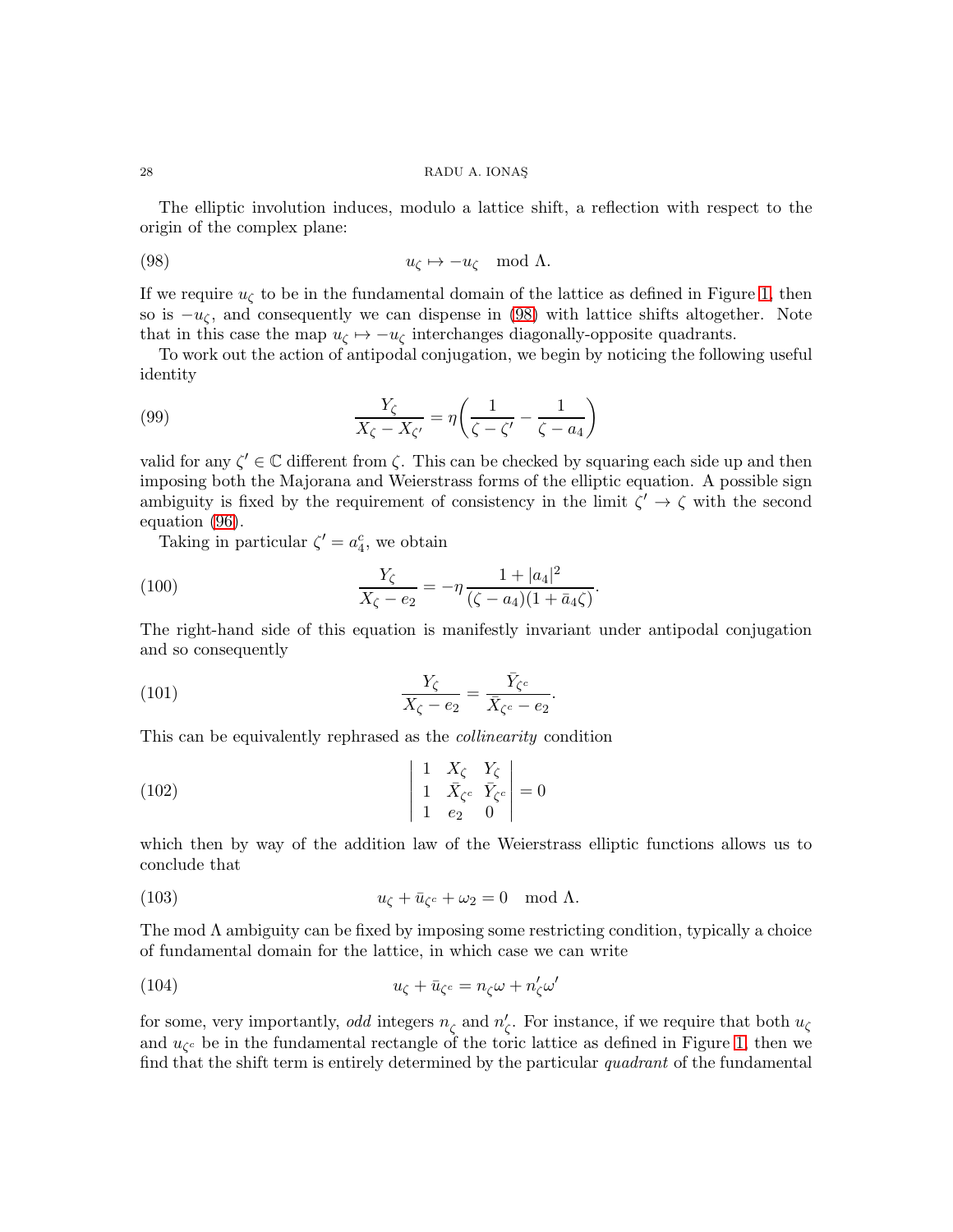The elliptic involution induces, modulo a lattice shift, a reflection with respect to the origin of the complex plane:

<span id="page-27-0"></span>(98) 
$$
u_{\zeta} \mapsto -u_{\zeta} \mod \Lambda
$$
.

If we require  $u_{\zeta}$  to be in the fundamental domain of the lattice as defined in Figure [1,](#page-26-0) then so is  $-u_{\zeta}$ , and consequently we can dispense in [\(98\)](#page-27-0) with lattice shifts altogether. Note that in this case the map  $u_{\zeta} \mapsto -u_{\zeta}$  interchanges diagonally-opposite quadrants.

To work out the action of antipodal conjugation, we begin by noticing the following useful identity

<span id="page-27-1"></span>(99) 
$$
\frac{Y_{\zeta}}{X_{\zeta}-X_{\zeta'}}=\eta\left(\frac{1}{\zeta-\zeta'}-\frac{1}{\zeta-a_4}\right)
$$

valid for any  $\zeta' \in \mathbb{C}$  different from  $\zeta$ . This can be checked by squaring each side up and then imposing both the Majorana and Weierstrass forms of the elliptic equation. A possible sign ambiguity is fixed by the requirement of consistency in the limit  $\zeta' \to \zeta$  with the second equation [\(96\)](#page-26-1).

Taking in particular  $\zeta' = a_4^c$ , we obtain

(100) 
$$
\frac{Y_{\zeta}}{X_{\zeta} - e_2} = -\eta \frac{1 + |a_4|^2}{(\zeta - a_4)(1 + \bar{a}_4 \zeta)}.
$$

The right-hand side of this equation is manifestly invariant under antipodal conjugation and so consequently

(101) 
$$
\frac{Y_{\zeta}}{X_{\zeta}-e_2} = \frac{\bar{Y}_{\zeta^c}}{\bar{X}_{\zeta^c}-e_2}.
$$

This can be equivalently rephrased as the collinearity condition

(102) 
$$
\begin{vmatrix} 1 & X_{\zeta} & Y_{\zeta} \\ 1 & \bar{X}_{\zeta^c} & \bar{Y}_{\zeta^c} \\ 1 & e_2 & 0 \end{vmatrix} = 0
$$

which then by way of the addition law of the Weierstrass elliptic functions allows us to conclude that

(103) 
$$
u_{\zeta} + \bar{u}_{\zeta^c} + \omega_2 = 0 \mod \Lambda.
$$

The mod  $\Lambda$  ambiguity can be fixed by imposing some restricting condition, typically a choice of fundamental domain for the lattice, in which case we can write

<span id="page-27-2"></span>(104) 
$$
u_{\zeta} + \bar{u}_{\zeta^c} = n_{\zeta}\omega + n_{\zeta}'\omega'
$$

for some, very importantly, *odd* integers  $n_{\zeta}$  and  $n'_{\zeta}$ . For instance, if we require that both  $u_{\zeta}$ and  $u_{\zeta_c}$  be in the fundamental rectangle of the toric lattice as defined in Figure [1,](#page-26-0) then we find that the shift term is entirely determined by the particular quadrant of the fundamental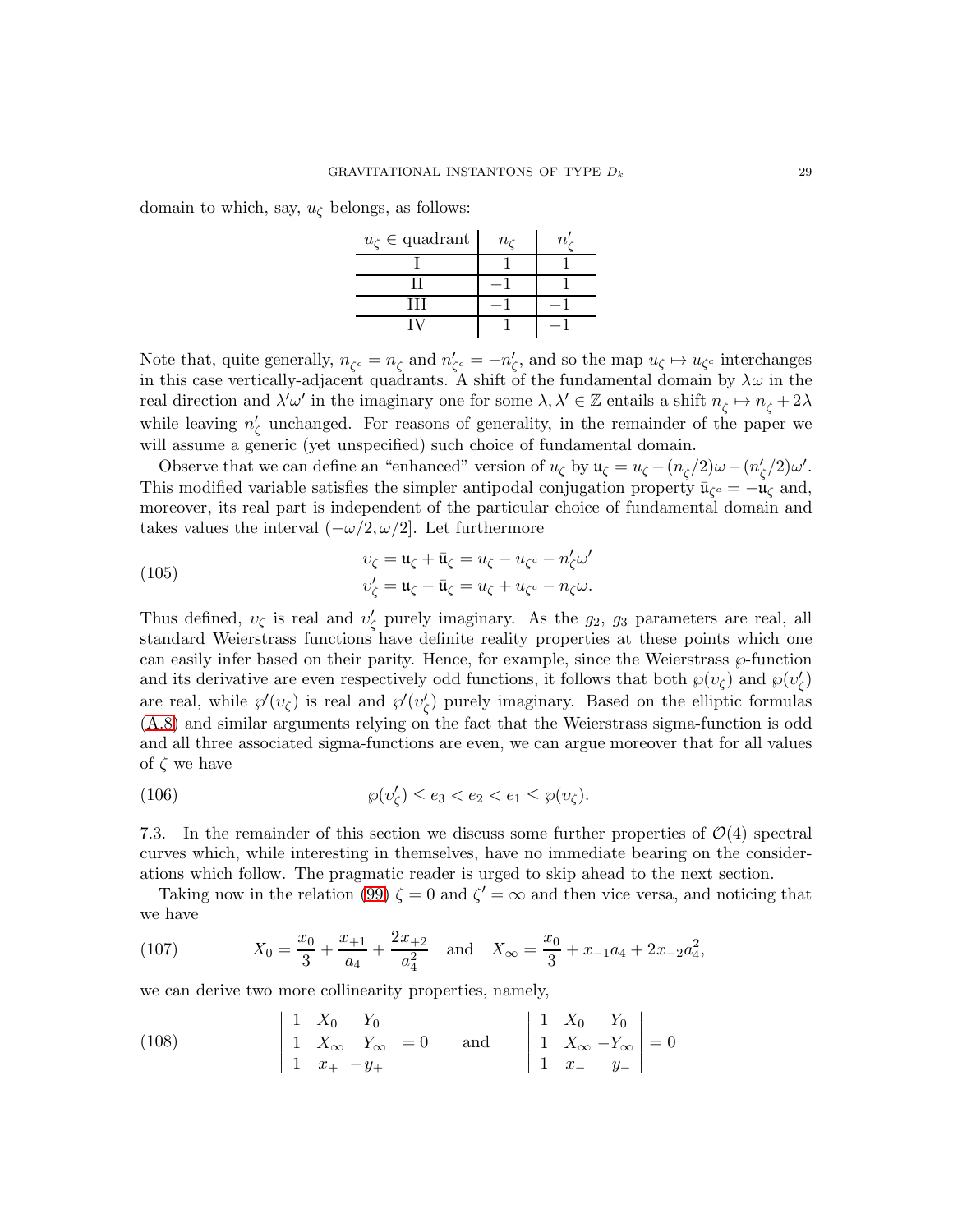domain to which, say,  $u_{\zeta}$  belongs, as follows:

| $u_{\zeta} \in \text{quadrant}$ | n <sub>c</sub> | n. |
|---------------------------------|----------------|----|
|                                 |                |    |
|                                 |                |    |
| Ш                               |                |    |
|                                 |                |    |

Note that, quite generally,  $n_{\zeta^c} = n_{\zeta}$  and  $n'_{\zeta^c} = -n'_{\zeta}$ , and so the map  $u_{\zeta} \mapsto u_{\zeta^c}$  interchanges in this case vertically-adjacent quadrants. A shift of the fundamental domain by  $\lambda \omega$  in the real direction and  $\lambda'\omega'$  in the imaginary one for some  $\lambda, \lambda' \in \mathbb{Z}$  entails a shift  $n_{\zeta} \mapsto n_{\zeta} + 2\lambda$ while leaving  $n'_{\zeta}$  unchanged. For reasons of generality, in the remainder of the paper we will assume a generic (yet unspecified) such choice of fundamental domain.

Observe that we can define an "enhanced" version of  $u_{\zeta}$  by  $\mathfrak{u}_{\zeta} = u_{\zeta} - (n_{\zeta}/2)\omega - (n_{\zeta}'/2)\omega'.$ This modified variable satisfies the simpler antipodal conjugation property  $\bar{\mathfrak{u}}_{\zeta_c} = -\mathfrak{u}_{\zeta}$  and, moreover, its real part is independent of the particular choice of fundamental domain and takes values the interval  $(-\omega/2, \omega/2]$ . Let furthermore

(105) 
$$
v_{\zeta} = \mathfrak{u}_{\zeta} + \bar{\mathfrak{u}}_{\zeta} = u_{\zeta} - u_{\zeta^c} - n'_{\zeta} \omega'
$$

$$
v'_{\zeta} = \mathfrak{u}_{\zeta} - \bar{\mathfrak{u}}_{\zeta} = u_{\zeta} + u_{\zeta^c} - n_{\zeta} \omega.
$$

Thus defined,  $v_{\zeta}$  is real and  $v_{\zeta}'$  purely imaginary. As the  $g_2$ ,  $g_3$  parameters are real, all standard Weierstrass functions have definite reality properties at these points which one can easily infer based on their parity. Hence, for example, since the Weierstrass  $\wp$ -function and its derivative are even respectively odd functions, it follows that both  $\wp(v_{\zeta})$  and  $\wp(v'_{\zeta})$ are real, while  $\wp'(v_\zeta)$  is real and  $\wp'(v'_\zeta)$  purely imaginary. Based on the elliptic formulas [\(A.8\)](#page-48-0) and similar arguments relying on the fact that the Weierstrass sigma-function is odd and all three associated sigma-functions are even, we can argue moreover that for all values of  $\zeta$  we have

(106) 
$$
\wp(v_\zeta') \le e_3 < e_2 < e_1 \le \wp(v_\zeta).
$$

7.3. In the remainder of this section we discuss some further properties of  $\mathcal{O}(4)$  spectral curves which, while interesting in themselves, have no immediate bearing on the considerations which follow. The pragmatic reader is urged to skip ahead to the next section.

Taking now in the relation [\(99\)](#page-27-1)  $\zeta = 0$  and  $\zeta' = \infty$  and then vice versa, and noticing that we have

(107) 
$$
X_0 = \frac{x_0}{3} + \frac{x_{+1}}{a_4} + \frac{2x_{+2}}{a_4^2} \text{ and } X_{\infty} = \frac{x_0}{3} + x_{-1}a_4 + 2x_{-2}a_4^2,
$$

we can derive two more collinearity properties, namely,

(108) 
$$
\begin{vmatrix} 1 & X_0 & Y_0 \\ 1 & X_{\infty} & Y_{\infty} \\ 1 & x_+ & -y_+ \end{vmatrix} = 0 \quad \text{and} \quad \begin{vmatrix} 1 & X_0 & Y_0 \\ 1 & X_{\infty} & -Y_{\infty} \\ 1 & x_- & y_- \end{vmatrix} = 0
$$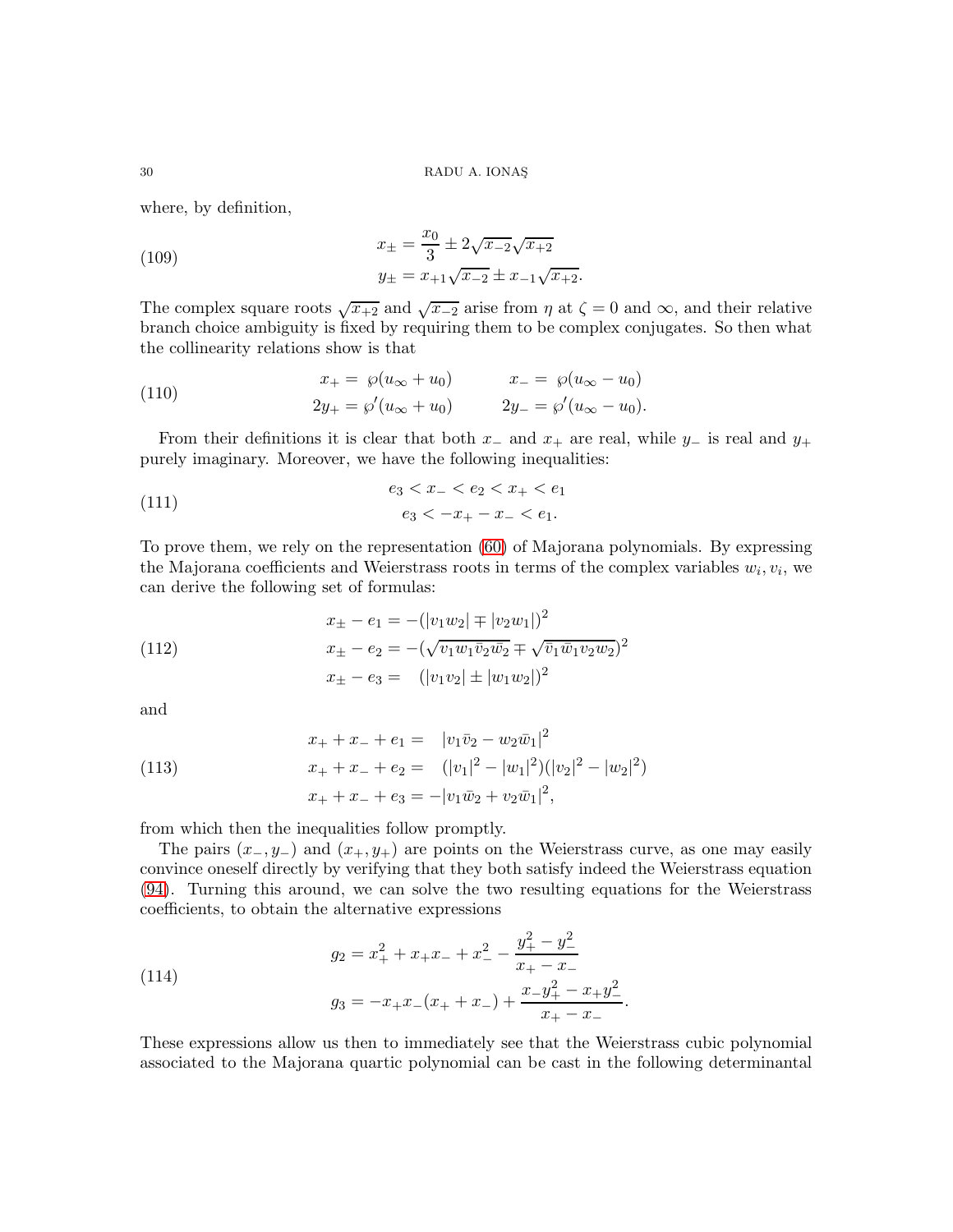where, by definition,

(109) 
$$
x_{\pm} = \frac{x_0}{3} \pm 2\sqrt{x_{-2}}\sqrt{x_{+2}}
$$

$$
y_{\pm} = x_{+1}\sqrt{x_{-2}} \pm x_{-1}\sqrt{x_{+2}}.
$$

The complex square roots  $\sqrt{x+2}$  and  $\sqrt{x-2}$  arise from  $\eta$  at  $\zeta = 0$  and  $\infty$ , and their relative branch choice ambiguity is fixed by requiring them to be complex conjugates. So then what the collinearity relations show is that

(110) 
$$
x_{+} = \wp(u_{\infty} + u_{0}) \qquad x_{-} = \wp(u_{\infty} - u_{0})
$$

$$
2y_{+} = \wp'(u_{\infty} + u_{0}) \qquad 2y_{-} = \wp'(u_{\infty} - u_{0}).
$$

From their definitions it is clear that both  $x_-\,$  and  $x_+\,$  are real, while  $y_-\,$  is real and  $y_+\,$ purely imaginary. Moreover, we have the following inequalities:

(111) 
$$
e_3 < x_- < e_2 < x_+ < e_1
$$

$$
e_3 < -x_+ - x_- < e_1.
$$

To prove them, we rely on the representation [\(60\)](#page-16-2) of Majorana polynomials. By expressing the Majorana coefficients and Weierstrass roots in terms of the complex variables  $w_i, v_i$ , we can derive the following set of formulas:

(112) 
$$
x_{\pm} - e_1 = -(|v_1w_2| \mp |v_2w_1|)^2
$$

$$
x_{\pm} - e_2 = -(\sqrt{v_1w_1\bar{v}_2\bar{w}_2} \mp \sqrt{\bar{v}_1\bar{w}_1v_2w_2})^2
$$

$$
x_{\pm} - e_3 = (|v_1v_2| \pm |w_1w_2|)^2
$$

and

(113) 
$$
x_{+} + x_{-} + e_{1} = |v_{1}\bar{v}_{2} - w_{2}\bar{w}_{1}|^{2}
$$

$$
x_{+} + x_{-} + e_{2} = (|v_{1}|^{2} - |w_{1}|^{2})(|v_{2}|^{2} - |w_{2}|^{2})
$$

$$
x_{+} + x_{-} + e_{3} = -|v_{1}\bar{w}_{2} + v_{2}\bar{w}_{1}|^{2},
$$

from which then the inequalities follow promptly.

The pairs  $(x_-, y_-)$  and  $(x_+, y_+)$  are points on the Weierstrass curve, as one may easily convince oneself directly by verifying that they both satisfy indeed the Weierstrass equation [\(94\)](#page-25-1). Turning this around, we can solve the two resulting equations for the Weierstrass coefficients, to obtain the alternative expressions

(114) 
$$
g_2 = x_+^2 + x_+x_- + x_-^2 - \frac{y_+^2 - y_-^2}{x_+ - x_-}
$$

$$
g_3 = -x_+x_-(x_+ + x_-) + \frac{x_-\overline{y_+^2} - x_+\overline{y_+^2}}{x_+ - x_-}.
$$

These expressions allow us then to immediately see that the Weierstrass cubic polynomial associated to the Majorana quartic polynomial can be cast in the following determinantal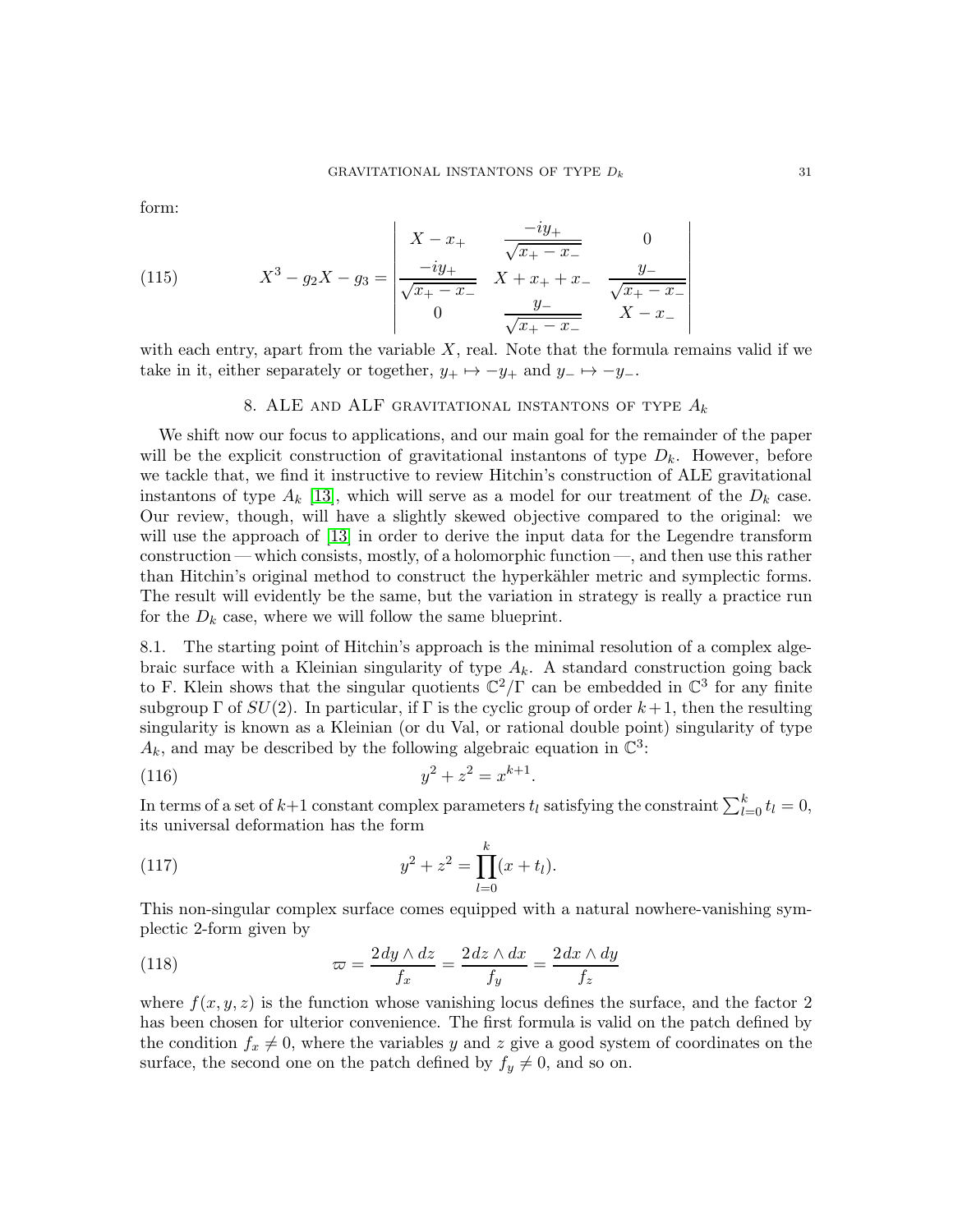form:

(115) 
$$
X^3 - g_2 X - g_3 = \begin{vmatrix} X - x_+ & \frac{-iy_+}{\sqrt{x_+ - x_-}} & 0\\ \frac{-iy_+}{\sqrt{x_+ - x_-}} & X + x_+ + x_- & \frac{y_-}{\sqrt{x_+ - x_-}}\\ 0 & \frac{y_-}{\sqrt{x_+ - x_-}} & X - x_- \end{vmatrix}
$$

with each entry, apart from the variable  $X$ , real. Note that the formula remains valid if we take in it, either separately or together,  $y_+ \mapsto -y_+$  and  $y_- \mapsto -y_-$ .

# 8. ALE AND ALF GRAVITATIONAL INSTANTONS OF TYPE  $A_k$

We shift now our focus to applications, and our main goal for the remainder of the paper will be the explicit construction of gravitational instantons of type  $D_k$ . However, before we tackle that, we find it instructive to review Hitchin's construction of ALE gravitational instantons of type  $A_k$  [\[13\]](#page-49-2), which will serve as a model for our treatment of the  $D_k$  case. Our review, though, will have a slightly skewed objective compared to the original: we will use the approach of [\[13\]](#page-49-2) in order to derive the input data for the Legendre transform construction — which consists, mostly, of a holomorphic function —, and then use this rather than Hitchin's original method to construct the hyperkähler metric and symplectic forms. The result will evidently be the same, but the variation in strategy is really a practice run for the  $D_k$  case, where we will follow the same blueprint.

8.1. The starting point of Hitchin's approach is the minimal resolution of a complex algebraic surface with a Kleinian singularity of type  $A_k$ . A standard construction going back to F. Klein shows that the singular quotients  $\mathbb{C}^2/\Gamma$  can be embedded in  $\mathbb{C}^3$  for any finite subgroup  $\Gamma$  of  $SU(2)$ . In particular, if  $\Gamma$  is the cyclic group of order  $k+1$ , then the resulting singularity is known as a Kleinian (or du Val, or rational double point) singularity of type  $A_k$ , and may be described by the following algebraic equation in  $\mathbb{C}^3$ :

(116) 
$$
y^2 + z^2 = x^{k+1}.
$$

In terms of a set of  $k+1$  constant complex parameters  $t_l$  satisfying the constraint  $\sum_{l=0}^{k} t_l = 0$ , its universal deformation has the form

<span id="page-30-0"></span>(117) 
$$
y^2 + z^2 = \prod_{l=0}^{k} (x + t_l).
$$

This non-singular complex surface comes equipped with a natural nowhere-vanishing symplectic 2-form given by

(118) 
$$
\varpi = \frac{2\,dy \wedge dz}{f_x} = \frac{2\,dz \wedge dx}{f_y} = \frac{2\,dx \wedge dy}{f_z}
$$

where  $f(x, y, z)$  is the function whose vanishing locus defines the surface, and the factor 2 has been chosen for ulterior convenience. The first formula is valid on the patch defined by the condition  $f_x \neq 0$ , where the variables y and z give a good system of coordinates on the surface, the second one on the patch defined by  $f_y \neq 0$ , and so on.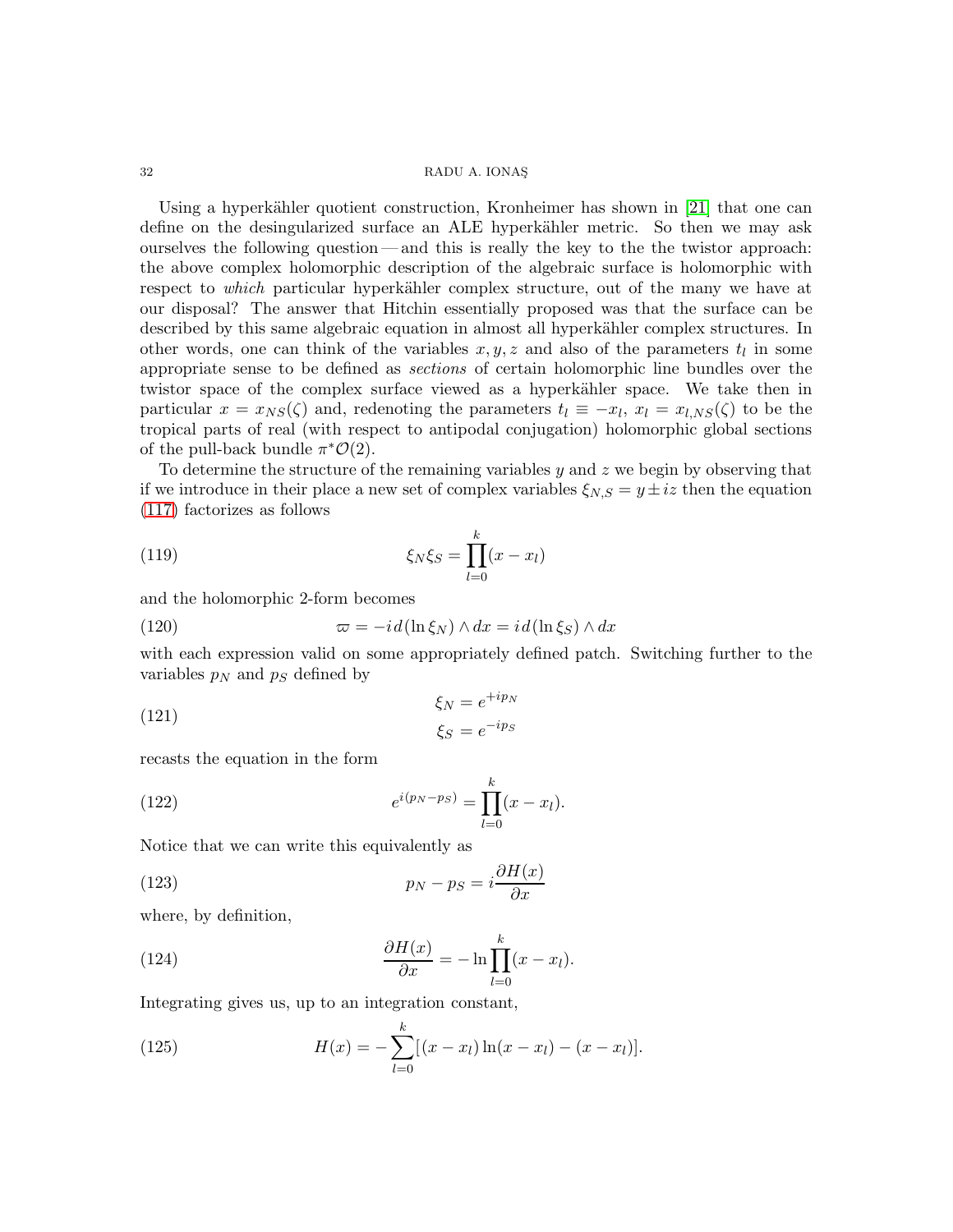Using a hyperkähler quotient construction, Kronheimer has shown in [\[21\]](#page-49-0) that one can define on the desingularized surface an ALE hyperkähler metric. So then we may ask ourselves the following question — and this is really the key to the the twistor approach: the above complex holomorphic description of the algebraic surface is holomorphic with respect to *which* particular hyperkähler complex structure, out of the many we have at our disposal? The answer that Hitchin essentially proposed was that the surface can be described by this same algebraic equation in almost all hyperkähler complex structures. In other words, one can think of the variables  $x, y, z$  and also of the parameters  $t<sub>l</sub>$  in some appropriate sense to be defined as sections of certain holomorphic line bundles over the twistor space of the complex surface viewed as a hyperkähler space. We take then in particular  $x = x_{NS}(\zeta)$  and, redenoting the parameters  $t_l \equiv -x_l, x_l = x_{l,NS}(\zeta)$  to be the tropical parts of real (with respect to antipodal conjugation) holomorphic global sections of the pull-back bundle  $\pi^*{\mathcal{O}}(2)$ .

To determine the structure of the remaining variables  $y$  and  $z$  we begin by observing that if we introduce in their place a new set of complex variables  $\xi_{N,S} = y \pm iz$  then the equation [\(117\)](#page-30-0) factorizes as follows

<span id="page-31-1"></span>(119) 
$$
\xi_N \xi_S = \prod_{l=0}^k (x - x_l)
$$

and the holomorphic 2-form becomes

<span id="page-31-3"></span>(120) 
$$
\varpi = -id(\ln \xi_N) \wedge dx = id(\ln \xi_S) \wedge dx
$$

with each expression valid on some appropriately defined patch. Switching further to the variables  $p_N$  and  $p_S$  defined by

(121) 
$$
\xi_N = e^{+ip_N}
$$

$$
\xi_S = e^{-ip_S}
$$

recasts the equation in the form

<span id="page-31-4"></span>(122) 
$$
e^{i(p_N - p_S)} = \prod_{l=0}^{k} (x - x_l).
$$

Notice that we can write this equivalently as

<span id="page-31-0"></span>(123) 
$$
p_N - p_S = i \frac{\partial H(x)}{\partial x}
$$

where, by definition,

(124) 
$$
\frac{\partial H(x)}{\partial x} = -\ln \prod_{l=0}^{k} (x - x_l).
$$

Integrating gives us, up to an integration constant,

<span id="page-31-2"></span>(125) 
$$
H(x) = -\sum_{l=0}^{k} [(x - x_l) \ln(x - x_l) - (x - x_l)].
$$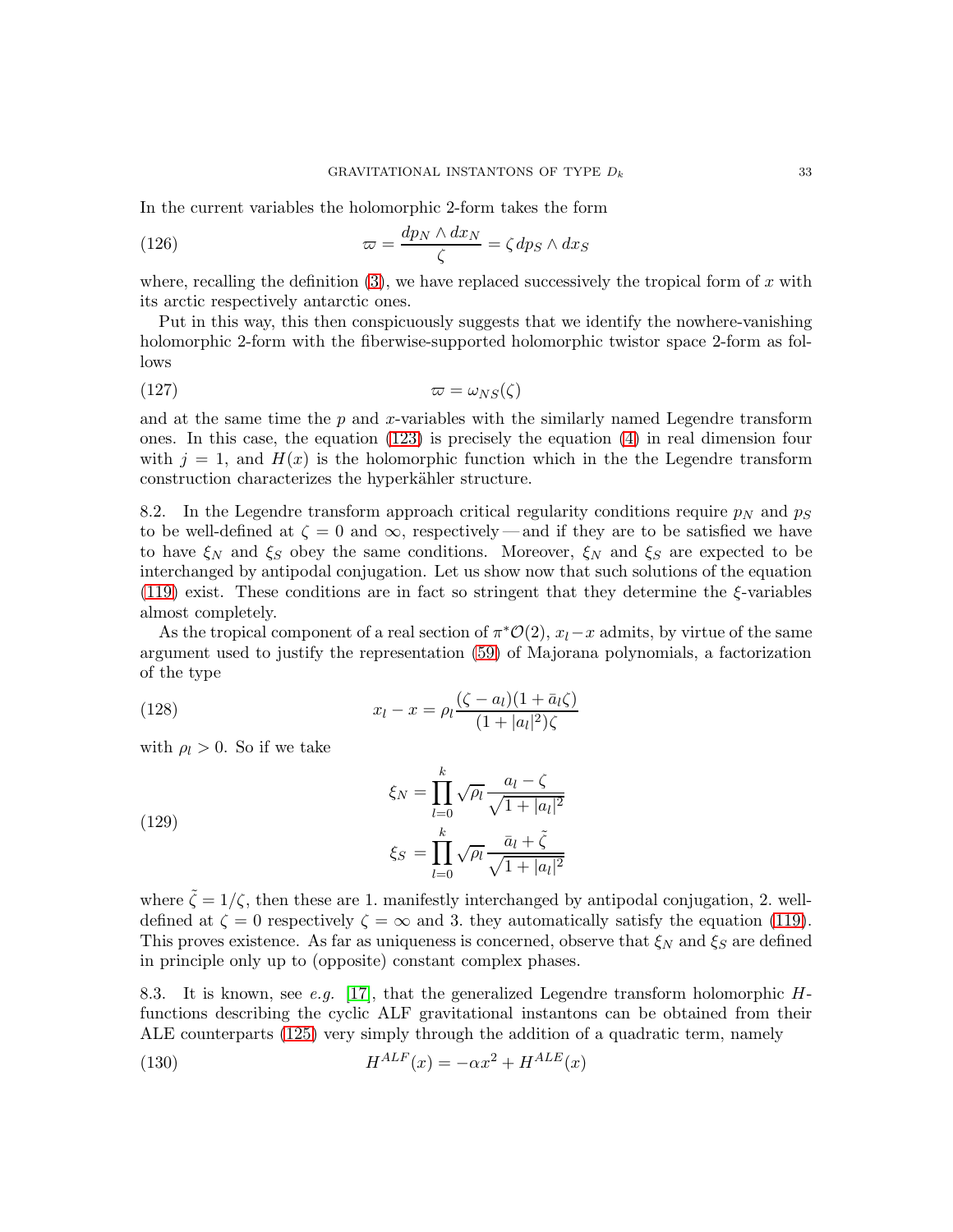In the current variables the holomorphic 2-form takes the form

<span id="page-32-1"></span>(126) 
$$
\varpi = \frac{dp_N \wedge dx_N}{\zeta} = \zeta dp_S \wedge dx_S
$$

where, recalling the definition  $(3)$ , we have replaced successively the tropical form of x with its arctic respectively antarctic ones.

Put in this way, this then conspicuously suggests that we identify the nowhere-vanishing holomorphic 2-form with the fiberwise-supported holomorphic twistor space 2-form as follows

$$
\varpi = \omega_{NS}(\zeta)
$$

and at the same time the  $p$  and  $x$ -variables with the similarly named Legendre transform ones. In this case, the equation [\(123\)](#page-31-0) is precisely the equation [\(4\)](#page-4-1) in real dimension four with  $j = 1$ , and  $H(x)$  is the holomorphic function which in the the Legendre transform construction characterizes the hyperkähler structure.

8.2. In the Legendre transform approach critical regularity conditions require  $p<sub>N</sub>$  and  $p<sub>S</sub>$ to be well-defined at  $\zeta = 0$  and  $\infty$ , respectively — and if they are to be satisfied we have to have  $\xi_N$  and  $\xi_S$  obey the same conditions. Moreover,  $\xi_N$  and  $\xi_S$  are expected to be interchanged by antipodal conjugation. Let us show now that such solutions of the equation [\(119\)](#page-31-1) exist. These conditions are in fact so stringent that they determine the  $\xi$ -variables almost completely.

As the tropical component of a real section of  $\pi^*O(2)$ ,  $x_l-x$  admits, by virtue of the same argument used to justify the representation [\(59\)](#page-16-0) of Majorana polynomials, a factorization of the type

(128) 
$$
x_l - x = \rho_l \frac{(\zeta - a_l)(1 + \bar{a}_l \zeta)}{(1 + |a_l|^2)\zeta}
$$

with  $\rho_l > 0$ . So if we take

<span id="page-32-2"></span>(129)  

$$
\xi_N = \prod_{l=0}^k \sqrt{\rho_l} \frac{a_l - \zeta}{\sqrt{1 + |a_l|^2}}
$$

$$
\xi_S = \prod_{l=0}^k \sqrt{\rho_l} \frac{\bar{a}_l + \tilde{\zeta}}{\sqrt{1 + |a_l|^2}}
$$

where  $\tilde{\zeta} = 1/\zeta$ , then these are 1. manifestly interchanged by antipodal conjugation, 2. welldefined at  $\zeta = 0$  respectively  $\zeta = \infty$  and 3. they automatically satisfy the equation [\(119\)](#page-31-1). This proves existence. As far as uniqueness is concerned, observe that  $\xi_N$  and  $\xi_S$  are defined in principle only up to (opposite) constant complex phases.

8.3. It is known, see e.g. [\[17\]](#page-49-1), that the generalized Legendre transform holomorphic  $H$ functions describing the cyclic ALF gravitational instantons can be obtained from their ALE counterparts [\(125\)](#page-31-2) very simply through the addition of a quadratic term, namely

<span id="page-32-0"></span>(130) 
$$
H^{ALF}(x) = -\alpha x^2 + H^{ALE}(x)
$$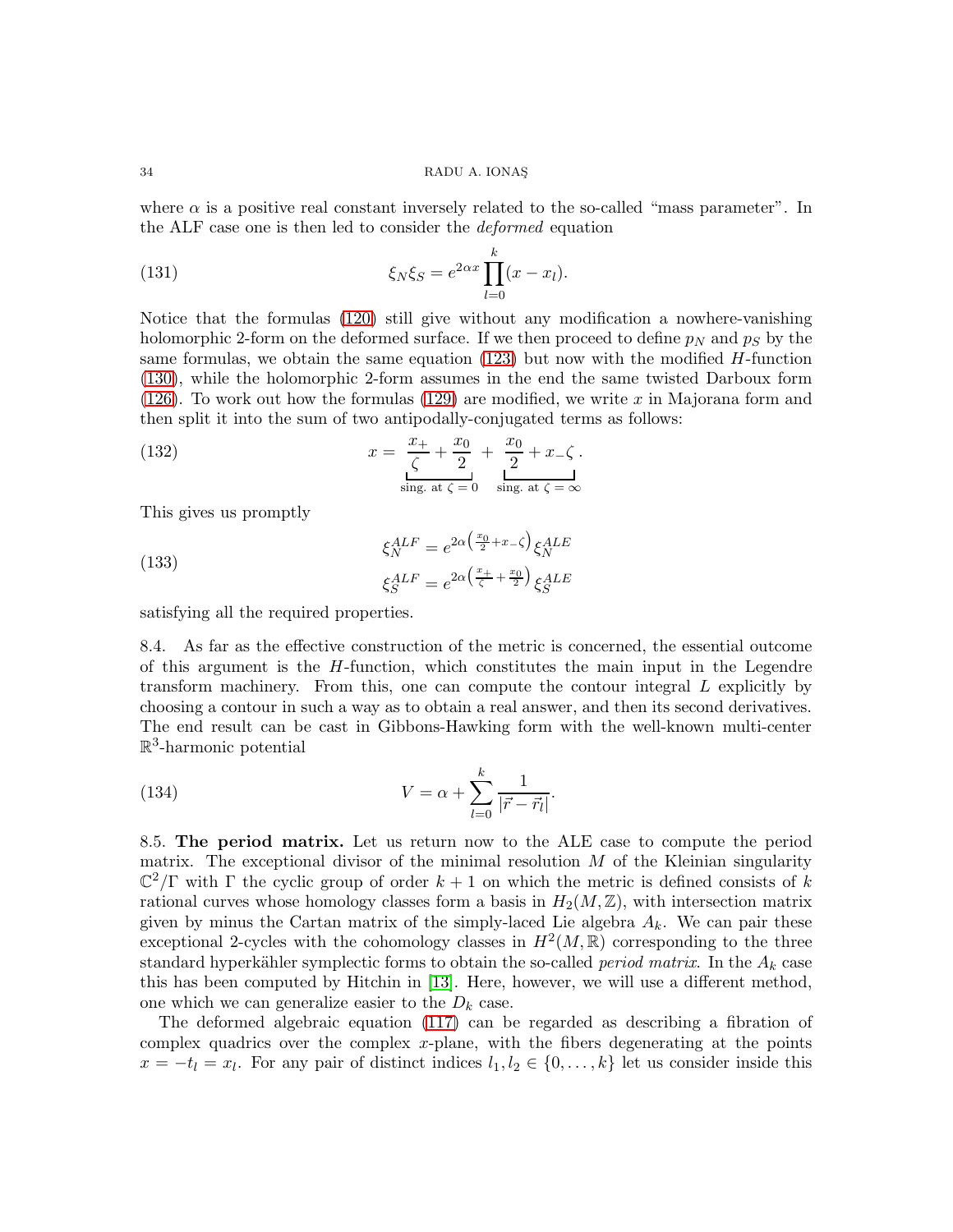where  $\alpha$  is a positive real constant inversely related to the so-called "mass parameter". In the ALF case one is then led to consider the deformed equation

(131) 
$$
\xi_N \xi_S = e^{2\alpha x} \prod_{l=0}^k (x - x_l).
$$

Notice that the formulas [\(120\)](#page-31-3) still give without any modification a nowhere-vanishing holomorphic 2-form on the deformed surface. If we then proceed to define  $p_N$  and  $p_S$  by the same formulas, we obtain the same equation  $(123)$  but now with the modified H-function [\(130\)](#page-32-0), while the holomorphic 2-form assumes in the end the same twisted Darboux form  $(126)$ . To work out how the formulas  $(129)$  are modified, we write x in Majorana form and then split it into the sum of two antipodally-conjugated terms as follows:

<span id="page-33-0"></span>(132) 
$$
x = \frac{x_+}{\zeta} + \frac{x_0}{2} + \frac{x_0}{2} + x_-\zeta.
$$

$$
\lim_{\text{sing. at } \zeta = 0} \frac{1}{\sin x} \frac{1}{\zeta} + x_-\zeta.
$$

This gives us promptly

(133) 
$$
\xi_N^{ALF} = e^{2\alpha \left(\frac{x_0}{2} + x - \zeta\right)} \xi_N^{ALE}
$$

$$
\xi_S^{ALF} = e^{2\alpha \left(\frac{x_+}{\zeta} + \frac{x_0}{2}\right)} \xi_S^{ALE}
$$

satisfying all the required properties.

8.4. As far as the effective construction of the metric is concerned, the essential outcome of this argument is the  $H$ -function, which constitutes the main input in the Legendre transform machinery. From this, one can compute the contour integral  $L$  explicitly by choosing a contour in such a way as to obtain a real answer, and then its second derivatives. The end result can be cast in Gibbons-Hawking form with the well-known multi-center R 3 -harmonic potential

(134) 
$$
V = \alpha + \sum_{l=0}^{k} \frac{1}{|\vec{r} - \vec{r}_l|}.
$$

8.5. The period matrix. Let us return now to the ALE case to compute the period matrix. The exceptional divisor of the minimal resolution  $M$  of the Kleinian singularity  $\mathbb{C}^2/\Gamma$  with  $\Gamma$  the cyclic group of order  $k+1$  on which the metric is defined consists of k rational curves whose homology classes form a basis in  $H_2(M,\mathbb{Z})$ , with intersection matrix given by minus the Cartan matrix of the simply-laced Lie algebra  $A_k$ . We can pair these exceptional 2-cycles with the cohomology classes in  $H^2(M,\mathbb{R})$  corresponding to the three standard hyperkähler symplectic forms to obtain the so-called *period matrix*. In the  $A_k$  case this has been computed by Hitchin in [\[13\]](#page-49-2). Here, however, we will use a different method, one which we can generalize easier to the  $D_k$  case.

The deformed algebraic equation [\(117\)](#page-30-0) can be regarded as describing a fibration of complex quadrics over the complex  $x$ -plane, with the fibers degenerating at the points  $x = -t_l = x_l$ . For any pair of distinct indices  $l_1, l_2 \in \{0, ..., k\}$  let us consider inside this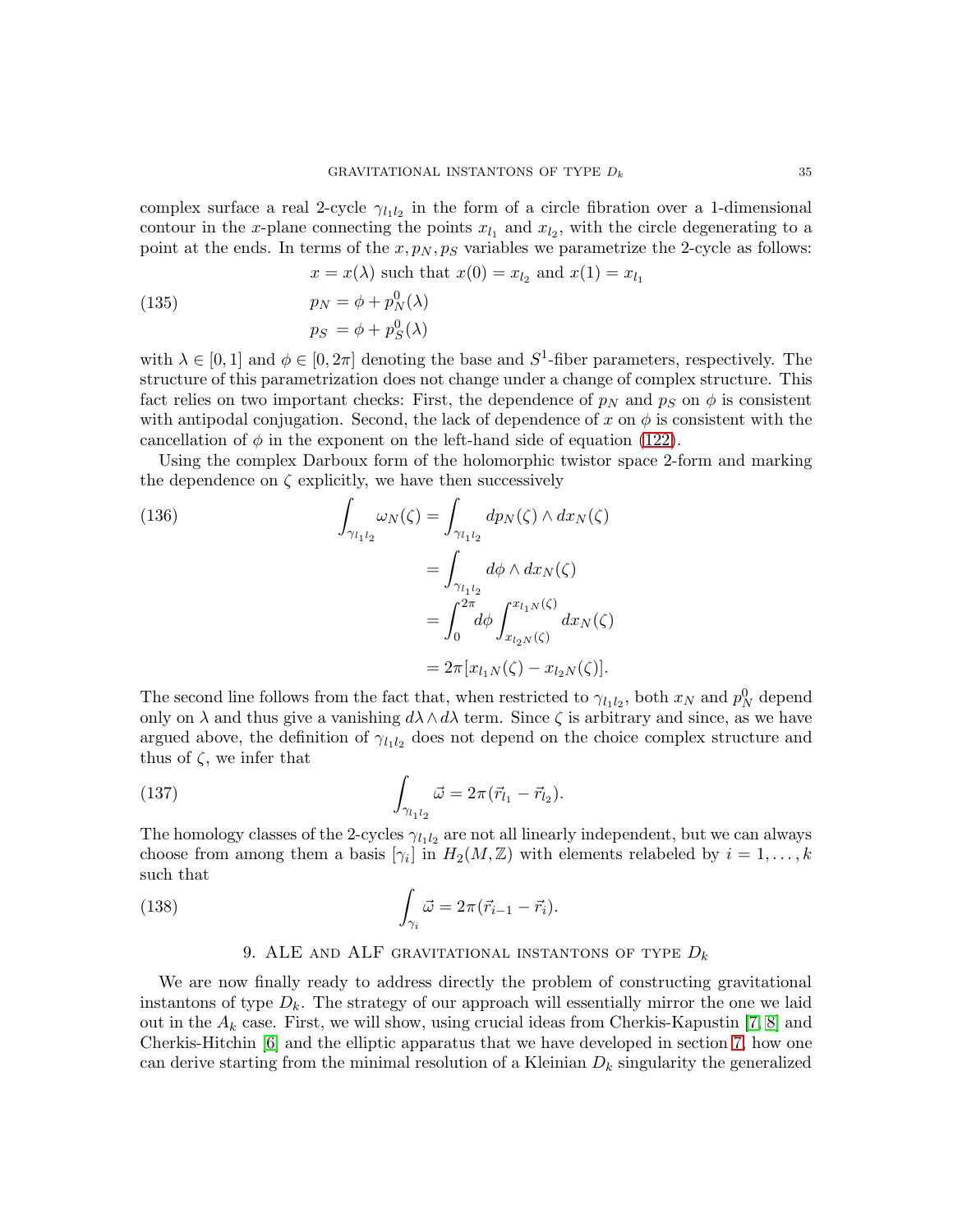complex surface a real 2-cycle  $\gamma_{l_1l_2}$  in the form of a circle fibration over a 1-dimensional contour in the x-plane connecting the points  $x_{l_1}$  and  $x_{l_2}$ , with the circle degenerating to a point at the ends. In terms of the  $x, p_N, p_S$  variables we parametrize the 2-cycle as follows:

$$
x = x(\lambda)
$$
 such that  $x(0) = x_{l_2}$  and  $x(1) = x_{l_1}$ 

(135) 
$$
p_N = \phi + p_N^0(\lambda)
$$

$$
p_S = \phi + p_S^0(\lambda)
$$

with  $\lambda \in [0, 1]$  and  $\phi \in [0, 2\pi]$  denoting the base and  $S^1$ -fiber parameters, respectively. The structure of this parametrization does not change under a change of complex structure. This fact relies on two important checks: First, the dependence of  $p<sub>N</sub>$  and  $p<sub>S</sub>$  on  $\phi$  is consistent with antipodal conjugation. Second, the lack of dependence of x on  $\phi$  is consistent with the cancellation of  $\phi$  in the exponent on the left-hand side of equation [\(122\)](#page-31-4).

Using the complex Darboux form of the holomorphic twistor space 2-form and marking the dependence on  $\zeta$  explicitly, we have then successively

(136)  
\n
$$
\int_{\gamma_{l_1 l_2}} \omega_N(\zeta) = \int_{\gamma_{l_1 l_2}} dp_N(\zeta) \wedge dx_N(\zeta)
$$
\n
$$
= \int_{\gamma_{l_1 l_2}} d\phi \wedge dx_N(\zeta)
$$
\n
$$
= \int_0^{2\pi} d\phi \int_{x_{l_2 N}(\zeta)}^{x_{l_1 N}(\zeta)} dx_N(\zeta)
$$
\n
$$
= 2\pi [x_{l_1 N}(\zeta) - x_{l_2 N}(\zeta)].
$$

The second line follows from the fact that, when restricted to  $\gamma_{l_1l_2}$ , both  $x_N$  and  $p_N^0$  depend only on  $\lambda$  and thus give a vanishing  $d\lambda \wedge d\lambda$  term. Since  $\zeta$  is arbitrary and since, as we have argued above, the definition of  $\gamma_{l_1l_2}$  does not depend on the choice complex structure and thus of  $\zeta$ , we infer that

(137) 
$$
\int_{\gamma_{l_1 l_2}} \vec{\omega} = 2\pi (\vec{r}_{l_1} - \vec{r}_{l_2}).
$$

The homology classes of the 2-cycles  $\gamma_{l_1l_2}$  are not all linearly independent, but we can always choose from among them a basis  $[\gamma_i]$  in  $H_2(M, \mathbb{Z})$  with elements relabeled by  $i = 1, \ldots, k$ such that

(138) 
$$
\int_{\gamma_i} \vec{\omega} = 2\pi (\vec{r}_{i-1} - \vec{r}_i).
$$

# 9. ALE AND ALF GRAVITATIONAL INSTANTONS OF TYPE  $D_k$

We are now finally ready to address directly the problem of constructing gravitational instantons of type  $D_k$ . The strategy of our approach will essentially mirror the one we laid out in the  $A_k$  case. First, we will show, using crucial ideas from Cherkis-Kapustin [\[7,](#page-49-5) [8\]](#page-49-6) and Cherkis-Hitchin [\[6\]](#page-49-4) and the elliptic apparatus that we have developed in section [7,](#page-25-2) how one can derive starting from the minimal resolution of a Kleinian  $D_k$  singularity the generalized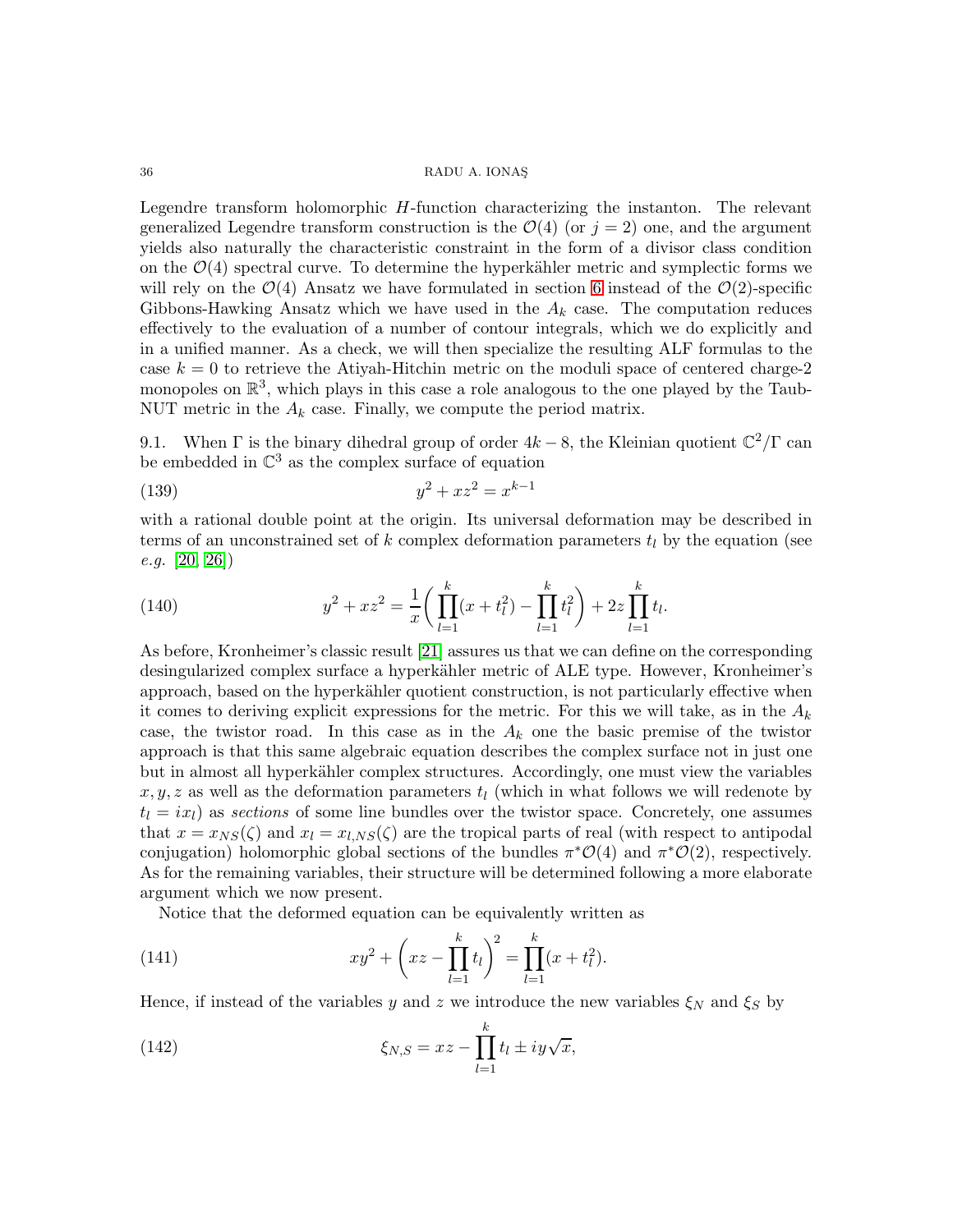Legendre transform holomorphic H-function characterizing the instanton. The relevant generalized Legendre transform construction is the  $\mathcal{O}(4)$  (or  $j = 2$ ) one, and the argument yields also naturally the characteristic constraint in the form of a divisor class condition on the  $\mathcal{O}(4)$  spectral curve. To determine the hyperkähler metric and symplectic forms we will rely on the  $\mathcal{O}(4)$  Ansatz we have formulated in section [6](#page-19-1) instead of the  $\mathcal{O}(2)$ -specific Gibbons-Hawking Ansatz which we have used in the  $A_k$  case. The computation reduces effectively to the evaluation of a number of contour integrals, which we do explicitly and in a unified manner. As a check, we will then specialize the resulting ALF formulas to the case  $k = 0$  to retrieve the Atiyah-Hitchin metric on the moduli space of centered charge-2 monopoles on  $\mathbb{R}^3$ , which plays in this case a role analogous to the one played by the Taub-NUT metric in the  $A_k$  case. Finally, we compute the period matrix.

9.1. When  $\Gamma$  is the binary dihedral group of order  $4k - 8$ , the Kleinian quotient  $\mathbb{C}^2/\Gamma$  can be embedded in  $\mathbb{C}^3$  as the complex surface of equation

(139) 
$$
y^2 + xz^2 = x^{k-1}
$$

with a rational double point at the origin. Its universal deformation may be described in terms of an unconstrained set of k complex deformation parameters  $t_l$  by the equation (see  $e.g. [20, 26]$  $e.g. [20, 26]$  $e.g. [20, 26]$ 

<span id="page-35-0"></span>(140) 
$$
y^{2} + xz^{2} = \frac{1}{x} \bigg( \prod_{l=1}^{k} (x + t_{l}^{2}) - \prod_{l=1}^{k} t_{l}^{2} \bigg) + 2z \prod_{l=1}^{k} t_{l}.
$$

As before, Kronheimer's classic result [\[21\]](#page-49-0) assures us that we can define on the corresponding desingularized complex surface a hyperkähler metric of ALE type. However, Kronheimer's approach, based on the hyperkähler quotient construction, is not particularly effective when it comes to deriving explicit expressions for the metric. For this we will take, as in the  $A_k$ case, the twistor road. In this case as in the  $A_k$  one the basic premise of the twistor approach is that this same algebraic equation describes the complex surface not in just one but in almost all hyperkähler complex structures. Accordingly, one must view the variables  $x, y, z$  as well as the deformation parameters  $t<sub>l</sub>$  (which in what follows we will redenote by  $t_l = i x_l$  as sections of some line bundles over the twistor space. Concretely, one assumes that  $x = x_{NS}(\zeta)$  and  $x_l = x_{l,NS}(\zeta)$  are the tropical parts of real (with respect to antipodal conjugation) holomorphic global sections of the bundles  $\pi^*{\mathcal{O}}(4)$  and  $\pi^*{\mathcal{O}}(2)$ , respectively. As for the remaining variables, their structure will be determined following a more elaborate argument which we now present.

Notice that the deformed equation can be equivalently written as

(141) 
$$
xy^{2} + \left(xz - \prod_{l=1}^{k} t_{l}\right)^{2} = \prod_{l=1}^{k} (x + t_{l}^{2}).
$$

Hence, if instead of the variables y and z we introduce the new variables  $\xi_N$  and  $\xi_S$  by

(142) 
$$
\xi_{N,S} = xz - \prod_{l=1}^{k} t_l \pm iy\sqrt{x},
$$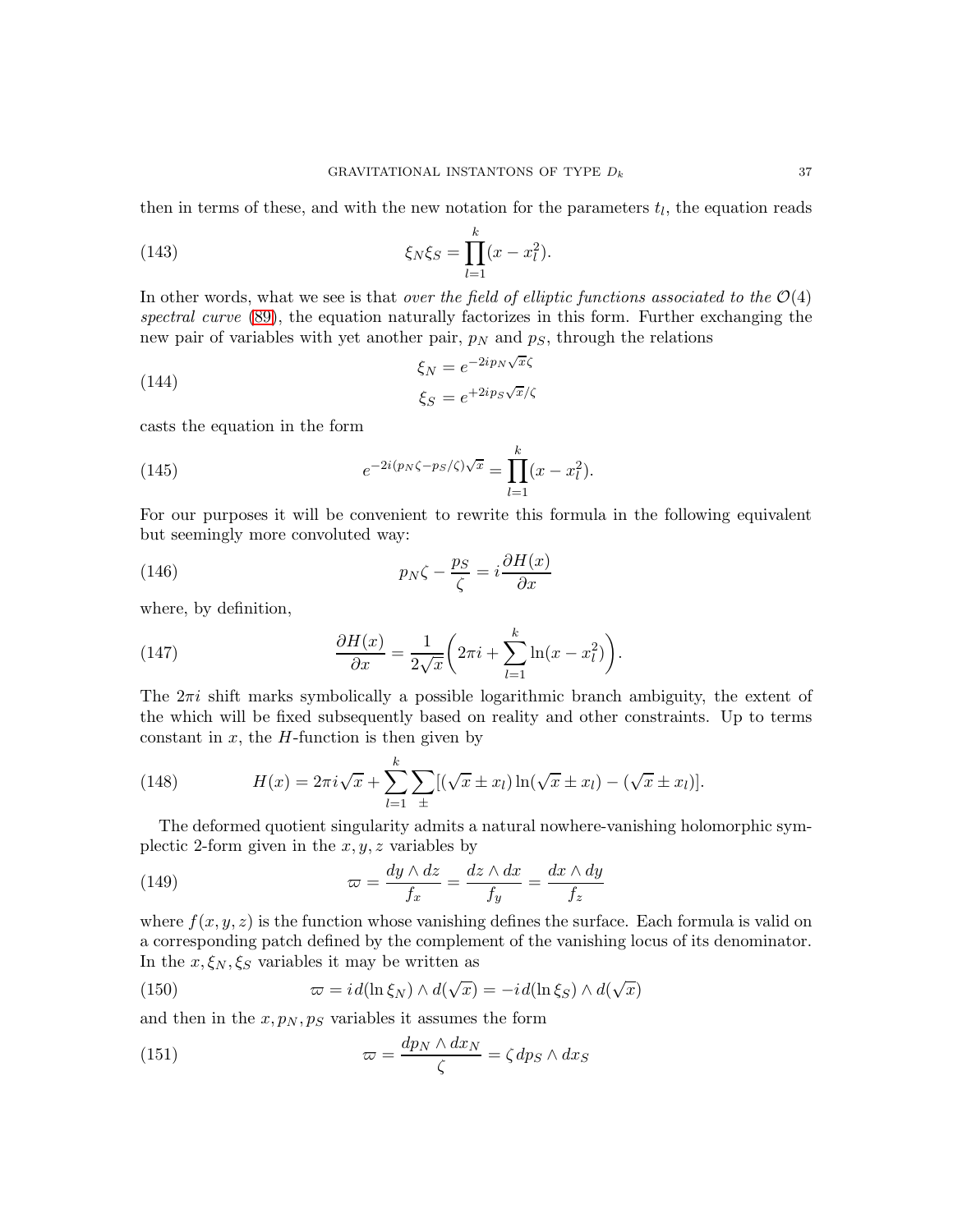then in terms of these, and with the new notation for the parameters  $t_l$ , the equation reads

(143) 
$$
\xi_N \xi_S = \prod_{l=1}^k (x - x_l^2).
$$

In other words, what we see is that *over the field of elliptic functions associated to the*  $\mathcal{O}(4)$ spectral curve [\(89\)](#page-25-3), the equation naturally factorizes in this form. Further exchanging the new pair of variables with yet another pair,  $p_N$  and  $p_S$ , through the relations

<span id="page-36-3"></span>(144) 
$$
\xi_N = e^{-2ip_N\sqrt{x}\zeta}
$$

$$
\xi_S = e^{+2ip_S\sqrt{x}/\zeta}
$$

casts the equation in the form

<span id="page-36-5"></span>(145) 
$$
e^{-2i(p_N\zeta - p_S/\zeta)\sqrt{x}} = \prod_{l=1}^k (x - x_l^2).
$$

For our purposes it will be convenient to rewrite this formula in the following equivalent but seemingly more convoluted way:

<span id="page-36-0"></span>(146) 
$$
p_N \zeta - \frac{p_S}{\zeta} = i \frac{\partial H(x)}{\partial x}
$$

where, by definition,

<span id="page-36-4"></span>(147) 
$$
\frac{\partial H(x)}{\partial x} = \frac{1}{2\sqrt{x}} \left( 2\pi i + \sum_{l=1}^{k} \ln(x - x_l^2) \right).
$$

The  $2\pi i$  shift marks symbolically a possible logarithmic branch ambiguity, the extent of the which will be fixed subsequently based on reality and other constraints. Up to terms constant in  $x$ , the  $H$ -function is then given by

<span id="page-36-1"></span>(148) 
$$
H(x) = 2\pi i \sqrt{x} + \sum_{l=1}^{k} \sum_{\pm} [(\sqrt{x} \pm x_l) \ln(\sqrt{x} \pm x_l) - (\sqrt{x} \pm x_l)].
$$

The deformed quotient singularity admits a natural nowhere-vanishing holomorphic symplectic 2-form given in the  $x, y, z$  variables by

(149) 
$$
\varpi = \frac{dy \wedge dz}{f_x} = \frac{dz \wedge dx}{f_y} = \frac{dx \wedge dy}{f_z}
$$

where  $f(x, y, z)$  is the function whose vanishing defines the surface. Each formula is valid on a corresponding patch defined by the complement of the vanishing locus of its denominator. In the  $x, \xi_N, \xi_S$  variables it may be written as

<span id="page-36-2"></span>(150) 
$$
\varpi = id(\ln \xi_N) \wedge d(\sqrt{x}) = -id(\ln \xi_S) \wedge d(\sqrt{x})
$$

and then in the  $x, p_N, p_S$  variables it assumes the form

(151) 
$$
\varpi = \frac{dp_N \wedge dx_N}{\zeta} = \zeta dp_S \wedge dx_S
$$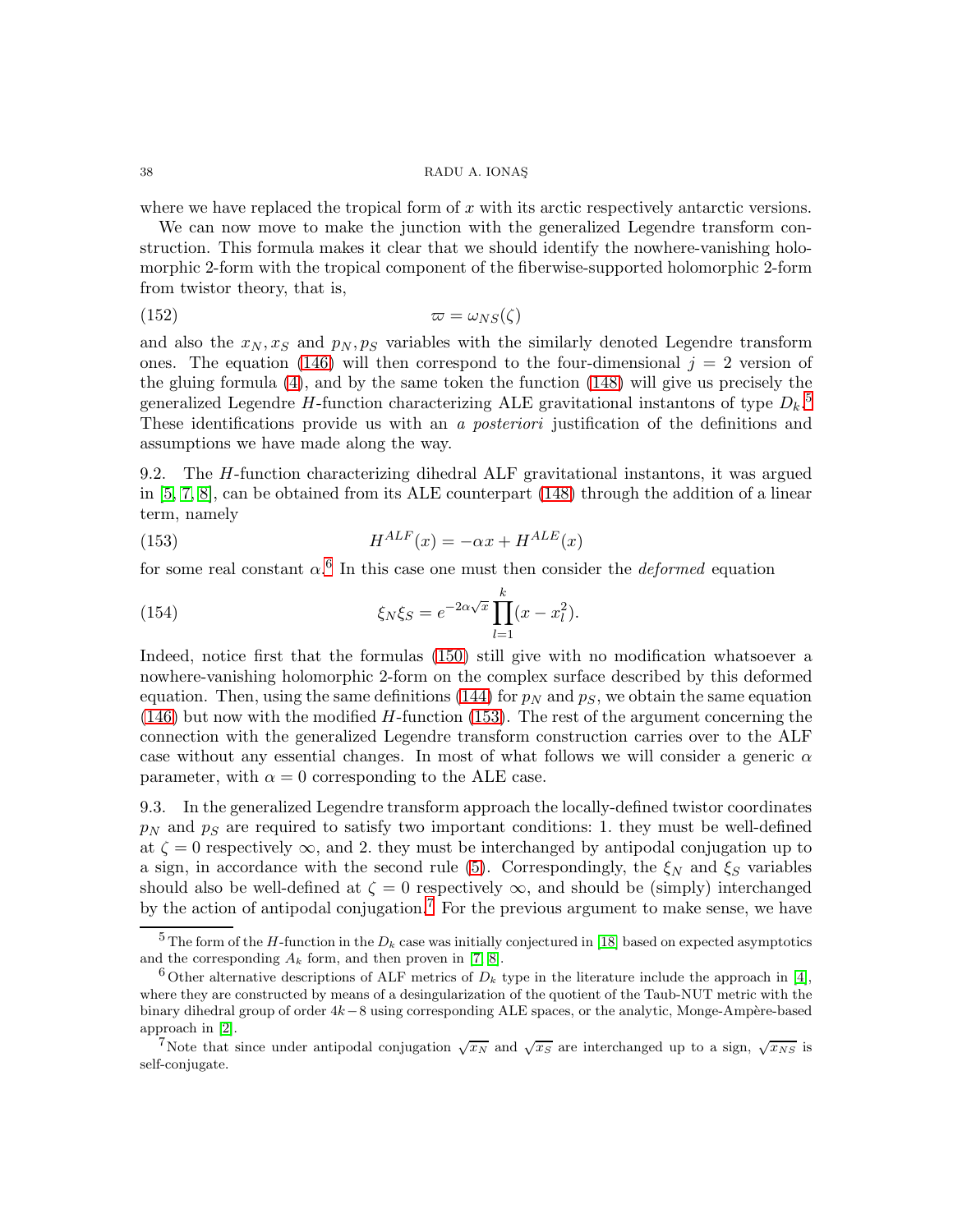where we have replaced the tropical form of  $x$  with its arctic respectively antarctic versions.

We can now move to make the junction with the generalized Legendre transform construction. This formula makes it clear that we should identify the nowhere-vanishing holomorphic 2-form with the tropical component of the fiberwise-supported holomorphic 2-form from twistor theory, that is,

$$
\varpi = \omega_{NS}(\zeta)
$$

and also the  $x_N, x_S$  and  $p_N, p_S$  variables with the similarly denoted Legendre transform ones. The equation [\(146\)](#page-36-0) will then correspond to the four-dimensional  $j = 2$  version of the gluing formula [\(4\)](#page-4-1), and by the same token the function [\(148\)](#page-36-1) will give us precisely the generalized Legendre H-function characterizing ALE gravitational instantons of type  $D_k$ .<sup>[5](#page-37-0)</sup> These identifications provide us with an a posteriori justification of the definitions and assumptions we have made along the way.

9.2. The H-function characterizing dihedral ALF gravitational instantons, it was argued in [\[5,](#page-49-16) [7,](#page-49-5) [8\]](#page-49-6), can be obtained from its ALE counterpart [\(148\)](#page-36-1) through the addition of a linear term, namely

<span id="page-37-2"></span>(153) 
$$
H^{ALF}(x) = -\alpha x + H^{ALE}(x)
$$

for some real constant  $\alpha$ <sup>[6](#page-37-1)</sup>. In this case one must then consider the *deformed* equation

<span id="page-37-4"></span>(154) 
$$
\xi_N \xi_S = e^{-2\alpha \sqrt{x}} \prod_{l=1}^k (x - x_l^2).
$$

Indeed, notice first that the formulas [\(150\)](#page-36-2) still give with no modification whatsoever a nowhere-vanishing holomorphic 2-form on the complex surface described by this deformed equation. Then, using the same definitions [\(144\)](#page-36-3) for  $p<sub>N</sub>$  and  $p<sub>S</sub>$ , we obtain the same equation  $(146)$  but now with the modified H-function [\(153\)](#page-37-2). The rest of the argument concerning the connection with the generalized Legendre transform construction carries over to the ALF case without any essential changes. In most of what follows we will consider a generic  $\alpha$ parameter, with  $\alpha = 0$  corresponding to the ALE case.

9.3. In the generalized Legendre transform approach the locally-defined twistor coordinates  $p_N$  and  $p_S$  are required to satisfy two important conditions: 1. they must be well-defined at  $\zeta = 0$  respectively  $\infty$ , and 2. they must be interchanged by antipodal conjugation up to a sign, in accordance with the second rule [\(5\)](#page-4-2). Correspondingly, the  $\xi_N$  and  $\xi_S$  variables should also be well-defined at  $\zeta = 0$  respectively  $\infty$ , and should be (simply) interchanged by the action of antipodal conjugation.<sup>[7](#page-37-3)</sup> For the previous argument to make sense, we have

<span id="page-37-0"></span><sup>&</sup>lt;sup>5</sup> The form of the H-function in the  $D_k$  case was initially conjectured in [\[18\]](#page-49-12) based on expected asymptotics and the corresponding  $A_k$  form, and then proven in [\[7,](#page-49-5) [8\]](#page-49-6).

<span id="page-37-1"></span><sup>&</sup>lt;sup>6</sup> Other alternative descriptions of ALF metrics of  $D_k$  type in the literature include the approach in [\[4\]](#page-49-17), where they are constructed by means of a desingularization of the quotient of the Taub-NUT metric with the binary dihedral group of order  $4k-8$  using corresponding ALE spaces, or the analytic, Monge-Ampère-based approach in [\[2\]](#page-49-18).

<span id="page-37-3"></span><sup>&</sup>lt;sup>7</sup>Note that since under antipodal conjugation  $\sqrt{x_N}$  and  $\sqrt{x_S}$  are interchanged up to a sign,  $\sqrt{x_{NS}}$  is self-conjugate.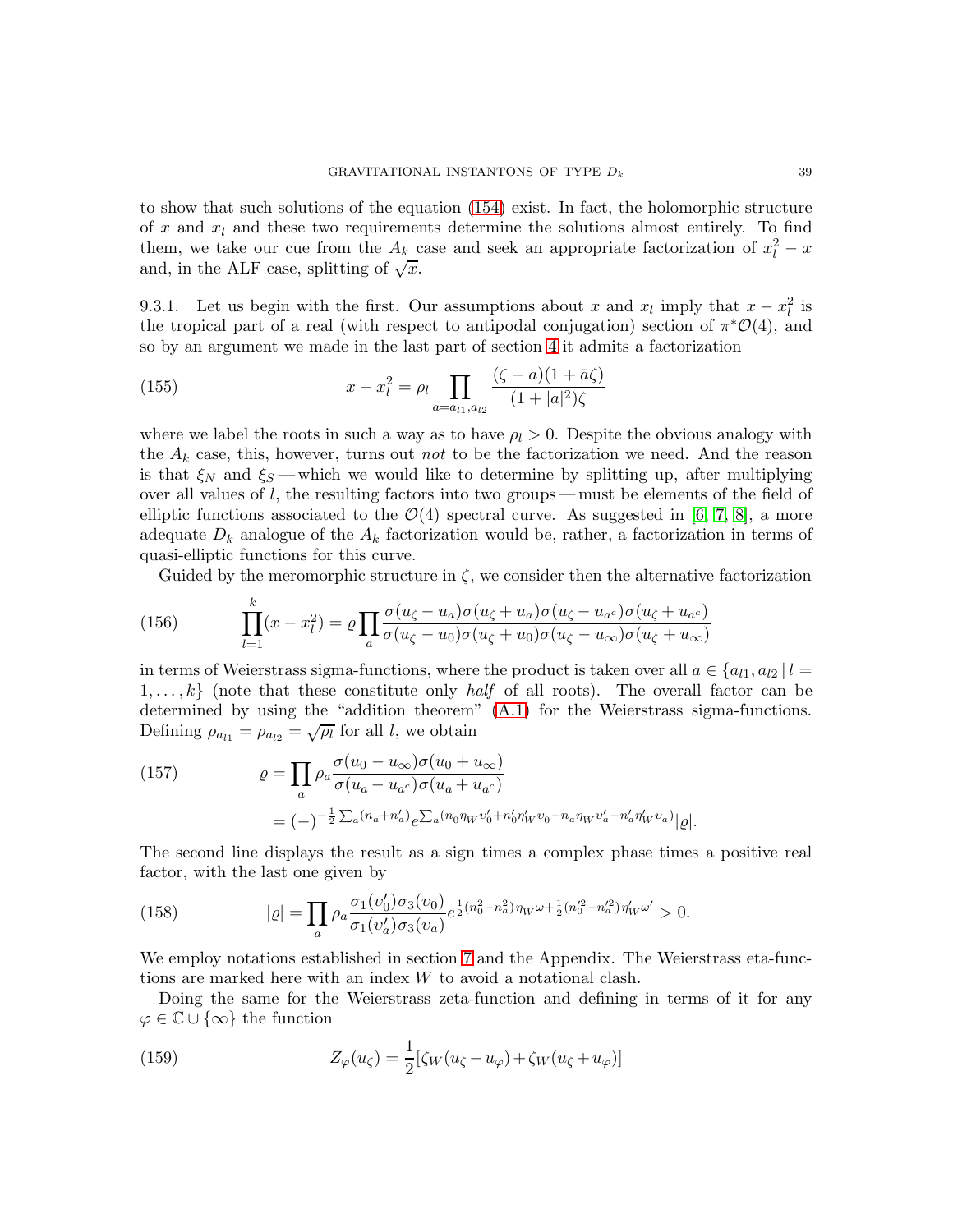to show that such solutions of the equation [\(154\)](#page-37-4) exist. In fact, the holomorphic structure of x and  $x_l$  and these two requirements determine the solutions almost entirely. To find them, we take our cue from the  $A_k$  case and seek an appropriate factorization of  $x_l^2 - x_l$ and, in the ALF case, splitting of  $\sqrt{x}$ .

9.3.1. Let us begin with the first. Our assumptions about x and  $x_l$  imply that  $x - x_l^2$  is the tropical part of a real (with respect to antipodal conjugation) section of  $\pi^*{\mathcal{O}}(4)$ , and so by an argument we made in the last part of section [4](#page-12-1) it admits a factorization

(155) 
$$
x - x_l^2 = \rho_l \prod_{a = a_{l1}, a_{l2}} \frac{(\zeta - a)(1 + \bar{a}\zeta)}{(1 + |a|^2)\zeta}
$$

where we label the roots in such a way as to have  $\rho_l > 0$ . Despite the obvious analogy with the  $A_k$  case, this, however, turns out not to be the factorization we need. And the reason is that  $\xi_N$  and  $\xi_S$  — which we would like to determine by splitting up, after multiplying over all values of  $l$ , the resulting factors into two groups—must be elements of the field of elliptic functions associated to the  $\mathcal{O}(4)$  spectral curve. As suggested in [\[6,](#page-49-4) [7,](#page-49-5) [8\]](#page-49-6), a more adequate  $D_k$  analogue of the  $A_k$  factorization would be, rather, a factorization in terms of quasi-elliptic functions for this curve.

<span id="page-38-0"></span>Guided by the meromorphic structure in  $\zeta$ , we consider then the alternative factorization

(156) 
$$
\prod_{l=1}^{k} (x - x_l^2) = \varrho \prod_a \frac{\sigma(u_\zeta - u_a)\sigma(u_\zeta + u_a)\sigma(u_\zeta - u_{a^c})\sigma(u_\zeta + u_{a^c})}{\sigma(u_\zeta - u_0)\sigma(u_\zeta + u_0)\sigma(u_\zeta - u_{\infty})\sigma(u_\zeta + u_{\infty})}
$$

in terms of Weierstrass sigma-functions, where the product is taken over all  $a \in \{a_{l1}, a_{l2} | l =$  $1, \ldots, k$  (note that these constitute only *half* of all roots). The overall factor can be determined by using the "addition theorem" [\(A.1\)](#page-48-1) for the Weierstrass sigma-functions. Defining  $\rho_{a_{l1}} = \rho_{a_{l2}} = \sqrt{\rho_l}$  for all *l*, we obtain

<span id="page-38-1"></span>(157) 
$$
\varrho = \prod_{a} \rho_a \frac{\sigma(u_0 - u_{\infty})\sigma(u_0 + u_{\infty})}{\sigma(u_a - u_{a^c})\sigma(u_a + u_{a^c})} = (-)^{-\frac{1}{2}\sum_a (n_a + n'_a)} e^{\sum_a (n_0 \eta_W v'_0 + n'_0 \eta'_W v_0 - n_a \eta_W v'_a - n'_a \eta'_W v_a)} |\varrho|.
$$

The second line displays the result as a sign times a complex phase times a positive real factor, with the last one given by

(158) 
$$
|\varrho| = \prod_{a} \rho_a \frac{\sigma_1(v'_0)\sigma_3(v_0)}{\sigma_1(v'_a)\sigma_3(v_a)} e^{\frac{1}{2}(n_0^2 - n_a^2)\eta_W \omega + \frac{1}{2}(n_0'^2 - n_a'^2)\eta'_W \omega'} > 0.
$$

We employ notations established in section [7](#page-25-2) and the Appendix. The Weierstrass eta-functions are marked here with an index W to avoid a notational clash.

Doing the same for the Weierstrass zeta-function and defining in terms of it for any  $\varphi \in \mathbb{C} \cup \{\infty\}$  the function

(159) 
$$
Z_{\varphi}(u_{\zeta}) = \frac{1}{2} [\zeta_W(u_{\zeta} - u_{\varphi}) + \zeta_W(u_{\zeta} + u_{\varphi})]
$$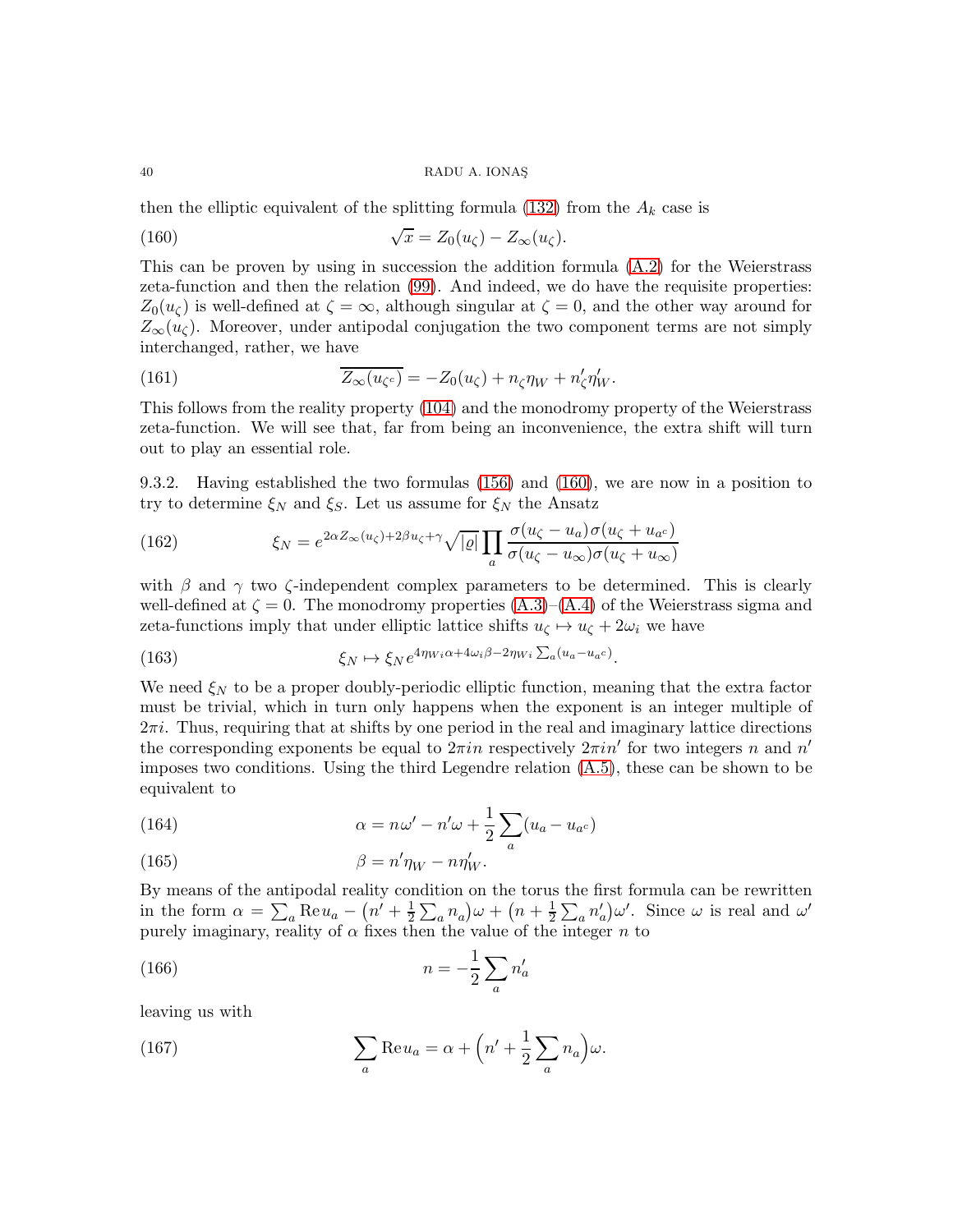then the elliptic equivalent of the splitting formula [\(132\)](#page-33-0) from the  $A_k$  case is

<span id="page-39-0"></span>(160) 
$$
\sqrt{x} = Z_0(u_\zeta) - Z_\infty(u_\zeta).
$$

This can be proven by using in succession the addition formula [\(A.2\)](#page-48-2) for the Weierstrass zeta-function and then the relation [\(99\)](#page-27-1). And indeed, we do have the requisite properties:  $Z_0(u_\zeta)$  is well-defined at  $\zeta = \infty$ , although singular at  $\zeta = 0$ , and the other way around for  $Z_{\infty}(u_{\zeta})$ . Moreover, under antipodal conjugation the two component terms are not simply interchanged, rather, we have

<span id="page-39-1"></span>(161) 
$$
\overline{Z_{\infty}(u_{\zeta^c})} = -Z_0(u_{\zeta}) + n_{\zeta}\eta_W + n_{\zeta}'\eta_W'.
$$

This follows from the reality property [\(104\)](#page-27-2) and the monodromy property of the Weierstrass zeta-function. We will see that, far from being an inconvenience, the extra shift will turn out to play an essential role.

9.3.2. Having established the two formulas [\(156\)](#page-38-0) and [\(160\)](#page-39-0), we are now in a position to try to determine  $\xi_N$  and  $\xi_S$ . Let us assume for  $\xi_N$  the Ansatz

(162) 
$$
\xi_N = e^{2\alpha Z_\infty(u_\zeta) + 2\beta u_\zeta + \gamma} \sqrt{|\varrho|} \prod_a \frac{\sigma(u_\zeta - u_a) \sigma(u_\zeta + u_{a^c})}{\sigma(u_\zeta - u_\infty) \sigma(u_\zeta + u_\infty)}
$$

with  $\beta$  and  $\gamma$  two  $\zeta$ -independent complex parameters to be determined. This is clearly well-defined at  $\zeta = 0$ . The monodromy properties  $(A.3)$ – $(A.4)$  of the Weierstrass sigma and zeta-functions imply that under elliptic lattice shifts  $u_{\zeta} \mapsto u_{\zeta} + 2\omega_i$  we have

(163) 
$$
\xi_N \mapsto \xi_N e^{4\eta_{Wi}\alpha + 4\omega_i\beta - 2\eta_{Wi}} \sum_a (u_a - u_{ac}).
$$

We need  $\xi_N$  to be a proper doubly-periodic elliptic function, meaning that the extra factor must be trivial, which in turn only happens when the exponent is an integer multiple of  $2\pi i$ . Thus, requiring that at shifts by one period in the real and imaginary lattice directions the corresponding exponents be equal to  $2\pi in$  respectively  $2\pi in'$  for two integers n and  $n'$ imposes two conditions. Using the third Legendre relation [\(A.5\)](#page-48-5), these can be shown to be equivalent to

<span id="page-39-3"></span>(164) 
$$
\alpha = n\omega' - n'\omega + \frac{1}{2}\sum_{a}(u_a - u_{a^c})
$$

(165) 
$$
\beta = n'\eta_W - n\eta'_W.
$$

By means of the antipodal reality condition on the torus the first formula can be rewritten in the form  $\alpha = \sum_a \text{Re} u_a - (n' + \frac{1}{2})$  $\frac{1}{2}\sum_{a}n_{a}\big)\omega+\left(n+\frac{1}{2}\right)$  $\frac{1}{2}\sum_{a}n'_{a}\omega'$ . Since  $\omega$  is real and  $\omega'$ purely imaginary, reality of  $\alpha$  fixes then the value of the integer n to

$$
(166)\qquad \qquad n = -\frac{1}{2} \sum_{a} n'_a
$$

leaving us with

<span id="page-39-2"></span>(167) 
$$
\sum_{a} \text{Re} u_a = \alpha + \left( n' + \frac{1}{2} \sum_{a} n_a \right) \omega.
$$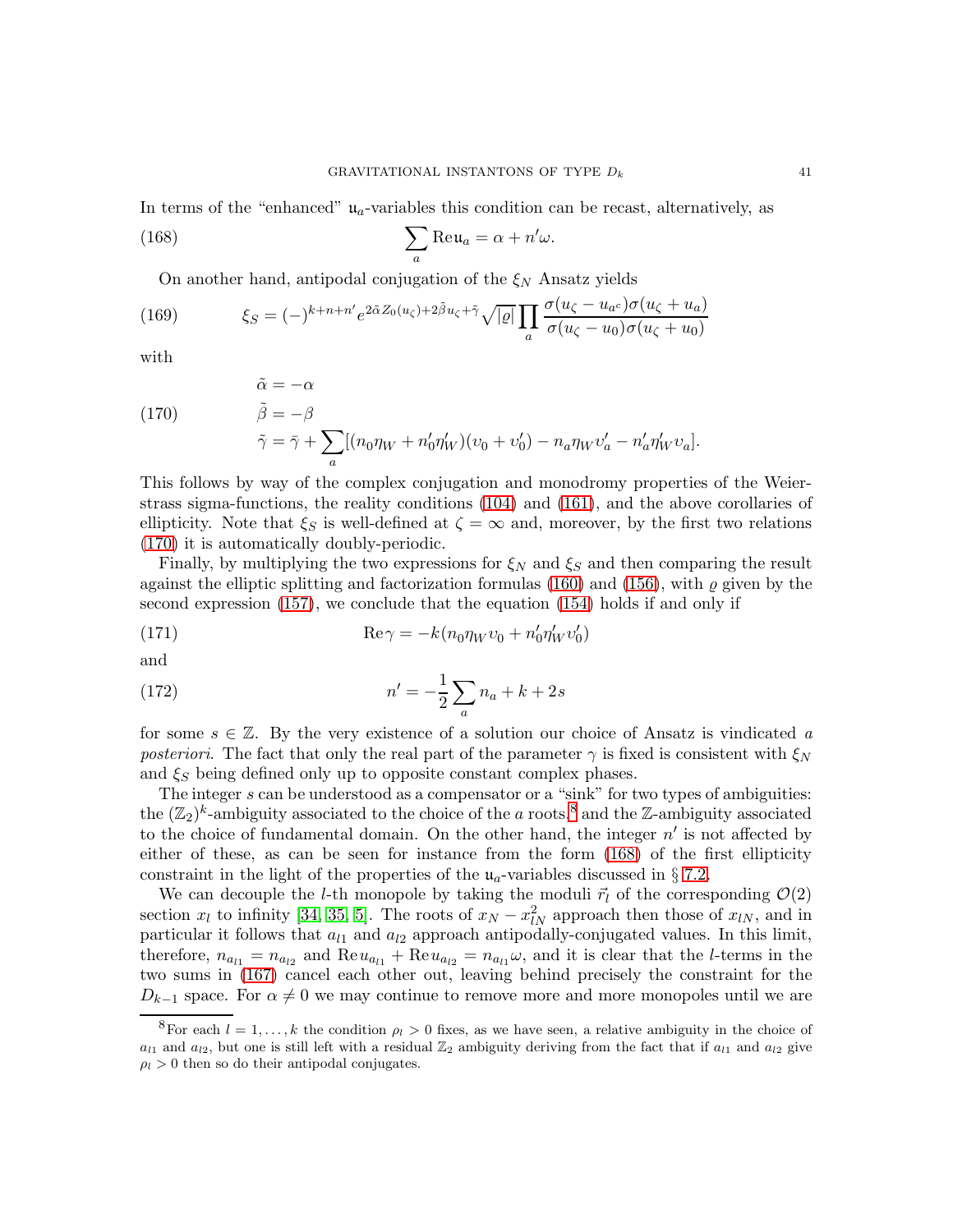In terms of the "enhanced"  $u_a$ -variables this condition can be recast, alternatively, as

(168) 
$$
\sum_{a} \text{Re}\,\mathfrak{u}_{a} = \alpha + n'\omega.
$$

<span id="page-40-2"></span>On another hand, antipodal conjugation of the  $\xi_N$  Ansatz yields

(169) 
$$
\xi_S = (-)^{k+n+n'} e^{2\tilde{\alpha} Z_0(u_\zeta) + 2\tilde{\beta} u_\zeta + \tilde{\gamma}} \sqrt{|\varrho|} \prod_a \frac{\sigma(u_\zeta - u_{a^c}) \sigma(u_\zeta + u_a)}{\sigma(u_\zeta - u_0) \sigma(u_\zeta + u_0)}
$$

with

<span id="page-40-0"></span>(170)  
\n
$$
\tilde{\alpha} = -\alpha
$$
\n
$$
\tilde{\beta} = -\beta
$$
\n
$$
\tilde{\gamma} = \bar{\gamma} + \sum_{a} [(n_0 \eta_W + n'_0 \eta'_W)(v_0 + v'_0) - n_a \eta_W v'_a - n'_a \eta'_W v_a].
$$

This follows by way of the complex conjugation and monodromy properties of the Weierstrass sigma-functions, the reality conditions [\(104\)](#page-27-2) and [\(161\)](#page-39-1), and the above corollaries of ellipticity. Note that  $\xi_S$  is well-defined at  $\zeta = \infty$  and, moreover, by the first two relations [\(170\)](#page-40-0) it is automatically doubly-periodic.

Finally, by multiplying the two expressions for  $\xi_N$  and  $\xi_S$  and then comparing the result against the elliptic splitting and factorization formulas [\(160\)](#page-39-0) and [\(156\)](#page-38-0), with  $\rho$  given by the second expression [\(157\)](#page-38-1), we conclude that the equation [\(154\)](#page-37-4) holds if and only if

(171) 
$$
\operatorname{Re}\gamma = -k(n_0\eta_Wv_0 + n'_0\eta'_Wv'_0)
$$

and

(172) 
$$
n' = -\frac{1}{2} \sum_{a} n_a + k + 2s
$$

for some  $s \in \mathbb{Z}$ . By the very existence of a solution our choice of Ansatz is vindicated a posteriori. The fact that only the real part of the parameter  $\gamma$  is fixed is consistent with  $\xi_N$ and  $\xi_S$  being defined only up to opposite constant complex phases.

The integer s can be understood as a compensator or a "sink" for two types of ambiguities: the  $(\mathbb{Z}_2)^k$ -ambiguity associated to the choice of the a roots,<sup>[8](#page-40-1)</sup> and the Z-ambiguity associated to the choice of fundamental domain. On the other hand, the integer  $n'$  is not affected by either of these, as can be seen for instance from the form [\(168\)](#page-40-2) of the first ellipticity constraint in the light of the properties of the  $u_a$ -variables discussed in § [7.2.](#page-26-2)

We can decouple the *l*-th monopole by taking the moduli  $\vec{r}_l$  of the corresponding  $\mathcal{O}(2)$ section  $x_l$  to infinity [\[34,](#page-50-10) [35,](#page-50-11) [5\]](#page-49-16). The roots of  $x_N - x_N^2$  approach then those of  $x_{lN}$ , and in particular it follows that  $a_{l1}$  and  $a_{l2}$  approach antipodally-conjugated values. In this limit, therefore,  $n_{a_{l1}} = n_{a_{l2}}$  and  $\text{Re} u_{a_{l1}} + \text{Re} u_{a_{l2}} = n_{a_{l1}}\omega$ , and it is clear that the *l*-terms in the two sums in [\(167\)](#page-39-2) cancel each other out, leaving behind precisely the constraint for the  $D_{k-1}$  space. For  $\alpha \neq 0$  we may continue to remove more and more monopoles until we are

<span id="page-40-1"></span><sup>&</sup>lt;sup>8</sup>For each  $l = 1, ..., k$  the condition  $\rho_l > 0$  fixes, as we have seen, a relative ambiguity in the choice of  $a_{l1}$  and  $a_{l2}$ , but one is still left with a residual  $\mathbb{Z}_2$  ambiguity deriving from the fact that if  $a_{l1}$  and  $a_{l2}$  give  $\rho_l > 0$  then so do their antipodal conjugates.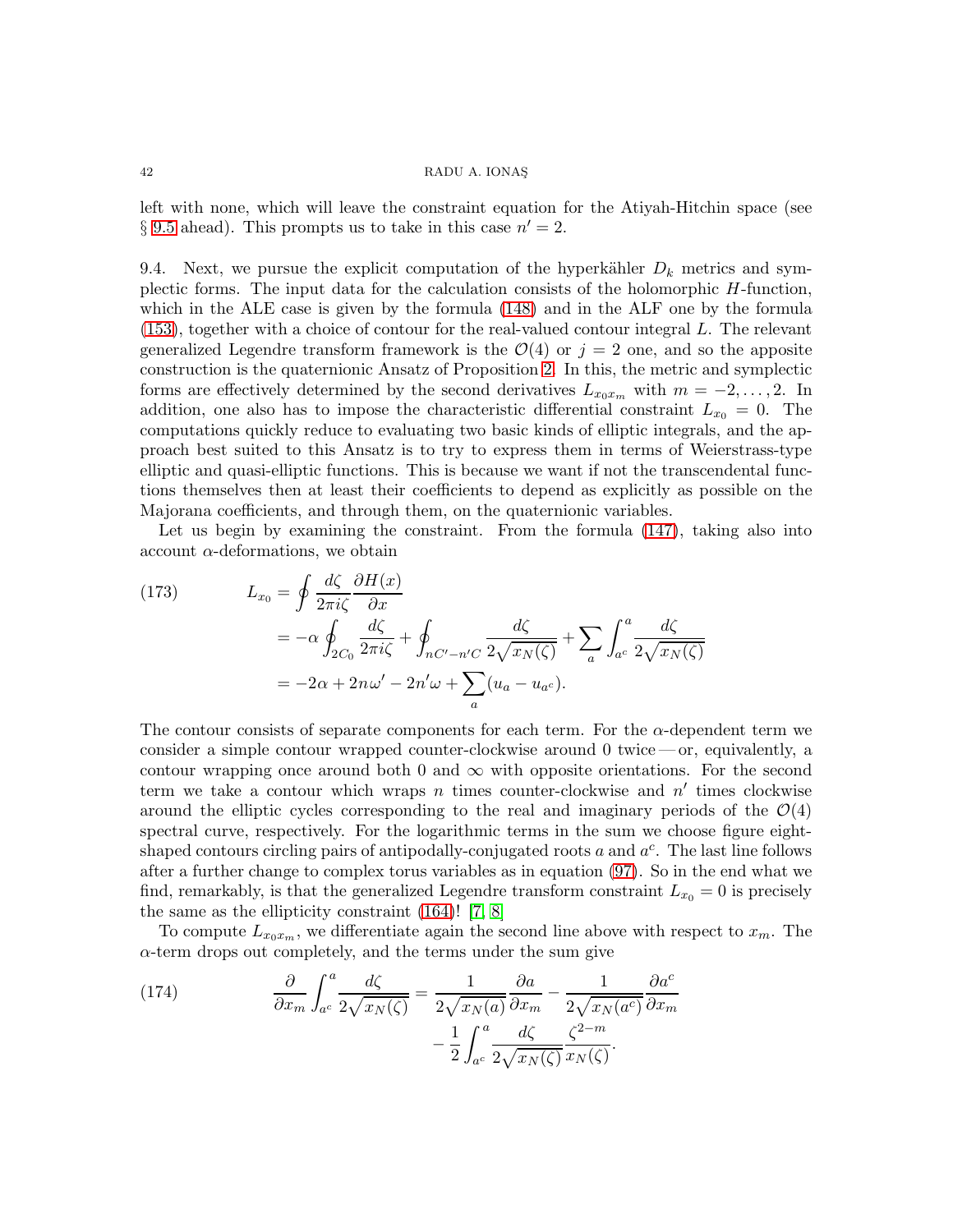left with none, which will leave the constraint equation for the Atiyah-Hitchin space (see § [9.5](#page-45-0) ahead). This prompts us to take in this case  $n' = 2$ .

9.4. Next, we pursue the explicit computation of the hyperkähler  $D_k$  metrics and symplectic forms. The input data for the calculation consists of the holomorphic H-function, which in the ALE case is given by the formula [\(148\)](#page-36-1) and in the ALF one by the formula [\(153\)](#page-37-2), together with a choice of contour for the real-valued contour integral L. The relevant generalized Legendre transform framework is the  $\mathcal{O}(4)$  or  $j = 2$  one, and so the apposite construction is the quaternionic Ansatz of Proposition [2.](#page-24-0) In this, the metric and symplectic forms are effectively determined by the second derivatives  $L_{x_0x_m}$  with  $m = -2, \ldots, 2$ . In addition, one also has to impose the characteristic differential constraint  $L_{x_0} = 0$ . The computations quickly reduce to evaluating two basic kinds of elliptic integrals, and the approach best suited to this Ansatz is to try to express them in terms of Weierstrass-type elliptic and quasi-elliptic functions. This is because we want if not the transcendental functions themselves then at least their coefficients to depend as explicitly as possible on the Majorana coefficients, and through them, on the quaternionic variables.

Let us begin by examining the constraint. From the formula [\(147\)](#page-36-4), taking also into account  $\alpha$ -deformations, we obtain

(173) 
$$
L_{x_0} = \oint \frac{d\zeta}{2\pi i \zeta} \frac{\partial H(x)}{\partial x}
$$
  

$$
= -\alpha \oint_{2C_0} \frac{d\zeta}{2\pi i \zeta} + \oint_{nC' - n'C} \frac{d\zeta}{2\sqrt{x_N(\zeta)}} + \sum_a \int_{a^c}^a \frac{d\zeta}{2\sqrt{x_N(\zeta)}}
$$
  

$$
= -2\alpha + 2n\omega' - 2n'\omega + \sum_a (u_a - u_{a^c}).
$$

The contour consists of separate components for each term. For the  $\alpha$ -dependent term we consider a simple contour wrapped counter-clockwise around 0 twice — or, equivalently, a contour wrapping once around both 0 and  $\infty$  with opposite orientations. For the second term we take a contour which wraps  $n$  times counter-clockwise and  $n'$  times clockwise around the elliptic cycles corresponding to the real and imaginary periods of the  $\mathcal{O}(4)$ spectral curve, respectively. For the logarithmic terms in the sum we choose figure eightshaped contours circling pairs of antipodally-conjugated roots  $a$  and  $a^c$ . The last line follows after a further change to complex torus variables as in equation [\(97\)](#page-26-3). So in the end what we find, remarkably, is that the generalized Legendre transform constraint  $L_{x_0} = 0$  is precisely the same as the ellipticity constraint  $(164)!$  [\[7,](#page-49-5) [8\]](#page-49-6)

To compute  $L_{x_0x_m}$ , we differentiate again the second line above with respect to  $x_m$ . The  $\alpha$ -term drops out completely, and the terms under the sum give

<span id="page-41-0"></span>(174) 
$$
\frac{\partial}{\partial x_m} \int_{a^c}^{a} \frac{d\zeta}{2\sqrt{x_N(\zeta)}} = \frac{1}{2\sqrt{x_N(a)}} \frac{\partial a}{\partial x_m} - \frac{1}{2\sqrt{x_N(a^c)}} \frac{\partial a^c}{\partial x_m} - \frac{1}{2} \int_{a^c}^{a} \frac{d\zeta}{2\sqrt{x_N(\zeta)}} \frac{\zeta^{2-m}}{x_N(\zeta)}.
$$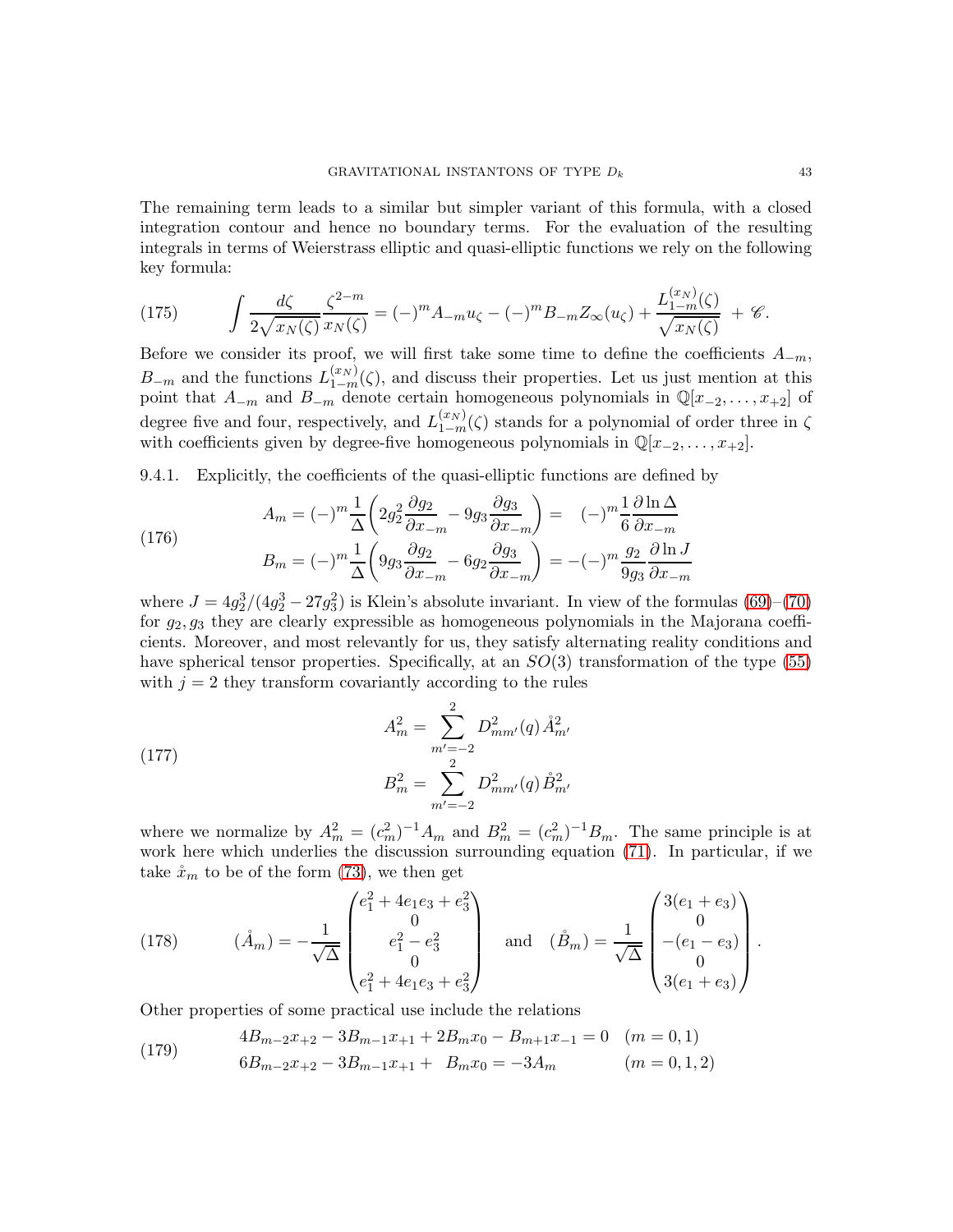The remaining term leads to a similar but simpler variant of this formula, with a closed integration contour and hence no boundary terms. For the evaluation of the resulting integrals in terms of Weierstrass elliptic and quasi-elliptic functions we rely on the following key formula:

<span id="page-42-0"></span>(175) 
$$
\int \frac{d\zeta}{2\sqrt{x_N(\zeta)}} \frac{\zeta^{2-m}}{x_N(\zeta)} = (-)^m A_{-m} u_{\zeta} - (-)^m B_{-m} Z_{\infty}(u_{\zeta}) + \frac{L_{1-m}^{(x_N)}(\zeta)}{\sqrt{x_N(\zeta)}} + \mathcal{C}.
$$

Before we consider its proof, we will first take some time to define the coefficients  $A_{-m}$ ,  $B_{-m}$  and the functions  $L_{1-m}^{(x_N)}(\zeta)$ , and discuss their properties. Let us just mention at this point that  $A_{-m}$  and  $B_{-m}$  denote certain homogeneous polynomials in  $\mathbb{Q}[x_{-2}, \ldots, x_{+2}]$  of degree five and four, respectively, and  $L_{1-m}^{(x_N)}(\zeta)$  stands for a polynomial of order three in  $\zeta$ with coefficients given by degree-five homogeneous polynomials in  $\mathbb{Q}[x_{-2}, \ldots, x_{+2}]$ .

9.4.1. Explicitly, the coefficients of the quasi-elliptic functions are defined by

$$
A_m = (-)^m \frac{1}{\Delta} \left( 2g_2^2 \frac{\partial g_2}{\partial x_{-m}} - 9g_3 \frac{\partial g_3}{\partial x_{-m}} \right) = (-)^m \frac{1}{6} \frac{\partial \ln \Delta}{\partial x_{-m}}
$$
  

$$
B = (-)^m \frac{1}{6} \left( 9g_2 \frac{\partial g_2}{\partial x_{-m}} - 6g_2 \frac{\partial g_3}{\partial x_{-m}} \right) = (-)^m \frac{g_2}{2} \frac{\partial \ln J}{\partial x_{-m}}
$$

$$
B_m = (-)^m \frac{1}{\Delta} \left( 9g_3 \frac{\partial g_2}{\partial x_{-m}} - 6g_2 \frac{\partial g_3}{\partial x_{-m}} \right) = -(-)^m \frac{g_2}{9g_3} \frac{\partial \ln J}{\partial x_{-m}}
$$
  

$$
J = 4g_2^3/(4g_2^3 - 27g_3^2)
$$
 is Klein's absolute invariant. In view of the following

where. 2  $^{3}_{2}-27g$ 3 he formulas  $(69)–(70)$  $(69)–(70)$ for  $g_2, g_3$  they are clearly expressible as homogeneous polynomials in the Majorana coefficients. Moreover, and most relevantly for us, they satisfy alternating reality conditions and have spherical tensor properties. Specifically, at an  $SO(3)$  transformation of the type [\(55\)](#page-14-1) with  $j = 2$  they transform covariantly according to the rules

(177) 
$$
A_m^2 = \sum_{m'=-2}^2 D_{mm'}^2(q) \hat{A}_{m'}^2
$$

$$
B_m^2 = \sum_{m'=-2}^2 D_{mm'}^2(q) \hat{B}_{m'}^2
$$

(176)

where we normalize by  $A_m^2 = (c_m^2)^{-1} A_m$  and  $B_m^2 = (c_m^2)^{-1} B_m$ . The same principle is at work here which underlies the discussion surrounding equation [\(71\)](#page-20-1). In particular, if we take  $\dot{x}_m$  to be of the form [\(73\)](#page-20-0), we then get

<span id="page-42-1"></span>(178) 
$$
(\mathring{A}_m) = -\frac{1}{\sqrt{\Delta}} \begin{pmatrix} e_1^2 + 4e_1e_3 + e_3^2 \\ 0 \\ e_1^2 - e_3^2 \\ 0 \\ e_1^2 + 4e_1e_3 + e_3^2 \end{pmatrix} \text{ and } (\mathring{B}_m) = \frac{1}{\sqrt{\Delta}} \begin{pmatrix} 3(e_1 + e_3) \\ 0 \\ -(e_1 - e_3) \\ 0 \\ 3(e_1 + e_3) \end{pmatrix}.
$$

Other properties of some practical use include the relations

(179) 
$$
4B_{m-2}x_{+2} - 3B_{m-1}x_{+1} + 2B_mx_0 - B_{m+1}x_{-1} = 0 \quad (m = 0, 1)
$$

$$
6B_{m-2}x_{+2} - 3B_{m-1}x_{+1} + B_mx_0 = -3A_m \qquad (m = 0, 1, 2)
$$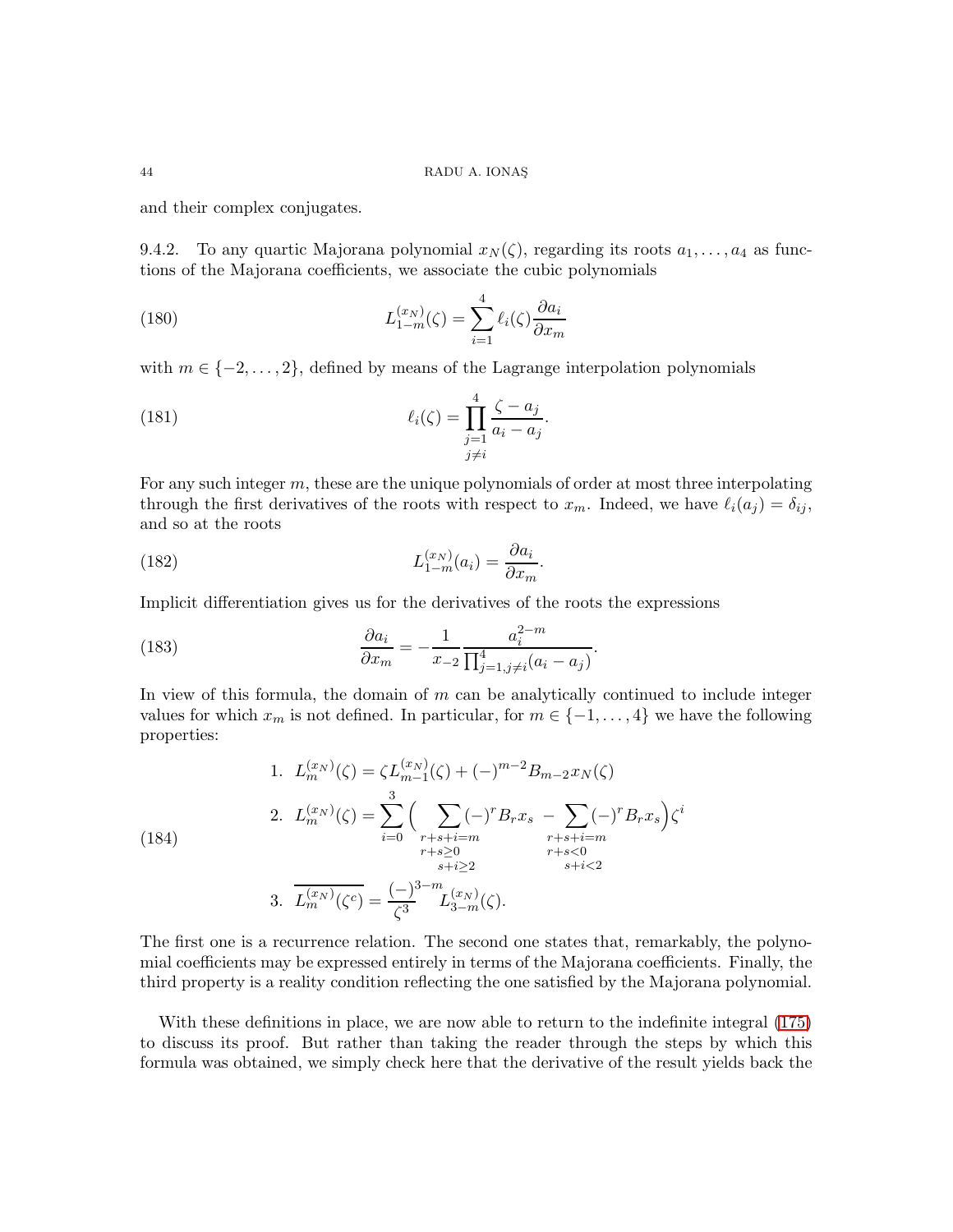and their complex conjugates.

9.4.2. To any quartic Majorana polynomial  $x_N(\zeta)$ , regarding its roots  $a_1, \ldots, a_4$  as functions of the Majorana coefficients, we associate the cubic polynomials

(180) 
$$
L_{1-m}^{(x_N)}(\zeta) = \sum_{i=1}^{4} \ell_i(\zeta) \frac{\partial a_i}{\partial x_m}
$$

with  $m \in \{-2, \ldots, 2\}$ , defined by means of the Lagrange interpolation polynomials

(181) 
$$
\ell_i(\zeta) = \prod_{\substack{j=1 \ j \neq i}}^4 \frac{\zeta - a_j}{a_i - a_j}.
$$

For any such integer  $m$ , these are the unique polynomials of order at most three interpolating through the first derivatives of the roots with respect to  $x_m$ . Indeed, we have  $\ell_i(a_j) = \delta_{ij}$ , and so at the roots

<span id="page-43-0"></span>(182) 
$$
L_{1-m}^{(x_N)}(a_i) = \frac{\partial a_i}{\partial x_m}.
$$

Implicit differentiation gives us for the derivatives of the roots the expressions

(183) 
$$
\frac{\partial a_i}{\partial x_m} = -\frac{1}{x_{-2}} \frac{a_i^{2-m}}{\prod_{j=1, j \neq i}^4 (a_i - a_j)}.
$$

In view of this formula, the domain of  $m$  can be analytically continued to include integer values for which  $x_m$  is not defined. In particular, for  $m \in \{-1, \ldots, 4\}$  we have the following properties:

<span id="page-43-1"></span>(184)  
\n1. 
$$
L_m^{(x_N)}(\zeta) = \zeta L_{m-1}^{(x_N)}(\zeta) + (-)^{m-2} B_{m-2} x_N(\zeta)
$$
  
\n2.  $L_m^{(x_N)}(\zeta) = \sum_{i=0}^3 \left( \sum_{\substack{r+s+i=m\\r+s\geq 0\\s+i\geq 2}} (-)^r B_r x_s - \sum_{\substack{r+s+i=m\\r+s<0\\r+s<0\\s+i<2}} (-)^r B_r x_s \right) \zeta^i$   
\n3.  $\overline{L_m^{(x_N)}(\zeta^c)} = \frac{(-)^{3-m}}{\zeta^3} L_{3-m}^{(x_N)}(\zeta).$ 

The first one is a recurrence relation. The second one states that, remarkably, the polynomial coefficients may be expressed entirely in terms of the Majorana coefficients. Finally, the third property is a reality condition reflecting the one satisfied by the Majorana polynomial.

With these definitions in place, we are now able to return to the indefinite integral [\(175\)](#page-42-0) to discuss its proof. But rather than taking the reader through the steps by which this formula was obtained, we simply check here that the derivative of the result yields back the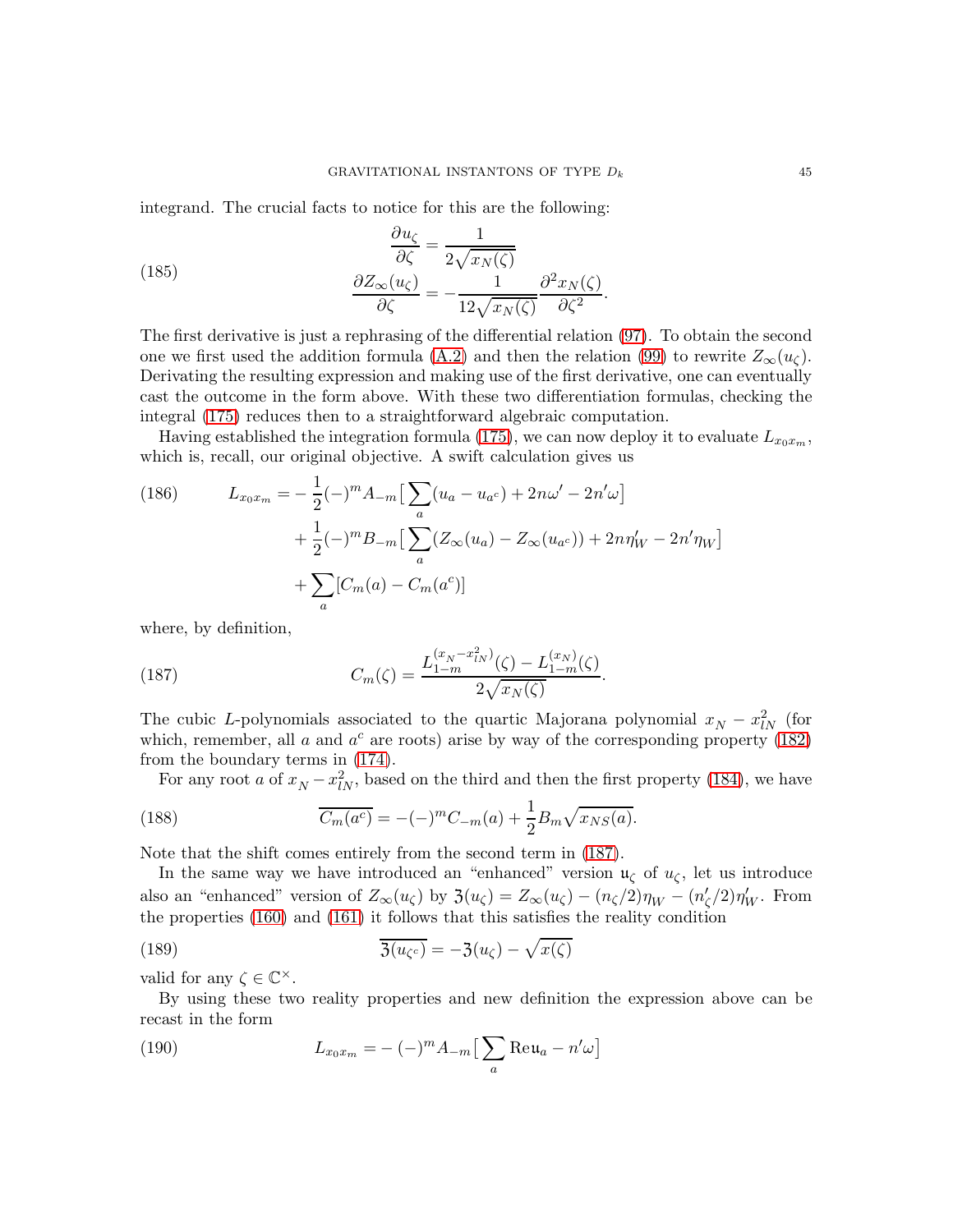integrand. The crucial facts to notice for this are the following:

(185) 
$$
\frac{\partial u_{\zeta}}{\partial \zeta} = \frac{1}{2\sqrt{x_N(\zeta)}}
$$

$$
\frac{\partial Z_{\infty}(u_{\zeta})}{\partial \zeta} = -\frac{1}{12\sqrt{x_N(\zeta)}} \frac{\partial^2 x_N(\zeta)}{\partial \zeta^2}.
$$

The first derivative is just a rephrasing of the differential relation [\(97\)](#page-26-3). To obtain the second one we first used the addition formula [\(A.2\)](#page-48-2) and then the relation [\(99\)](#page-27-1) to rewrite  $Z_{\infty}(u_{\zeta})$ . Derivating the resulting expression and making use of the first derivative, one can eventually cast the outcome in the form above. With these two differentiation formulas, checking the integral [\(175\)](#page-42-0) reduces then to a straightforward algebraic computation.

Having established the integration formula [\(175\)](#page-42-0), we can now deploy it to evaluate  $L_{x_0x_m}$ , which is, recall, our original objective. A swift calculation gives us

(186) 
$$
L_{x_0x_m} = -\frac{1}{2}(-)^m A_{-m} \left[ \sum_a (u_a - u_{a^c}) + 2n\omega' - 2n'\omega \right] + \frac{1}{2}(-)^m B_{-m} \left[ \sum_a (Z_\infty(u_a) - Z_\infty(u_{a^c})) + 2n\eta'_W - 2n'\eta_W \right] + \sum_a [C_m(a) - C_m(a^c)]
$$

where, by definition,

<span id="page-44-0"></span>(187) 
$$
C_m(\zeta) = \frac{L_{1-m}^{(x_N - x_{lN}^2)}(\zeta) - L_{1-m}^{(x_N)}(\zeta)}{2\sqrt{x_N(\zeta)}}.
$$

The cubic L-polynomials associated to the quartic Majorana polynomial  $x_N - x_{lN}^2$  (for which, remember, all  $a$  and  $a^c$  are roots) arise by way of the corresponding property [\(182\)](#page-43-0) from the boundary terms in [\(174\)](#page-41-0).

For any root a of  $x_N - x_N^2$ , based on the third and then the first property [\(184\)](#page-43-1), we have

(188) 
$$
\overline{C_m(a^c)} = -(-)^m C_{-m}(a) + \frac{1}{2} B_m \sqrt{x_{NS}(a)}.
$$

Note that the shift comes entirely from the second term in [\(187\)](#page-44-0).

In the same way we have introduced an "enhanced" version  $\mathfrak{u}_{\zeta}$  of  $u_{\zeta}$ , let us introduce also an "enhanced" version of  $Z_{\infty}(u_{\zeta})$  by  $\mathfrak{Z}(u_{\zeta}) = Z_{\infty}(u_{\zeta}) - (n_{\zeta}/2)\eta_W - (n_{\zeta}/2)\eta_W'$ . From the properties [\(160\)](#page-39-0) and [\(161\)](#page-39-1) it follows that this satisfies the reality condition

(189) 
$$
\overline{\mathfrak{Z}(u_{\zeta^c})} = -\mathfrak{Z}(u_{\zeta}) - \sqrt{x(\zeta)}
$$

valid for any  $\zeta \in \mathbb{C}^{\times}$ .

By using these two reality properties and new definition the expression above can be recast in the form

(190) 
$$
L_{x_0x_m} = -(-)^m A_{-m} \left[ \sum_a \text{Re} \mathfrak{u}_a - n'\omega \right]
$$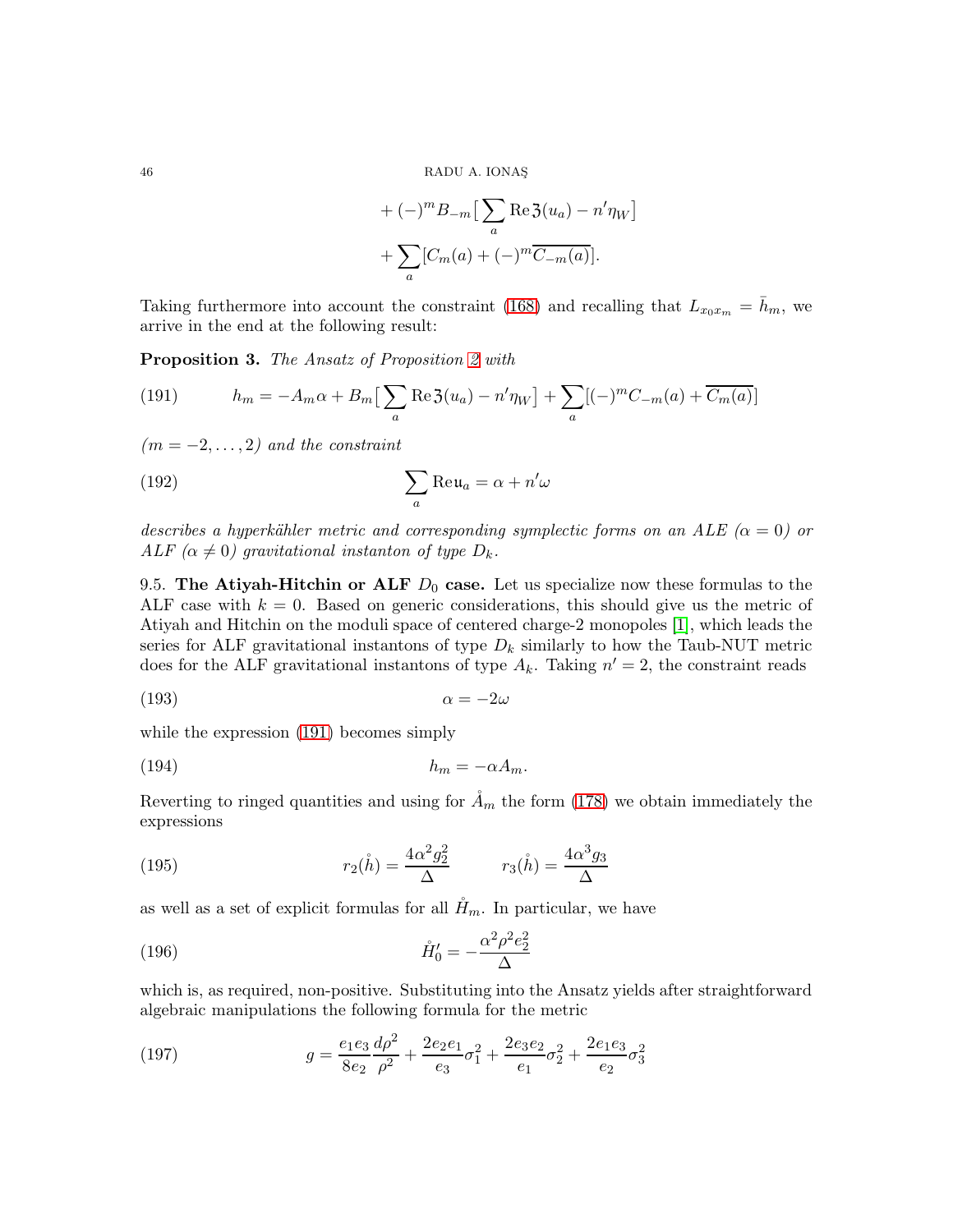+ 
$$
(-)^m B_{-m} \left[ \sum_a \text{Re} \mathfrak{Z}(u_a) - n' \eta_W \right]
$$
  
+  $\sum_a [C_m(a) + (-)^m \overline{C_{-m}(a)}].$ 

Taking furthermore into account the constraint [\(168\)](#page-40-2) and recalling that  $L_{x_0x_m} = h_m$ , we arrive in the end at the following result:

<span id="page-45-2"></span>Proposition 3. The Ansatz of Proposition [2](#page-24-0) with

<span id="page-45-1"></span>(191) 
$$
h_m = -A_m \alpha + B_m \left[ \sum_a \text{Re} \, 3(u_a) - n' \eta_W \right] + \sum_a \left[ (-)^m C_{-m}(a) + \overline{C_m(a)} \right]
$$

 $(m = -2, \ldots, 2)$  and the constraint

(192) 
$$
\sum_{a} \text{Re}\,\mathfrak{u}_{a} = \alpha + n'\omega
$$

describes a hyperkähler metric and corresponding symplectic forms on an ALE ( $\alpha = 0$ ) or ALF  $(\alpha \neq 0)$  gravitational instanton of type  $D_k$ .

<span id="page-45-0"></span>9.5. The Atiyah-Hitchin or ALF  $D_0$  case. Let us specialize now these formulas to the ALF case with  $k = 0$ . Based on generic considerations, this should give us the metric of Atiyah and Hitchin on the moduli space of centered charge-2 monopoles [\[1\]](#page-49-19), which leads the series for ALF gravitational instantons of type  $D_k$  similarly to how the Taub-NUT metric does for the ALF gravitational instantons of type  $A_k$ . Taking  $n' = 2$ , the constraint reads

$$
\alpha = -2\omega
$$

while the expression [\(191\)](#page-45-1) becomes simply

(194) h<sup>m</sup> = −αAm.

Reverting to ringed quantities and using for  $\AA_m$  the form [\(178\)](#page-42-1) we obtain immediately the expressions

(195) 
$$
r_2(\mathring{h}) = \frac{4\alpha^2 g_2^2}{\Delta} \qquad r_3(\mathring{h}) = \frac{4\alpha^3 g_3}{\Delta}
$$

as well as a set of explicit formulas for all  $H_m$ . In particular, we have

(196) 
$$
\mathring{H}'_0 = -\frac{\alpha^2 \rho^2 e_2^2}{\Delta}
$$

which is, as required, non-positive. Substituting into the Ansatz yields after straightforward algebraic manipulations the following formula for the metric

(197) 
$$
g = \frac{e_1 e_3}{8 e_2} \frac{d\rho^2}{\rho^2} + \frac{2e_2 e_1}{e_3} \sigma_1^2 + \frac{2e_3 e_2}{e_1} \sigma_2^2 + \frac{2e_1 e_3}{e_2} \sigma_3^2
$$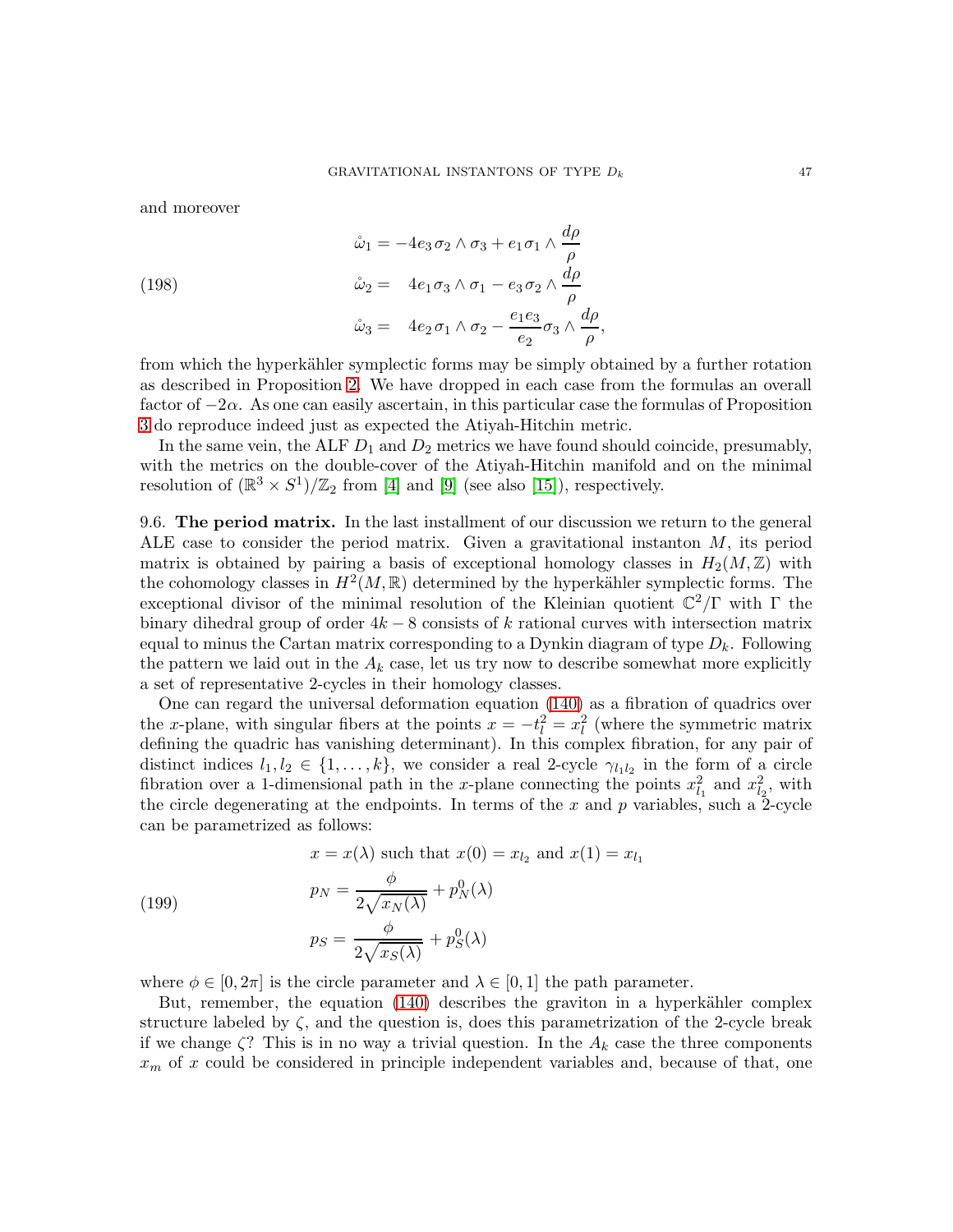and moreover

(198)  
\n
$$
\hat{\omega}_1 = -4e_3 \sigma_2 \wedge \sigma_3 + e_1 \sigma_1 \wedge \frac{d\rho}{\rho}
$$
\n
$$
\hat{\omega}_2 = 4e_1 \sigma_3 \wedge \sigma_1 - e_3 \sigma_2 \wedge \frac{d\rho}{\rho}
$$
\n
$$
\hat{\omega}_3 = 4e_2 \sigma_1 \wedge \sigma_2 - \frac{e_1 e_3}{e_2} \sigma_3 \wedge \frac{d\rho}{\rho},
$$

from which the hyperkähler symplectic forms may be simply obtained by a further rotation as described in Proposition [2.](#page-24-0) We have dropped in each case from the formulas an overall factor of  $-2\alpha$ . As one can easily ascertain, in this particular case the formulas of Proposition [3](#page-45-2) do reproduce indeed just as expected the Atiyah-Hitchin metric.

In the same vein, the ALF  $D_1$  and  $D_2$  metrics we have found should coincide, presumably, with the metrics on the double-cover of the Atiyah-Hitchin manifold and on the minimal resolution of  $(\mathbb{R}^3 \times S^1)/\mathbb{Z}_2$  from [\[4\]](#page-49-17) and [\[9\]](#page-49-20) (see also [\[15\]](#page-49-21)), respectively.

9.6. The period matrix. In the last installment of our discussion we return to the general ALE case to consider the period matrix. Given a gravitational instanton  $M$ , its period matrix is obtained by pairing a basis of exceptional homology classes in  $H_2(M,\mathbb{Z})$  with the cohomology classes in  $H^2(M,\mathbb{R})$  determined by the hyperkähler symplectic forms. The exceptional divisor of the minimal resolution of the Kleinian quotient  $\mathbb{C}^2/\Gamma$  with  $\Gamma$  the binary dihedral group of order  $4k - 8$  consists of k rational curves with intersection matrix equal to minus the Cartan matrix corresponding to a Dynkin diagram of type  $D_k$ . Following the pattern we laid out in the  $A_k$  case, let us try now to describe somewhat more explicitly a set of representative 2-cycles in their homology classes.

One can regard the universal deformation equation [\(140\)](#page-35-0) as a fibration of quadrics over the x-plane, with singular fibers at the points  $x = -t_l^2 = x_l^2$  (where the symmetric matrix defining the quadric has vanishing determinant). In this complex fibration, for any pair of distinct indices  $l_1, l_2 \in \{1, \ldots, k\}$ , we consider a real 2-cycle  $\gamma_{l_1 l_2}$  in the form of a circle fibration over a 1-dimensional path in the x-plane connecting the points  $x_{l_1}^2$  and  $x_{l_2}^2$ , with the circle degenerating at the endpoints. In terms of the x and p variables, such a 2-cycle can be parametrized as follows:

(199)  

$$
x = x(\lambda) \text{ such that } x(0) = x_{l_2} \text{ and } x(1) = x_{l_1}
$$

$$
p_N = \frac{\phi}{2\sqrt{x_N(\lambda)}} + p_N^0(\lambda)
$$

$$
p_S = \frac{\phi}{2\sqrt{x_S(\lambda)}} + p_S^0(\lambda)
$$

where  $\phi \in [0, 2\pi]$  is the circle parameter and  $\lambda \in [0, 1]$  the path parameter.

But, remember, the equation  $(140)$  describes the graviton in a hyperkähler complex structure labeled by  $\zeta$ , and the question is, does this parametrization of the 2-cycle break if we change  $\zeta$ ? This is in no way a trivial question. In the  $A_k$  case the three components  $x_m$  of x could be considered in principle independent variables and, because of that, one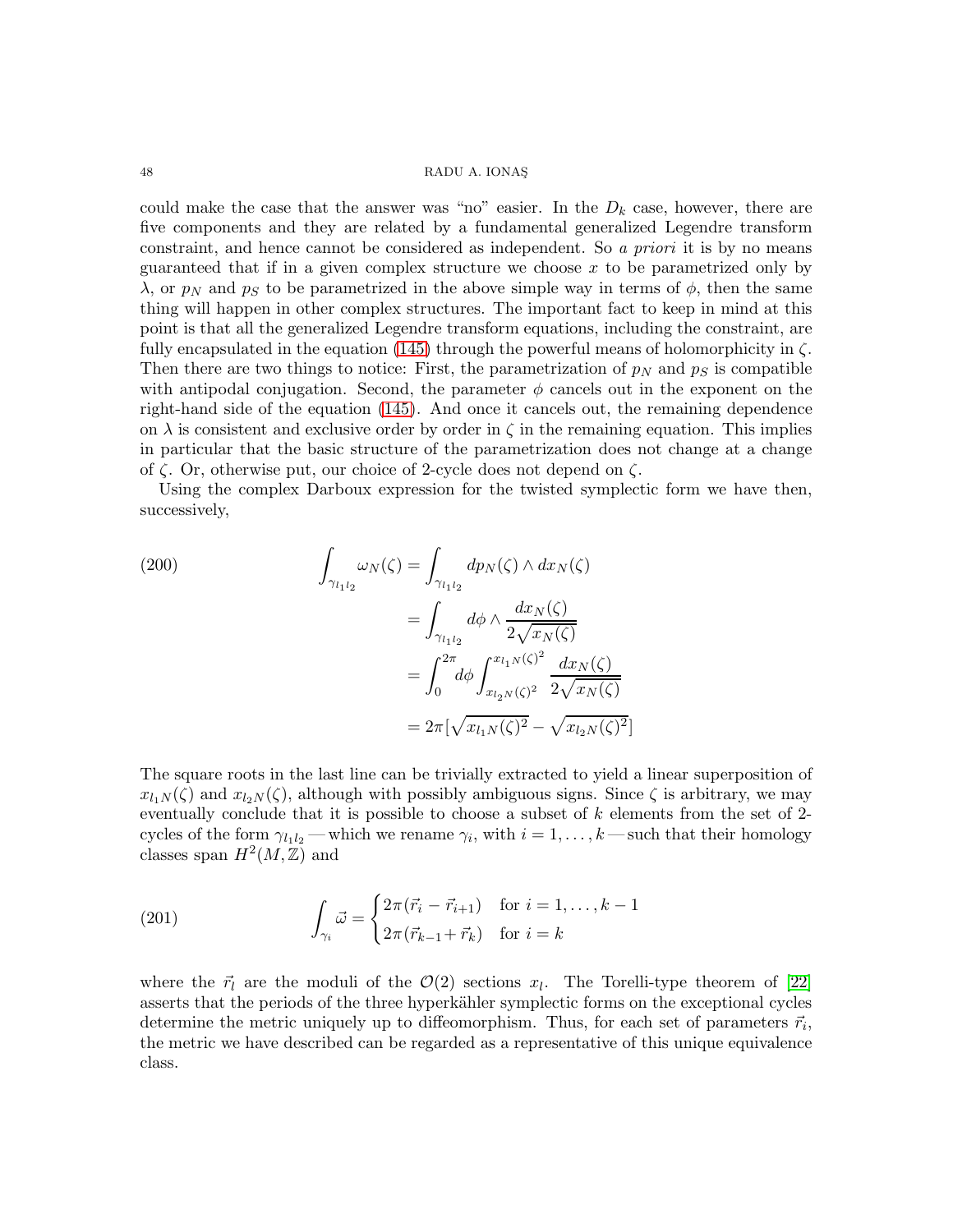could make the case that the answer was "no" easier. In the  $D_k$  case, however, there are five components and they are related by a fundamental generalized Legendre transform constraint, and hence cannot be considered as independent. So a priori it is by no means guaranteed that if in a given complex structure we choose  $x$  to be parametrized only by  $\lambda$ , or  $p_N$  and  $p_S$  to be parametrized in the above simple way in terms of  $\phi$ , then the same thing will happen in other complex structures. The important fact to keep in mind at this point is that all the generalized Legendre transform equations, including the constraint, are fully encapsulated in the equation [\(145\)](#page-36-5) through the powerful means of holomorphicity in  $\zeta$ . Then there are two things to notice: First, the parametrization of  $p<sub>N</sub>$  and  $p<sub>S</sub>$  is compatible with antipodal conjugation. Second, the parameter  $\phi$  cancels out in the exponent on the right-hand side of the equation [\(145\)](#page-36-5). And once it cancels out, the remaining dependence on  $\lambda$  is consistent and exclusive order by order in  $\zeta$  in the remaining equation. This implies in particular that the basic structure of the parametrization does not change at a change of  $\zeta$ . Or, otherwise put, our choice of 2-cycle does not depend on  $\zeta$ .

Using the complex Darboux expression for the twisted symplectic form we have then, successively,

(200)  
\n
$$
\int_{\gamma_{l_1 l_2}} \omega_N(\zeta) = \int_{\gamma_{l_1 l_2}} dp_N(\zeta) \wedge dx_N(\zeta)
$$
\n
$$
= \int_{\gamma_{l_1 l_2}} d\phi \wedge \frac{dx_N(\zeta)}{2\sqrt{x_N(\zeta)}}
$$
\n
$$
= \int_0^{2\pi} d\phi \int_{x_{l_2 N}(\zeta)^2}^{x_{l_1 N}(\zeta)^2} \frac{dx_N(\zeta)}{2\sqrt{x_N(\zeta)}}
$$
\n
$$
= 2\pi [\sqrt{x_{l_1 N}(\zeta)^2} - \sqrt{x_{l_2 N}(\zeta)^2}]
$$

The square roots in the last line can be trivially extracted to yield a linear superposition of  $x_{l_1N}(\zeta)$  and  $x_{l_2N}(\zeta)$ , although with possibly ambiguous signs. Since  $\zeta$  is arbitrary, we may eventually conclude that it is possible to choose a subset of  $k$  elements from the set of 2cycles of the form  $\gamma_{l_1 l_2}$  — which we rename  $\gamma_i$ , with  $i = 1, \ldots, k$  — such that their homology classes span  $H^2(M, \mathbb{Z})$  and

(201) 
$$
\int_{\gamma_i} \vec{\omega} = \begin{cases} 2\pi(\vec{r}_i - \vec{r}_{i+1}) & \text{for } i = 1, \dots, k-1 \\ 2\pi(\vec{r}_{k-1} + \vec{r}_k) & \text{for } i = k \end{cases}
$$

where the  $\vec{r}_l$  are the moduli of the  $\mathcal{O}(2)$  sections  $x_l$ . The Torelli-type theorem of [\[22\]](#page-49-22) asserts that the periods of the three hyperkähler symplectic forms on the exceptional cycles determine the metric uniquely up to diffeomorphism. Thus, for each set of parameters  $\vec{r}_i$ , the metric we have described can be regarded as a representative of this unique equivalence class.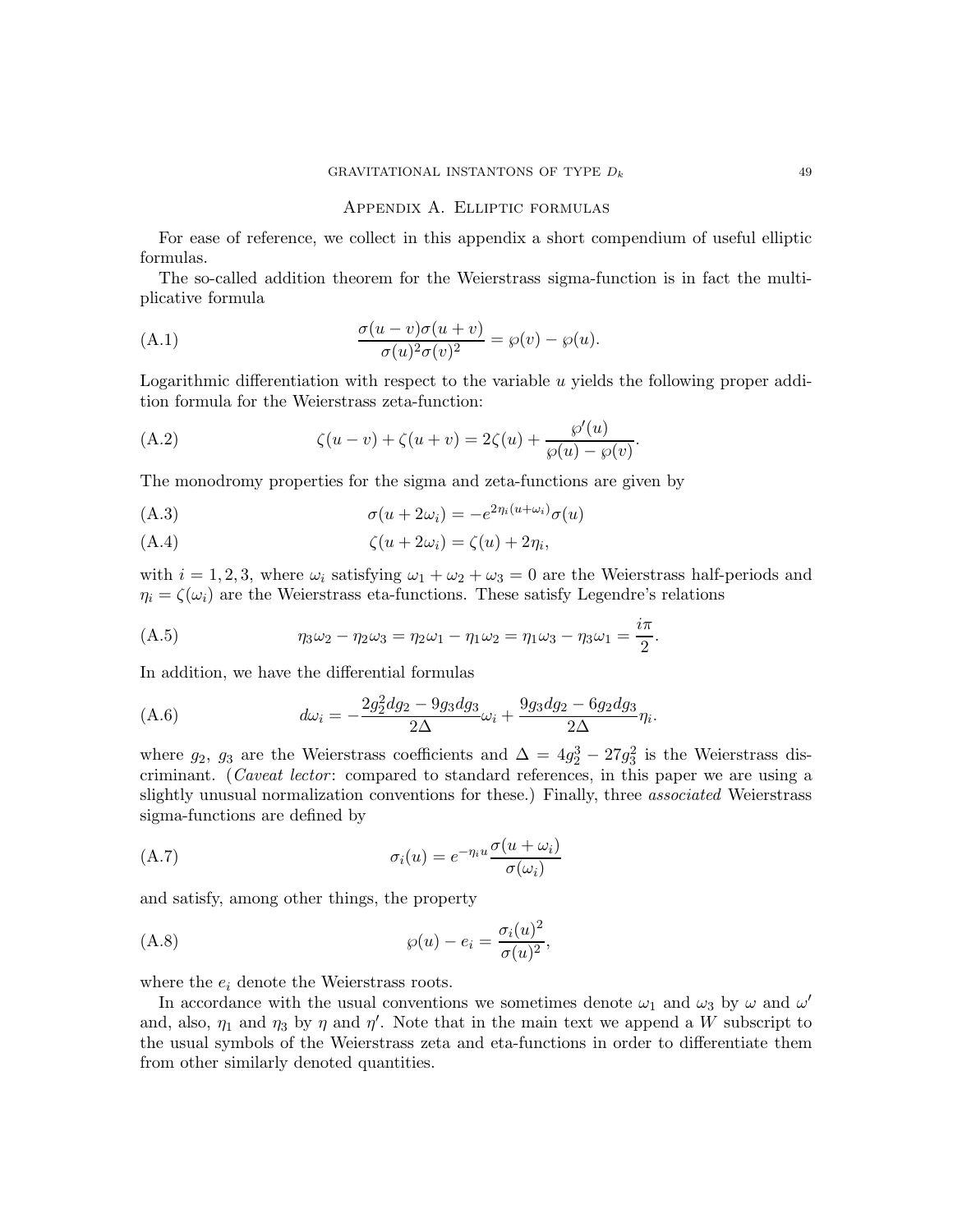#### <span id="page-48-1"></span>Appendix A. Elliptic formulas

For ease of reference, we collect in this appendix a short compendium of useful elliptic formulas.

The so-called addition theorem for the Weierstrass sigma-function is in fact the multiplicative formula

(A.1) 
$$
\frac{\sigma(u-v)\sigma(u+v)}{\sigma(u)^2\sigma(v)^2} = \wp(v) - \wp(u).
$$

Logarithmic differentiation with respect to the variable  $u$  yields the following proper addition formula for the Weierstrass zeta-function:

<span id="page-48-2"></span>(A.2) 
$$
\zeta(u - v) + \zeta(u + v) = 2\zeta(u) + \frac{\wp'(u)}{\wp(u) - \wp(v)}.
$$

The monodromy properties for the sigma and zeta-functions are given by

<span id="page-48-3"></span>
$$
\sigma(u + 2\omega_i) = -e^{2\eta_i(u + \omega_i)}\sigma(u)
$$

<span id="page-48-4"></span>
$$
(A.4) \t\t\t \zeta(u+2\omega_i) = \zeta(u) + 2\eta_i,
$$

with  $i = 1, 2, 3$ , where  $\omega_i$  satisfying  $\omega_1 + \omega_2 + \omega_3 = 0$  are the Weierstrass half-periods and  $\eta_i = \zeta(\omega_i)$  are the Weierstrass eta-functions. These satisfy Legendre's relations

<span id="page-48-5"></span>(A.5) 
$$
\eta_3 \omega_2 - \eta_2 \omega_3 = \eta_2 \omega_1 - \eta_1 \omega_2 = \eta_1 \omega_3 - \eta_3 \omega_1 = \frac{i\pi}{2}.
$$

In addition, we have the differential formulas

(A.6) 
$$
d\omega_i = -\frac{2g_2^2 dg_2 - 9g_3 dg_3}{2\Delta}\omega_i + \frac{9g_3 dg_2 - 6g_2 dg_3}{2\Delta}\eta_i.
$$

where  $g_2$ ,  $g_3$  are the Weierstrass coefficients and  $\Delta = 4g_2^3 - 27g_3^2$  is the Weierstrass discriminant. (Caveat lector: compared to standard references, in this paper we are using a slightly unusual normalization conventions for these.) Finally, three *associated* Weierstrass sigma-functions are defined by

(A.7) 
$$
\sigma_i(u) = e^{-\eta_i u} \frac{\sigma(u + \omega_i)}{\sigma(\omega_i)}
$$

and satisfy, among other things, the property

<span id="page-48-0"></span>
$$
\wp(u) - e_i = \frac{\sigma_i(u)^2}{\sigma(u)^2},
$$

where the  $e_i$  denote the Weierstrass roots.

In accordance with the usual conventions we sometimes denote  $\omega_1$  and  $\omega_3$  by  $\omega$  and  $\omega'$ and, also,  $\eta_1$  and  $\eta_3$  by  $\eta$  and  $\eta'$ . Note that in the main text we append a W subscript to the usual symbols of the Weierstrass zeta and eta-functions in order to differentiate them from other similarly denoted quantities.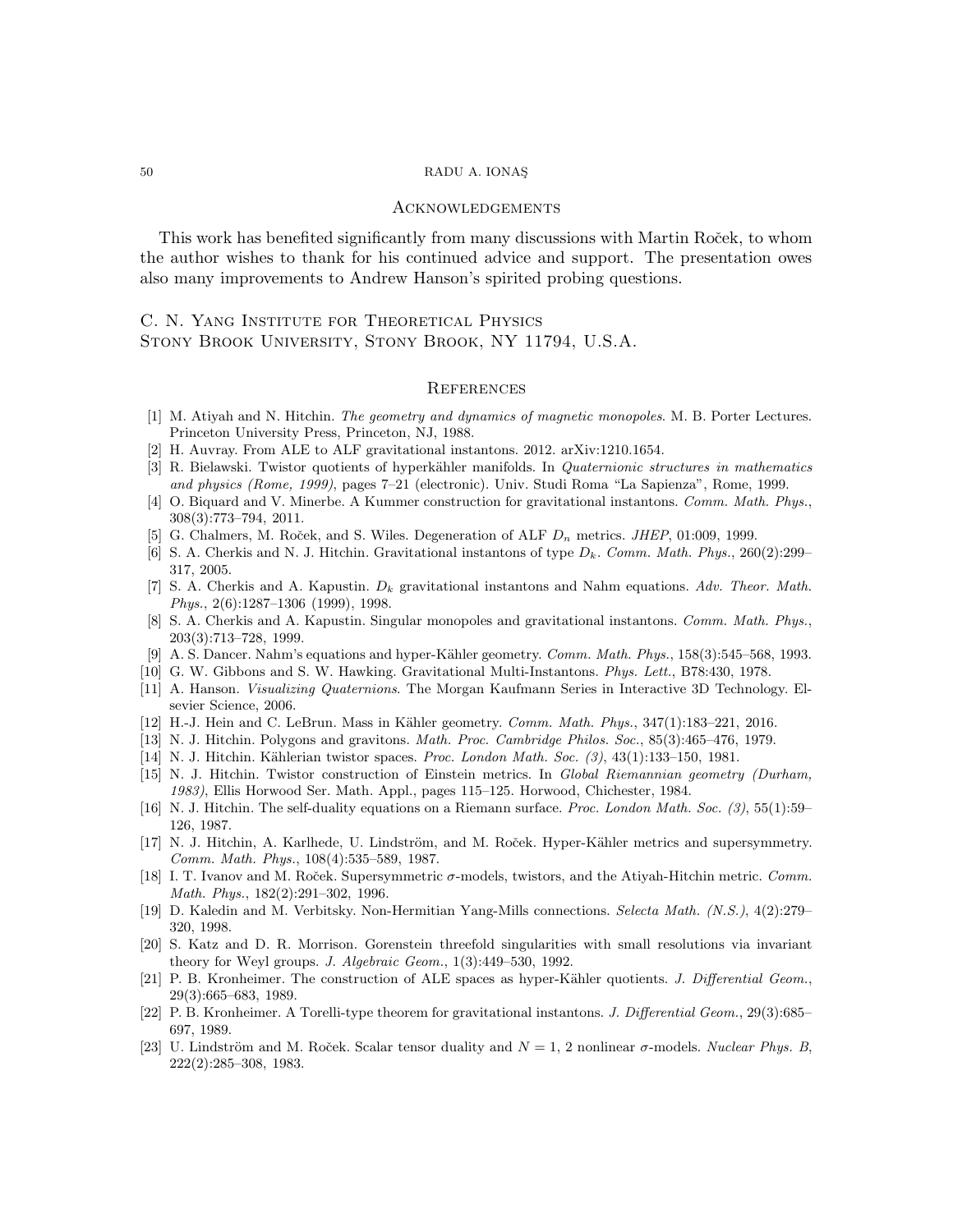#### Acknowledgements

This work has benefited significantly from many discussions with Martin Rocek, to whom the author wishes to thank for his continued advice and support. The presentation owes also many improvements to Andrew Hanson's spirited probing questions.

# C. N. Yang Institute for Theoretical Physics Stony Brook University, Stony Brook, NY 11794, U.S.A.

#### **REFERENCES**

- <span id="page-49-19"></span><span id="page-49-18"></span>[1] M. Atiyah and N. Hitchin. The geometry and dynamics of magnetic monopoles. M. B. Porter Lectures. Princeton University Press, Princeton, NJ, 1988.
- <span id="page-49-13"></span>[2] H. Auvray. From ALE to ALF gravitational instantons. 2012. arXiv:1210.1654.
- [3] R. Bielawski. Twistor quotients of hyperkähler manifolds. In Quaternionic structures in mathematics and physics (Rome, 1999), pages 7–21 (electronic). Univ. Studi Roma "La Sapienza", Rome, 1999.
- <span id="page-49-17"></span>[4] O. Biquard and V. Minerbe. A Kummer construction for gravitational instantons. Comm. Math. Phys., 308(3):773–794, 2011.
- <span id="page-49-16"></span><span id="page-49-4"></span>[5] G. Chalmers, M. Roček, and S. Wiles. Degeneration of ALF  $D_n$  metrics. *JHEP*, 01:009, 1999.
- [6] S. A. Cherkis and N. J. Hitchin. Gravitational instantons of type  $D_k$ . Comm. Math. Phys., 260(2):299– 317, 2005.
- <span id="page-49-5"></span>[7] S. A. Cherkis and A. Kapustin.  $D_k$  gravitational instantons and Nahm equations. Adv. Theor. Math. Phys., 2(6):1287–1306 (1999), 1998.
- <span id="page-49-6"></span>[8] S. A. Cherkis and A. Kapustin. Singular monopoles and gravitational instantons. Comm. Math. Phys., 203(3):713–728, 1999.
- <span id="page-49-20"></span><span id="page-49-3"></span>[9] A. S. Dancer. Nahm's equations and hyper-Kähler geometry. Comm. Math. Phys., 158(3):545–568, 1993.
- <span id="page-49-14"></span>[10] G. W. Gibbons and S. W. Hawking. Gravitational Multi-Instantons. Phys. Lett., B78:430, 1978.
- [11] A. Hanson. Visualizing Quaternions. The Morgan Kaufmann Series in Interactive 3D Technology. Elsevier Science, 2006.
- <span id="page-49-7"></span><span id="page-49-2"></span>[12] H.-J. Hein and C. LeBrun. Mass in Kähler geometry.  $Comm.$  Math. Phys.,  $347(1):183-221$ ,  $2016$ .
- <span id="page-49-9"></span>[13] N. J. Hitchin. Polygons and gravitons. Math. Proc. Cambridge Philos. Soc., 85(3):465–476, 1979.
- <span id="page-49-21"></span>[14] N. J. Hitchin. Kählerian twistor spaces. Proc. London Math. Soc.  $(3)$ , 43(1):133–150, 1981.
- [15] N. J. Hitchin. Twistor construction of Einstein metrics. In Global Riemannian geometry (Durham, 1983), Ellis Horwood Ser. Math. Appl., pages 115–125. Horwood, Chichester, 1984.
- <span id="page-49-8"></span>[16] N. J. Hitchin. The self-duality equations on a Riemann surface. Proc. London Math. Soc. (3), 55(1):59– 126, 1987.
- <span id="page-49-1"></span>[17] N. J. Hitchin, A. Karlhede, U. Lindström, and M. Roček. Hyper-Kähler metrics and supersymmetry. Comm. Math. Phys., 108(4):535–589, 1987.
- <span id="page-49-12"></span>[18] I. T. Ivanov and M. Roček. Supersymmetric  $\sigma$ -models, twistors, and the Atiyah-Hitchin metric. Comm. Math. Phys., 182(2):291–302, 1996.
- <span id="page-49-10"></span>[19] D. Kaledin and M. Verbitsky. Non-Hermitian Yang-Mills connections. Selecta Math. (N.S.), 4(2):279– 320, 1998.
- <span id="page-49-15"></span>[20] S. Katz and D. R. Morrison. Gorenstein threefold singularities with small resolutions via invariant theory for Weyl groups. J. Algebraic Geom., 1(3):449–530, 1992.
- <span id="page-49-0"></span>[21] P. B. Kronheimer. The construction of ALE spaces as hyper-Kähler quotients. J. Differential Geom., 29(3):665–683, 1989.
- <span id="page-49-22"></span>[22] P. B. Kronheimer. A Torelli-type theorem for gravitational instantons. J. Differential Geom., 29(3):685– 697, 1989.
- <span id="page-49-11"></span>[23] U. Lindström and M. Roček. Scalar tensor duality and  $N = 1$ , 2 nonlinear  $\sigma$ -models. Nuclear Phys. B, 222(2):285–308, 1983.